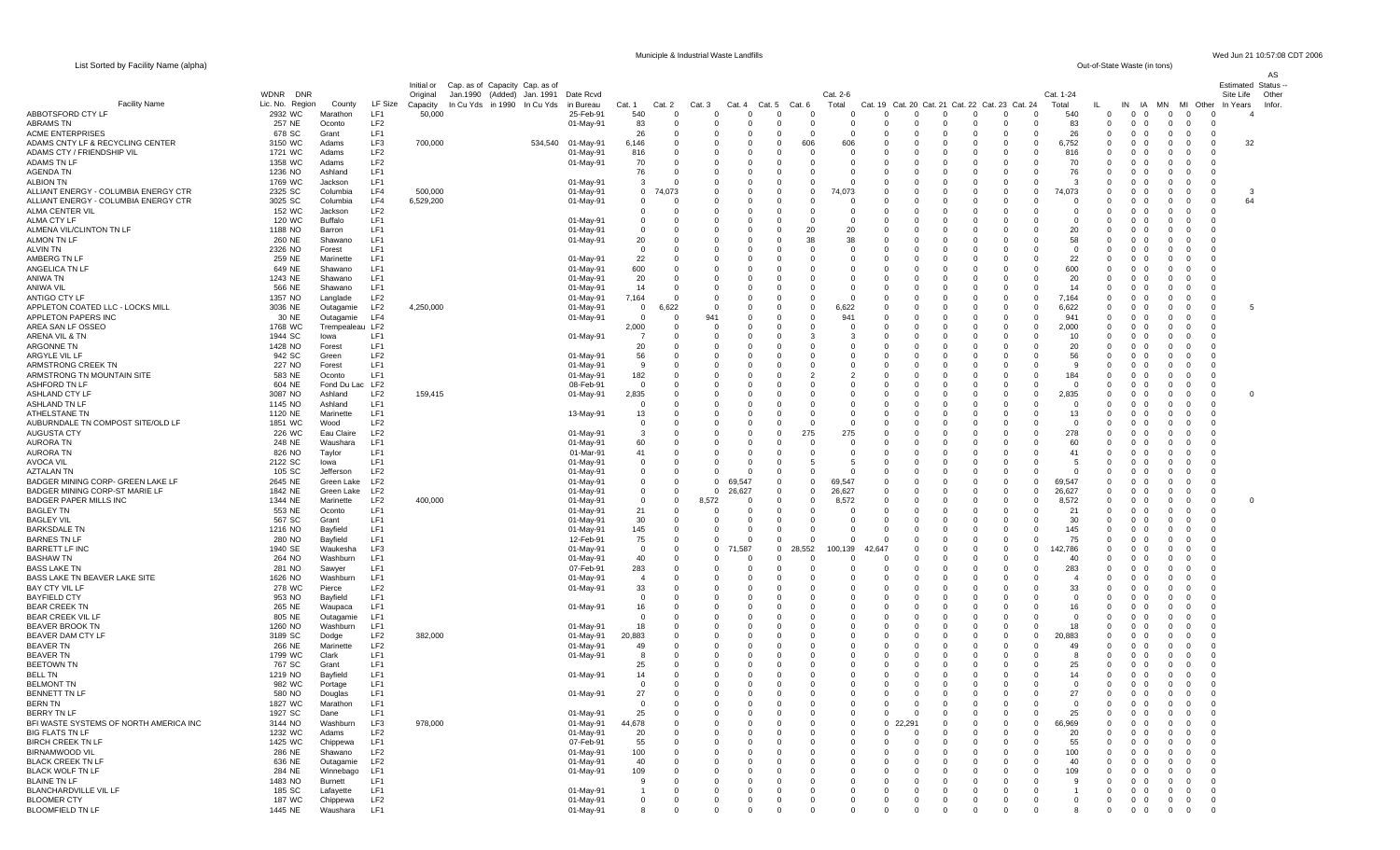List Sorted by Facility Name (alpha)

Municiple & Industrial Waste Landfills Wed Jun 21 10:57:08 CDT 2006<br>
Out-of-State Waste (in tons)

| $\frac{1}{2}$ . $\frac{1}{2}$ . $\frac{1}{2}$ . $\frac{1}{2}$ . $\frac{1}{2}$ . $\frac{1}{2}$ . $\frac{1}{2}$ . $\frac{1}{2}$ |                           |                            |                                    |                      |                                |         |                        |                            |                      |                 |                      |                            |                      |                      |          |                      |                                         |                         |                            |                    |                      |                                                                   |                      |                                                    |                    | AS     |
|-------------------------------------------------------------------------------------------------------------------------------|---------------------------|----------------------------|------------------------------------|----------------------|--------------------------------|---------|------------------------|----------------------------|----------------------|-----------------|----------------------|----------------------------|----------------------|----------------------|----------|----------------------|-----------------------------------------|-------------------------|----------------------------|--------------------|----------------------|-------------------------------------------------------------------|----------------------|----------------------------------------------------|--------------------|--------|
|                                                                                                                               |                           |                            |                                    | Initial or           | Cap. as of Capacity Cap. as of |         |                        |                            |                      |                 |                      |                            |                      |                      |          |                      |                                         |                         |                            |                    |                      |                                                                   |                      |                                                    | Estimated Status - |        |
|                                                                                                                               | <b>WDNR</b><br><b>DNR</b> |                            |                                    | Original             | Jan.1990 (Added) Jan. 1991     |         | Date Rcvd              |                            |                      |                 |                      |                            |                      | Cat. 2-6             |          |                      |                                         |                         |                            | Cat. 1-24          |                      |                                                                   |                      |                                                    | Site Life          | Other  |
| <b>Facility Name</b>                                                                                                          | Lic. No. Region           | County                     | LF Size                            | Capacity             | In Cu Yds in 1990 In Cu Yds    |         | in Bureau              | Cat. 1                     | Cat. 2               | Cat. 3          | Cat. 4               | Cat. 5                     | Cat. 6               | Total                | Cat. 19  | Cat. 20 Cat. 21      |                                         | Cat. 22 Cat. 23 Cat. 24 |                            | Total              | ш                    | IN<br>IA                                                          | MN                   | MI Other                                           | In Years           | Infor. |
| ABBOTSFORD CTY LF<br><b>ABRAMS TN</b>                                                                                         | 2932 WC<br>257 NE         | Marathon<br>Oconto         | LF1<br>LF <sub>2</sub>             | 50,000               |                                |         | 25-Feb-91<br>01-May-91 | 540<br>83                  | $\Omega$<br>$\Omega$ | $\Omega$<br>- 0 | $\Omega$<br>$\Omega$ | $\Omega$<br>$\Omega$       | $\Omega$<br>$\Omega$ | $\Omega$<br>$\Omega$ |          | $\Omega$<br>$\Omega$ | $\Omega$<br>$\Omega$<br>$\Omega$<br>- 0 | $\Omega$<br>$\Omega$    | $\Omega$<br>$\mathbf 0$    | 540<br>83          | $\Omega$<br>$\Omega$ | $\overline{0}$<br>$\overline{0}$<br>$0\quad 0$                    | $\Omega$<br>$\Omega$ | $\Omega$<br>$\Omega$<br>$\overline{0}$<br>$\Omega$ |                    |        |
| <b>ACME ENTERPRISES</b>                                                                                                       | 678 SC                    | Grant                      | LF1                                |                      |                                |         |                        | 26                         | 0                    |                 | - 0                  | $^{\circ}$                 | 0                    |                      |          | $\Omega$             | $\Omega$                                | $\Omega$                | $^{\circ}$                 | 26                 | 0                    | $^{\circ}$<br>$\Omega$                                            | $\mathbf 0$          | $\mathbf{0}$<br>- 0                                |                    |        |
| ADAMS CNTY LF & RECYCLING CENTER                                                                                              | 3150 WC                   | Adams                      | LF3                                | 700,000              |                                | 534,540 | 01-May-91              | 6,146                      | $\Omega$             |                 |                      | $\Omega$                   | 606                  | 606                  |          | $\Omega$             | $\Omega$                                | n                       | $\Omega$                   | 6,752              | $\Omega$             | $\Omega$<br>$\Omega$                                              | $\Omega$             | $\Omega$<br>$\Omega$                               | 32                 |        |
| ADAMS CTY / FRIENDSHIP VIL                                                                                                    | 1721 WC                   | Adams                      | LF <sub>2</sub>                    |                      |                                |         | 01-May-91              | 816                        | $\Omega$             |                 |                      | $\Omega$                   | $\Omega$             |                      |          |                      |                                         |                         | 0                          | 816                | 0                    | $\Omega$<br>$\Omega$                                              |                      | $\Omega$                                           |                    |        |
| <b>ADAMS TN LF</b>                                                                                                            | 1358 WC                   | Adams                      | LF <sub>2</sub>                    |                      |                                |         | 01-May-91              | 70                         | 0                    | - 0             |                      | $\Omega$                   | 0                    | - 0                  |          | $\Omega$             | $\Omega$                                | $\Omega$                | $^{\circ}$                 | 70                 | $\mathbf 0$          | $\Omega$<br>$\overline{\mathbf{0}}$                               | $\Omega$             | $\Omega$<br>- 0                                    |                    |        |
| <b>AGENDA TN</b>                                                                                                              | 1236 NO                   | Ashland                    | LF1                                |                      |                                |         |                        | 76                         | $\Omega$             | - 0             |                      | $\Omega$                   | $\Omega$             | $\Omega$             |          | $\Omega$             | $\Omega$                                | $\Omega$                | $\Omega$                   | 76                 | $\Omega$             | $\Omega$<br>$\Omega$                                              | $\Omega$             | $\Omega$<br>$\Omega$                               |                    |        |
| <b>ALBION TN</b>                                                                                                              | 1769 WC                   | Jackson                    | LF <sub>1</sub>                    |                      |                                |         | 01-May-91              | 3                          | $\Omega$             |                 |                      | $\Omega$                   | $\Omega$             |                      |          |                      |                                         |                         | $\Omega$                   | 3                  | 0                    | $\Omega$<br>$\Omega$                                              | $\Omega$             | $\Omega$                                           |                    |        |
| ALLIANT ENERGY - COLUMBIA ENERGY CTR<br>ALLIANT ENERGY - COLUMBIA ENERGY CTR                                                  | 2325 SC<br>3025 SC        | Columbia<br>Columbia       | LF4<br>LF4                         | 500,000<br>6,529,200 |                                |         | 01-May-91              | $\overline{0}$<br>$\Omega$ | 74,073<br>$\Omega$   | - 0             |                      | $\Omega$<br>$\Omega$       | $\Omega$<br>$\Omega$ | 74,073               |          | $\Omega$             | - 0                                     | $\Omega$                | - 0<br>$\Omega$            | 74,073<br>$\Omega$ | $\Omega$<br>$\Omega$ | $\Omega$<br>$\Omega$<br>$\Omega$<br>$\Omega$                      | $\Omega$<br>$\Omega$ | $\mathbf{0}$<br>- 0<br>$\Omega$<br>$\Omega$        | -3<br>64           |        |
| <b>ALMA CENTER VIL</b>                                                                                                        | 152 WC                    | Jackson                    | LF <sub>2</sub>                    |                      |                                |         | 01-May-91              | $\mathbf 0$                | $\Omega$             |                 |                      | $\Omega$                   | $\Omega$             |                      |          |                      |                                         |                         | $\Omega$                   | $^{\circ}$         |                      | $\Omega$<br>$\Omega$                                              |                      | $\Omega$                                           |                    |        |
| ALMA CTY LF                                                                                                                   | 120 WC                    | <b>Buffalo</b>             | LF1                                |                      |                                |         | 01-May-91              | $^{\circ}$                 | 0                    | - 0             |                      | $\Omega$                   | $\Omega$             | - റ                  |          | $\Omega$             |                                         | <sup>n</sup>            | $\Omega$                   | $\mathbf 0$        | $\Omega$             | $\mathbf{0}$<br>$\Omega$                                          | $\Omega$             | - 0                                                |                    |        |
| ALMENA VIL/CLINTON TN LF                                                                                                      | 1188 NO                   | Barron                     | LF1                                |                      |                                |         | 01-May-91              | $\Omega$                   | $\Omega$             | $\Omega$        |                      | $\Omega$                   | 20                   | 20                   |          | $\Omega$             | $\Omega$                                |                         | $\Omega$                   | 20                 | $\Omega$             | $\Omega$<br>$\Omega$                                              | $\Omega$             | $\Omega$<br>- 0                                    |                    |        |
| ALMON TN LF                                                                                                                   | 260 NE                    | Shawano                    | LF1                                |                      |                                |         | 01-May-91              | 20                         | 0                    |                 |                      | $\mathbf 0$                | 38                   | 38                   |          |                      |                                         |                         |                            | 58                 | 0                    | $^{\circ}$<br>$\Omega$                                            | $\Omega$             | $\Omega$                                           |                    |        |
| ALVIN TN                                                                                                                      | 2326 NO                   | Forest                     | LF1                                |                      |                                |         |                        | $^{\circ}$                 | 0                    | - 0             |                      | $\Omega$                   | $\Omega$             | - റ                  |          | $\Omega$             | $\Omega$                                |                         | $\Omega$                   | $\mathbf{0}$       | $\Omega$             | $\Omega$<br>$\Omega$                                              | $\Omega$             | - 0                                                |                    |        |
| AMBERG TN LF                                                                                                                  | 259 NE                    | Marinette                  | LF1                                |                      |                                |         | 01-May-91              | 22                         | $\Omega$             |                 |                      | $\Omega$                   | 0                    |                      |          |                      |                                         |                         | $\Omega$                   | 22                 | $\Omega$             | $\Omega$<br>$\Omega$                                              | $\Omega$             | $\Omega$                                           |                    |        |
| ANGELICA TN LF                                                                                                                | 649 NE                    | Shawano                    | LF1                                |                      |                                |         | 01-May-91              | 600                        | $\Omega$             |                 |                      | $\mathbf 0$                | $\Omega$             |                      |          |                      |                                         |                         | $\Omega$                   | 600                | $\Omega$             | $\Omega$<br>$\Omega$                                              | $\Omega$             | $\Omega$                                           |                    |        |
| ANIWA TN<br>ANIWA VIL                                                                                                         | 1243 NE<br>566 NE         | Shawano                    | LF <sub>1</sub><br>LF1             |                      |                                |         | 01-May-91              | 20<br>14                   | $\Omega$<br>$\Omega$ | - 0             |                      | $\Omega$<br>$\Omega$       | $\Omega$<br>$\Omega$ | - 0                  |          | $\Omega$<br>$\Omega$ |                                         | 0<br>$\Omega$           | $\Omega$<br>$\Omega$       | 20<br>14           | $\Omega$<br>$\Omega$ | $\Omega$<br>$\Omega$<br>$\overline{\mathbf{0}}$<br>$\Omega$       | $\Omega$<br>$\Omega$ | $\Omega$<br>$\Omega$                               |                    |        |
| ANTIGO CTY LF                                                                                                                 | 1357 NO                   | Shawano<br>Langlade        | LF <sub>2</sub>                    |                      |                                |         | 01-May-91<br>01-May-91 | 7,164                      | $\Omega$             |                 |                      | $\Omega$                   | $\Omega$             |                      |          |                      |                                         |                         | $\Omega$                   | 7,164              | 0                    | $\Omega$<br>$\Omega$                                              | $\Omega$             | $\Omega$                                           |                    |        |
| APPLETON COATED LLC - LOCKS MILL                                                                                              | 3036 NE                   | Outagamie                  | LF <sub>2</sub>                    | 4,250,000            |                                |         | 01-May-91              | $\mathbf 0$                | ,622                 | - 0             |                      | $\Omega$                   | $\Omega$             | 6,622                |          |                      | $\Omega$                                | 0                       | $\Omega$                   | 6,622              | 0                    | $\Omega$<br>$\Omega$                                              | $\Omega$             | $\Omega$<br>- 0                                    | -5                 |        |
| APPLETON PAPERS INC                                                                                                           | 30 NE                     | Outagamie                  | LF4                                |                      |                                |         | 01-May-91              | $\mathbf 0$                | 0                    | 941             |                      | $\Omega$                   | 0                    | 941                  |          |                      |                                         | 0                       | $\Omega$                   | 941                | $\Omega$             | $\Omega$<br>$\Omega$                                              | $\Omega$             | $\Omega$                                           |                    |        |
| AREA SAN LF OSSEO                                                                                                             | 1768 WC                   | Trempealeau LF2            |                                    |                      |                                |         |                        | 2,000                      | $\Omega$             | - 0             |                      | $\Omega$                   | $\Omega$             | റ                    |          |                      |                                         |                         | $\Omega$                   | 2,000              | $\Omega$             | $\Omega$<br>$\Omega$                                              |                      | $\Omega$<br>- 0                                    |                    |        |
| ARENA VIL & TN                                                                                                                | 1944 SC                   | lowa                       | LF <sub>1</sub>                    |                      |                                |         | 01-May-91              | - 7                        | $\Omega$             | - 0             |                      | $\Omega$                   | 3                    |                      |          | $\Omega$             |                                         | <sup>n</sup>            | $\Omega$                   | 10                 | $\Omega$             | $\Omega$<br>$\Omega$                                              | $\Omega$             | $\Omega$<br>- 0                                    |                    |        |
| ARGONNE TN                                                                                                                    | 1428 NO                   | Forest                     | LF1                                |                      |                                |         |                        | 20                         | 0                    |                 |                      | $\mathbf 0$                | 0                    |                      |          | - 0                  |                                         |                         | $\Omega$                   | 20                 | 0                    | $^{\circ}$<br>$^{\circ}$                                          | $\Omega$             | - 0                                                |                    |        |
| ARGYLE VIL LF                                                                                                                 | 942 SC                    | Green                      | LF <sub>2</sub>                    |                      |                                |         | 01-May-91              | 56                         | n                    |                 |                      | $\Omega$                   | $\Omega$             |                      |          | $\Omega$             | $\Omega$                                | $\Omega$                | $\Omega$                   | 56                 | $\Omega$             | $\Omega$<br>$\Omega$                                              | $\Omega$             | $\Omega$                                           |                    |        |
| ARMSTRONG CREEK TN                                                                                                            | 227 NO                    | Forest                     | LF <sub>1</sub>                    |                      |                                |         | 01-May-91              | -9                         | $\Omega$             |                 |                      | $\Omega$                   | $\Omega$             |                      |          | $\Omega$             | $\Omega$                                | <sup>0</sup>            | $\Omega$                   | 9                  | $\Omega$             | $\Omega$<br>$\Omega$                                              | $\Omega$             | $\Omega$<br>- 0                                    |                    |        |
| ARMSTRONG TN MOUNTAIN SITE                                                                                                    | 583 NE                    | Oconto                     | LF1                                |                      |                                |         | 01-May-91              | 182<br>$\Omega$            | 0<br>$\Omega$        |                 |                      | $\mathbf 0$                | 2<br>$\Omega$        |                      |          | $\Omega$             | $\Omega$                                | 0                       | $\Omega$<br>$\Omega$       | 184<br>$\Omega$    | 0<br>$\Omega$        | $\Omega$<br>$\Omega$<br>$\Omega$<br>$\Omega$                      | $\Omega$             | $\mathbf{0}$<br>- 0<br>$\Omega$<br>$\Omega$        |                    |        |
| ASHFORD TN LF<br>ASHLAND CTY LF                                                                                               | 604 NE<br>3087 NO         | Fond Du Lac LF2<br>Ashland | LF2                                | 159,415              |                                |         | 08-Feb-91<br>01-May-91 | 2,835                      | $\Omega$             |                 |                      | $\Omega$<br>$\Omega$       | $\Omega$             |                      |          |                      |                                         |                         | $\Omega$                   | 2,835              | 0                    | $\Omega$<br>$^{\circ}$                                            | $\Omega$<br>$\Omega$ | $\Omega$<br>$\Omega$                               |                    |        |
| ASHLAND TN LF                                                                                                                 | 1145 NO                   | Ashland                    | LF1                                |                      |                                |         |                        | $\mathbf 0$                | 0                    |                 |                      | $\Omega$                   | 0                    |                      |          | $\Omega$             |                                         |                         | $\Omega$                   | $\mathbf 0$        | 0                    | $\Omega$<br>$^{\circ}$                                            | $\Omega$             | $\Omega$<br>- 0                                    |                    |        |
| ATHELSTANE TN                                                                                                                 | 1120 NE                   | Marinette                  | LF1                                |                      |                                |         | 13-May-91              | 13                         | $\Omega$             |                 |                      | $\Omega$                   | $\Omega$             |                      |          |                      |                                         |                         | $\Omega$                   | 13                 | $\Omega$             | $\Omega$<br>$\Omega$                                              | n                    | $\Omega$<br>- 0                                    |                    |        |
| AUBURNDALE TN COMPOST SITE/OLD LF                                                                                             | 1851 WC                   | Wood                       | LF <sub>2</sub>                    |                      |                                |         |                        | $\mathbf 0$                | $\Omega$             |                 |                      | $\Omega$                   | $\Omega$             |                      |          |                      |                                         |                         |                            | $\Omega$           | 0                    | $\Omega$<br>$\Omega$                                              | $\Omega$             | $\Omega$                                           |                    |        |
| AUGUSTA CTY                                                                                                                   | 226 WC                    | Eau Claire                 | LF <sub>2</sub>                    |                      |                                |         | 01-May-91              | 3                          | 0                    |                 |                      | $\Omega$                   | 275                  | 275                  |          | $\Omega$             |                                         |                         | - 0                        | 278                | $\Omega$             | $\Omega$<br>- 0                                                   | $\Omega$             | - 0                                                |                    |        |
| <b>AURORA TN</b>                                                                                                              | 248 NE                    | Waushara                   | LF1                                |                      |                                |         | 01-May-91              | 60                         | $\Omega$             | - 0             |                      | $\Omega$                   | $\Omega$             | $\Omega$             |          | $\Omega$             |                                         |                         | $\Omega$                   | 60                 | $\Omega$             | $\Omega$<br>$\Omega$                                              | $\Omega$             | $\Omega$<br>$\Omega$                               |                    |        |
| <b>AURORA TN</b>                                                                                                              | 826 NO                    | Taylor                     | LF1                                |                      |                                |         | 01-Mar-91              | 41                         | $\Omega$             |                 |                      | $\mathbf 0$                | $\Omega$             |                      |          |                      |                                         |                         | $\Omega$                   | 41                 | 0                    | $\Omega$<br>$\Omega$                                              |                      |                                                    |                    |        |
| AVOCA VIL                                                                                                                     | 2122 SC                   | lowa                       | LF1                                |                      |                                |         | 01-May-91              | $\overline{0}$             | 0                    | - 0             | - 0                  | $^{\circ}$                 | 5                    |                      |          | $\Omega$             | $\Omega$                                | $\Omega$                | $\Omega$                   | -5                 | $\Omega$             | $\Omega$<br>$\Omega$                                              | $\Omega$             | - 0                                                |                    |        |
| <b>AZTALAN TN</b><br>BADGER MINING CORP- GREEN LAKE LF                                                                        | 105 SC<br>2645 NE         | Jefferson<br>Green Lake    | LF <sub>2</sub><br>LF <sub>2</sub> |                      |                                |         | 01-May-91<br>01-May-91 | $\Omega$<br>$\mathbf 0$    | $\Omega$<br>0        | $\Omega$<br>- 0 | $\Omega$<br>69,547   | $\Omega$<br>$\mathbf 0$    | $\Omega$<br>0        | 69,547               |          | $\Omega$             | $\Omega$                                | $\Omega$                | $\Omega$<br>$\Omega$       | $\Omega$<br>69,547 | $\Omega$<br>0        | $\Omega$<br>$\Omega$<br>$^{\circ}$<br>$\Omega$                    | $\Omega$<br>$\Omega$ | $\Omega$<br>$\Omega$                               |                    |        |
| BADGER MINING CORP-ST MARIE LF                                                                                                | 1842 NE                   | Green Lake                 | LF <sub>2</sub>                    |                      |                                |         | 01-May-91              | $\overline{0}$             | 0                    | - 0             | 26,627               | $^{\circ}$                 | $\mathbf 0$          | 26,627               |          | $\Omega$             | $\Omega$                                | $\Omega$                | $\mathbf 0$                | 26,627             | $\Omega$             | $\Omega$<br>- 0                                                   | $\Omega$             | $\Omega$<br>- 0                                    |                    |        |
| <b>BADGER PAPER MILLS INC</b>                                                                                                 | 1344 NE                   | Marinette                  | LF2                                | 400,000              |                                |         | 01-May-91              | $\mathbf 0$                | 0                    | 8,572           | $\Omega$             | $^{\circ}$                 | $\Omega$             | 8,572                |          |                      |                                         | 0                       | $\Omega$                   | 8,572              | $\Omega$             | $\Omega$<br>$\Omega$                                              |                      | $\Omega$<br>$\Omega$                               | $\Omega$           |        |
| <b>BAGLEY TN</b>                                                                                                              | 553 NE                    | Oconto                     | LF1                                |                      |                                |         | 01-May-91              | 21                         | $\Omega$             |                 |                      | $\mathbf 0$                | $\Omega$             |                      |          |                      |                                         |                         | $\Omega$                   | 21                 | $\Omega$             | $\Omega$<br>$\Omega$                                              |                      | $\Omega$<br>- 0                                    |                    |        |
| <b>BAGLEY VIL</b>                                                                                                             | 567 SC                    | Grant                      | LF1                                |                      |                                |         | 01-May-91              | 30                         | $\Omega$             |                 | - 0                  | $\Omega$                   | $\Omega$             | - 0                  |          |                      | $\Omega$                                | 0                       | $\Omega$                   | 30                 | $\Omega$             | $\Omega$<br>$\Omega$                                              | $\Omega$             | $\Omega$<br>- 0                                    |                    |        |
| <b>BARKSDALE TN</b>                                                                                                           | 1216 NO                   | Bayfield                   | LF1                                |                      |                                |         | 01-May-91              | 145                        | $\Omega$             |                 | $\Omega$             | $^{\circ}$                 | $\Omega$             | $\Omega$             |          |                      |                                         | 0                       | $\Omega$                   | 145                | $\Omega$             | $\Omega$<br>$\Omega$                                              |                      |                                                    |                    |        |
| <b>BARNES TN LF</b>                                                                                                           | 280 NO                    | Bayfield                   | LF1                                |                      |                                |         | 12-Feb-91              | 75                         | $\Omega$             |                 |                      | $^{\circ}$                 | $\Omega$             |                      |          |                      |                                         |                         | $\Omega$                   | 75                 | $\Omega$             | $\Omega$<br>$\Omega$                                              |                      |                                                    |                    |        |
| <b>BARRETT LF INC</b>                                                                                                         | 1940 SE                   | Waukesha                   | LF3                                |                      |                                |         | 01-May-91              | $\mathbf{0}$               | $\Omega$             | - 0             | .587                 | $\mathbf 0$                | 28,552               | 100,139              | 42.647   | $\Omega$             | - 0                                     | 0                       | $^{\circ}$                 | 42,786             | $\Omega$             | $\Omega$<br>$\Omega$                                              | -0                   | - 0<br>- 0                                         |                    |        |
| <b>BASHAW TN</b><br><b>BASS LAKE TN</b>                                                                                       | 264 NO<br>281 NO          | Washburn<br>Sawyer         | LF1<br>LF1                         |                      |                                |         | 01-May-91<br>07-Feb-91 | 40<br>283                  | $\Omega$<br>$\Omega$ |                 |                      | $\Omega$<br>$\Omega$       | $\Omega$<br>$\Omega$ |                      |          | $\Omega$<br>$\Omega$ |                                         | 0<br>$\Omega$           | $\Omega$<br>$\Omega$       | 40<br>283          | $\Omega$<br>$\Omega$ | $\Omega$<br>$\Omega$<br>$\Omega$<br>$\Omega$                      | $\Omega$             | $\Omega$<br>$\Omega$<br>- 0                        |                    |        |
| BASS LAKE TN BEAVER LAKE SITE                                                                                                 | 1626 NO                   | Washburn                   | LF1                                |                      |                                |         | 01-May-91              | $\overline{4}$             | $\Omega$             | - 0             |                      | $\Omega$                   | $\Omega$             | $\Omega$             |          | $\Omega$             | $\Omega$                                | <sup>n</sup>            | $\Omega$                   | $\overline{4}$     | $\Omega$             | $\Omega$<br>$\Omega$                                              | $\Omega$             | $\Omega$                                           |                    |        |
| BAY CTY VIL LF                                                                                                                | 278 WC                    | Pierce                     | LF <sub>2</sub>                    |                      |                                |         | 01-May-91              | 33                         | 0                    |                 |                      | $\mathbf 0$                | 0                    | $\Omega$             |          | - 0                  |                                         | 0                       | $\Omega$                   | 33                 | 0                    | $\Omega$<br>$\overline{\mathbf{0}}$                               | - 0                  | - 0                                                |                    |        |
| <b>BAYFIELD CTY</b>                                                                                                           | 953 NO                    | Bayfield                   | LF1                                |                      |                                |         |                        | $\Omega$                   | $\Omega$             |                 |                      | $\Omega$                   | $\Omega$             |                      |          |                      |                                         |                         | $\Omega$                   | $\Omega$           | $\Omega$             | $\Omega$<br>$\Omega$                                              |                      | $\Omega$                                           |                    |        |
| <b>BEAR CREEK TN</b>                                                                                                          | 265 NE                    | Waupaca                    | LF1                                |                      |                                |         | 01-May-91              | 16                         | 0                    |                 |                      | $\Omega$                   | $\Omega$             |                      |          |                      | - 0                                     |                         | $\Omega$                   | 16                 | $\Omega$             | $\Omega$<br>$\Omega$                                              | n                    | - 0<br>- 0                                         |                    |        |
| BEAR CREEK VIL LF                                                                                                             | 805 NE                    | Outagamie                  | LF1                                |                      |                                |         |                        | $^{\circ}$                 | 0                    |                 |                      | $\mathbf 0$                | 0                    |                      |          | $\Omega$             |                                         |                         | $\Omega$                   | $\mathbf 0$        | 0                    | $\Omega$<br>$\Omega$                                              |                      | - 0                                                |                    |        |
| <b>BEAVER BROOK TN</b>                                                                                                        | 1260 NO                   | Washburn                   | LF1                                |                      |                                |         | 01-May-91              | 18                         | $\Omega$             |                 |                      | $\Omega$                   | $\Omega$             |                      |          | $\Omega$             |                                         |                         | $\Omega$                   | 18                 | $\Omega$             | $\Omega$<br>$\Omega$                                              |                      | $\Omega$                                           |                    |        |
| <b>BEAVER DAM CTY LF</b>                                                                                                      | 3189 SC                   | Dodge                      | LF2                                | 382,000              |                                |         | 01-May-91              | 20,883                     | $\Omega$             |                 |                      | $\Omega$                   | 0                    |                      |          |                      |                                         |                         | $^{\circ}$                 | 20,883             | 0                    | $\Omega$<br>$\Omega$                                              |                      |                                                    |                    |        |
| <b>BEAVER TN</b><br><b>BEAVER TN</b>                                                                                          | 266 NE<br>1799 WC         | Marinette<br>Clark         | LF <sub>2</sub><br>LF <sub>1</sub> |                      |                                |         | 01-May-91<br>01-May-91 | 49<br>-8                   | 0<br>$\Omega$        | - 0             |                      | $\mathbf 0$<br>$\Omega$    | 0<br>$\Omega$        | $\Omega$             |          | $\Omega$<br>$\Omega$ | $\Omega$<br>$\Omega$                    | $\Omega$<br>$\Omega$    | $\Omega$<br>$\Omega$       | 49<br>-8           | 0<br>$\Omega$        | $\Omega$<br>$\overline{\mathbf{0}}$<br>$\overline{0}$<br>$\Omega$ | - 0<br>$\Omega$      | - 0<br>$\Omega$<br>- 0                             |                    |        |
| <b>BEETOWN TN</b>                                                                                                             | 767 SC                    | Grant                      | LF1                                |                      |                                |         |                        | 25                         | $\Omega$             |                 |                      | $\mathbf 0$                | $\Omega$             |                      |          | $\Omega$             | $\Omega$<br>- 0                         |                         | $\Omega$                   | 25                 | $\Omega$             | $0\quad 0$                                                        | $\Omega$             | $\Omega$                                           |                    |        |
| <b>BELL TN</b>                                                                                                                | 1219 NO                   | Bayfield                   | LF1                                |                      |                                |         | 01-May-91              | 14                         | 0                    | - 0             | $\Omega$             | $\mathbf 0$                | $^{\circ}$           | $\Omega$             | - 0      | $\mathbf{0}$         | - 0<br>$\Omega$                         | $\Omega$                | - 0                        | 14                 | $\mathbf{0}$         | $0\quad 0$                                                        | $\mathbf{0}$         | $\overline{0}$<br>- 0                              |                    |        |
| <b>BELMONT TN</b>                                                                                                             | 982 WC                    | Portage                    | LF <sub>1</sub>                    |                      |                                |         |                        | $\Omega$                   | $\Omega$             | $\Omega$        | $\Omega$             | $\Omega$                   | $\Omega$             | $\Omega$             | $\Omega$ | $\Omega$             | $\Omega$<br>$\Omega$                    | $\Omega$                | $\overline{0}$             | $\Omega$           | $\Omega$             | $0\quad 0$                                                        | $^{\circ}$           | $\overline{0}$<br>$\Omega$                         |                    |        |
| <b>BENNETT TN LF</b>                                                                                                          | 580 NO                    | Douglas                    | LF1                                |                      |                                |         | 01-May-91              | 27                         | $\Omega$             |                 |                      |                            |                      |                      |          |                      |                                         |                         |                            | -27                |                      | $\Omega$                                                          |                      | 0                                                  |                    |        |
| <b>BERN TN</b>                                                                                                                | 1827 WC                   | Marathon                   | LF1                                |                      |                                |         |                        | $\mathbf{0}$               | 0                    | - 0             | - 0                  | $^{\circ}$                 | $^{\circ}$           | $\Omega$             | $\Omega$ | $\overline{0}$       | - 0<br>- 0                              | $\Omega$                | $\mathbf 0$                | $\mathbf 0$        | 0                    | $0\quad 0$                                                        | $^{\circ}$           | $\overline{0}$<br>- 0                              |                    |        |
| BERRY TN LF                                                                                                                   | 1927 SC                   | Dane                       | LF <sub>1</sub>                    |                      |                                |         | 01-May-91              | 25                         | $\Omega$             |                 |                      | $\Omega$                   | $\Omega$             | $\Omega$             | $\Omega$ | $\Omega$             | $\Omega$<br>$\Omega$                    | $\Omega$                | $\Omega$                   | 25                 | $\Omega$             | $\Omega$<br>$\overline{0}$                                        | $\Omega$             | $\Omega$<br>$\Omega$                               |                    |        |
| BFI WASTE SYSTEMS OF NORTH AMERICA INC                                                                                        | 3144 NO                   | Washburn                   | LF3                                | 978,000              |                                |         | 01-May-91              | 44,678                     | 0                    |                 |                      | $^{\circ}$                 | 0                    |                      |          | 22,291               | $\Omega$                                | $\Omega$                | $^{\circ}$                 | 66,969             | 0                    | $^{\circ}$<br>$\overline{\mathbf{0}}$                             | $\Omega$             | $\mathbf{0}$<br>$\Omega$                           |                    |        |
| <b>BIG FLATS TN LF</b>                                                                                                        | 1232 WC                   | Adams                      | LF <sub>2</sub>                    |                      |                                |         | 01-May-91              | 20                         | 0                    |                 |                      | $^{\circ}$                 | $\mathbf 0$          | $\Omega$             | - 0      | $\mathbf{0}$         | $\Omega$<br>- 0                         | $\Omega$                | $\mathbf 0$                | 20                 | 0                    | $^{\circ}$<br>$\overline{\mathbf{0}}$                             | $\Omega$             | $\overline{0}$<br>$\Omega$                         |                    |        |
| <b>BIRCH CREEK TN LF</b><br>BIRNAMWOOD VIL                                                                                    | 1425 WC<br>286 NE         | Chippewa<br>Shawano        | LF1<br>LF2                         |                      |                                |         | 07-Feb-91<br>01-May-91 | 55<br>100                  | $\Omega$<br>0        |                 |                      | $\mathbf 0$<br>$\mathbf 0$ | 0<br>0               |                      |          | $\Omega$             |                                         | 0                       | $\mathbf 0$<br>$\mathbf 0$ | 55<br>100          | $\Omega$<br>$\Omega$ | $\mathbf{0}$<br>$^{\circ}$<br>$^{\circ}$<br>$\Omega$              | $\Omega$<br>$\Omega$ | $^{\circ}$<br>$\Omega$<br>$\mathbf{0}$<br>$\Omega$ |                    |        |
| <b>BLACK CREEK TN LF</b>                                                                                                      | 636 NE                    | Outagamie                  | LF2                                |                      |                                |         | 01-May-91              | 40                         | $\Omega$             | - 0             |                      | $\mathbf 0$                | $\Omega$             | $\Omega$             |          | $\Omega$             |                                         | 0                       | $^{\circ}$                 | 40                 | $\Omega$             | $\Omega$<br>$\overline{\mathbf{0}}$                               |                      | $\Omega$<br>$\Omega$                               |                    |        |
| <b>BLACK WOLF TN LF</b>                                                                                                       | 284 NE                    | Winnebago                  | LF1                                |                      |                                |         | 01-May-91              | 109                        | $\Omega$             | $\Omega$        | $\Omega$             | $^{\circ}$                 | 0                    |                      |          | $\Omega$             |                                         | 0                       | $\mathbf 0$                | 109                | $\Omega$             | $^{\circ}$<br>$\overline{\mathbf{0}}$                             | $\Omega$             | $\Omega$<br>$\Omega$                               |                    |        |
| BLAINE TN LF                                                                                                                  | 1483 NO                   | Burnett                    | LF1                                |                      |                                |         |                        | 9                          | $\Omega$             |                 |                      | $\mathbf 0$                | $\Omega$             |                      |          | $\Omega$             | $\Omega$                                | $\Omega$                | $\Omega$                   | 9                  | $\Omega$             | $^{\circ}$<br>$\overline{\mathbf{0}}$                             | $\Omega$             | $\Omega$<br>$\Omega$                               |                    |        |
| <b>BLANCHARDVILLE VIL LF</b>                                                                                                  | 185 SC                    | Lafayette                  | LF1                                |                      |                                |         | 01-May-91              | $\mathbf{1}$               | 0                    | $\Omega$        | $\Omega$             | $\mathbf 0$                | $\Omega$             | $\Omega$             | $\Omega$ | $\Omega$             | $\Omega$<br>- 0                         | $\Omega$                | $\overline{\mathbf{0}}$    | $\mathbf{1}$       | $\mathbf 0$          | $0\quad 0$                                                        | $\Omega$             | $\overline{0}$<br>$\Omega$                         |                    |        |
| <b>BLOOMER CTY</b>                                                                                                            | 187 WC                    | Chippewa                   | LF2                                |                      |                                |         | 01-May-91              | $\mathbf{0}$               | $\mathbf 0$          | $\Omega$        | $\Omega$             | $\mathbf 0$                | $^{\circ}$           | $\Omega$             | $\Omega$ | $\overline{0}$       | $\Omega$<br>$\Omega$                    | $^{\circ}$              | $\mathbf 0$                | $\mathbf{0}$       | $\mathbf 0$          | $0\quad 0$                                                        | $\mathbf 0$          | $\mathbf 0$<br>$\overline{0}$                      |                    |        |
| <b>BLOOMFIELD TN LF</b>                                                                                                       | 1445 NE                   | Waushara                   | LF1                                |                      |                                |         | 01-May-91              | 8                          | $\mathbf 0$          | $\Omega$        | $\Omega$             | $\mathbf{0}$               | $\Omega$             | $\Omega$             | $\Omega$ | $\overline{0}$       | $\Omega$<br>$\Omega$                    | $\mathbf{0}$            | $\overline{0}$             | 8                  | $\mathbf 0$          | $0\quad 0$                                                        | $\overline{0}$       | $\overline{0}$<br>$\overline{0}$                   |                    |        |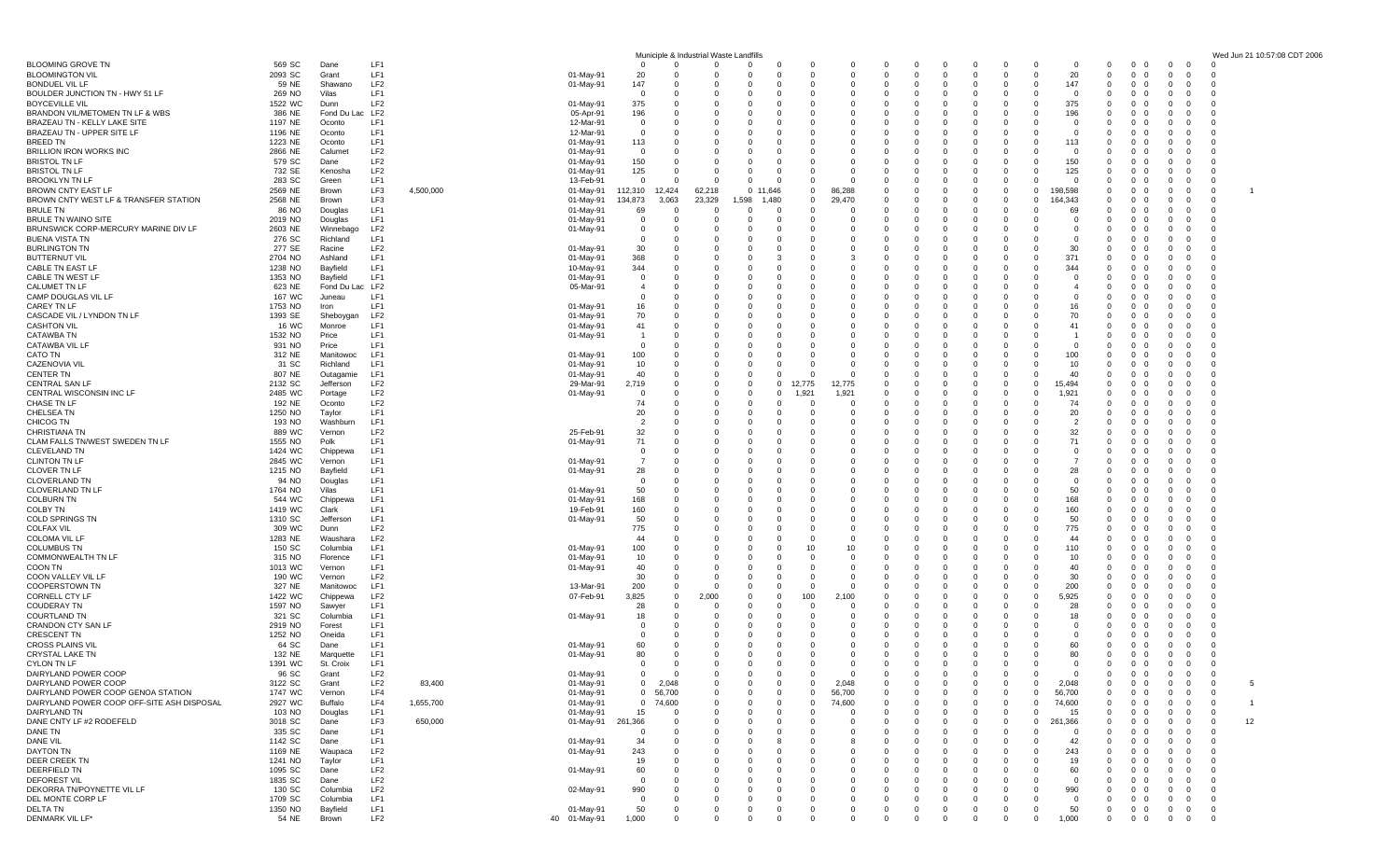|                                                                                  |                    |                       |                        |           |                        |                            |                      | Municiple & Industrial Waste Landfills |                      |                                                 |                             |               |                                |                                  |          |                                          |                          |                                                        |                                                             |                                  | Wed Jun 21 10:57:08 CDT 2006 |
|----------------------------------------------------------------------------------|--------------------|-----------------------|------------------------|-----------|------------------------|----------------------------|----------------------|----------------------------------------|----------------------|-------------------------------------------------|-----------------------------|---------------|--------------------------------|----------------------------------|----------|------------------------------------------|--------------------------|--------------------------------------------------------|-------------------------------------------------------------|----------------------------------|------------------------------|
| <b>BLOOMING GROVE TN</b>                                                         | 569 SC             | Dane                  | LF1<br>LF1             |           |                        | $\Omega$                   | $\Omega$             | $\Omega$                               | $\Omega$             | $\Omega$<br>-C<br>$\Omega$<br><sup>c</sup>      | 0<br>$\mathbf 0$            | 0<br>$\Omega$ | $\Omega$<br>- 0<br>$\mathbf 0$ | - 0<br>$\Omega$                  |          | - 0<br>20<br>$\Omega$                    | $\Omega$                 | $\overline{0}$<br>$\Omega$<br>$\mathbf{0}$<br>$\Omega$ | $\Omega$<br>- 0                                             | $\Omega$                         |                              |
| <b>BLOOMINGTON VIL</b><br><b>BONDUEL VIL LF</b>                                  | 2093 SC<br>59 NE   | Grant<br>Shawano      | LF <sub>2</sub>        |           | 01-May-91<br>01-May-91 | 20<br>147                  |                      | 0<br>- 0                               | - 0                  | 0<br>0                                          | $\mathbf{0}$                | 0             | 0                              | - 0<br>- 0                       |          | 147<br>$\Omega$                          | 0<br>$\Omega$            | $\mathbf{0}$<br>- 0                                    |                                                             |                                  |                              |
| BOULDER JUNCTION TN - HWY 51 LF                                                  | 269 NO             | Vilas                 | LF <sub>1</sub>        |           |                        | $\Omega$                   |                      | $\Omega$                               | $\Omega$             | $\Omega$<br>$\Omega$                            | $\Omega$                    | $\Omega$      | $\Omega$                       | $\Omega$                         |          | $\Omega$<br>$\Omega$                     | $\Omega$                 | $\Omega$<br>$\Omega$                                   |                                                             |                                  |                              |
| <b>BOYCEVILLE VIL</b>                                                            | 1522 WC            | Dunn                  | LF <sub>2</sub>        |           | 01-May-91              | 375                        |                      | $\Omega$                               |                      | 0<br>-C                                         | 0                           |               | $\Omega$                       |                                  |          | 375                                      | $\Omega$                 | $\mathbf{0}$                                           |                                                             |                                  |                              |
| BRANDON VIL/METOMEN TN LF & WBS                                                  | 386 NE             | Fond Du Lac LF2       |                        |           | 05-Apr-91              | 196                        | - 0                  | - 0                                    | $\Omega$<br>$\Omega$ | 0<br>0                                          | $\mathbf{0}$                | $\Omega$      | $\Omega$<br>$\Omega$           | - 0                              |          | 196<br>$\Omega$                          | $\Omega$                 | $\mathbf{0}$<br>- 0                                    | റ                                                           | -0                               |                              |
| BRAZEAU TN - KELLY LAKE SITE<br>BRAZEAU TN - UPPER SITE LF                       | 1197 NE<br>1196 NE | Oconto<br>Oconto      | LF1<br>LF1             |           | 12-Mar-91<br>12-Mar-91 | $\overline{0}$<br>$\Omega$ | $\Omega$             | $\Omega$<br>$\overline{0}$             |                      | $\Omega$<br>$\Omega$<br>$\Omega$                | $\Omega$<br>0               | $\Omega$<br>0 | $\Omega$                       | $\Omega$                         |          | $\Omega$<br>$\Omega$<br>$\Omega$         | $\Omega$<br>$\Omega$     | $\Omega$<br>$\Omega$<br>$\mathbf{0}$                   | റ                                                           | - 0<br>-0                        |                              |
| BREED TN                                                                         | 1223 NE            | Oconto                | LF1                    |           | 01-May-91              | 113                        |                      | $\overline{0}$                         | $\Omega$             | $\Omega$<br>$\Omega$                            | $\Omega$                    | 0             | $\Omega$                       | $\Omega$                         |          | 113<br>$\Omega$                          | $\Omega$                 | $\mathbf{0}$<br>0                                      |                                                             | - 0                              |                              |
| BRILLION IRON WORKS INC                                                          | 2866 NE            | Calumet               | LF <sub>2</sub>        |           | 01-May-91              | $\Omega$                   |                      | - 0                                    |                      | $\Omega$<br>-C                                  | $\Omega$                    | 0             | $\Omega$                       |                                  |          | $\Omega$                                 | $\Omega$                 | $\mathbf{0}$<br>$\Omega$                               |                                                             |                                  |                              |
| <b>BRISTOL TN LF</b>                                                             | 579 SC             | Dane                  | LF <sub>2</sub>        |           | 01-May-91              | 150                        |                      | $\Omega$                               |                      | $\Omega$                                        | $\Omega$                    |               | $\Omega$                       |                                  |          | 150                                      | $\Omega$                 | $\mathbf{0}$                                           |                                                             |                                  |                              |
| <b>BRISTOL TN LF</b><br><b>BROOKLYN TN LF</b>                                    | 732 SE<br>283 SC   | Kenosha<br>Green      | LF <sub>2</sub><br>LF1 |           | 01-May-91<br>13-Feb-91 | 125<br>$\Omega$            |                      | $\Omega$<br>$\Omega$                   | $\Omega$<br>$\Omega$ | $\Omega$<br>0<br>$\mathbf 0$<br>$\Omega$        | $\Omega$<br>$\Omega$        | 0<br>0        | $\Omega$<br>$\Omega$           | - 0                              |          | 125<br>$\Omega$<br>$\Omega$<br>$\Omega$  | $\Omega$<br>$\Omega$     | $\mathbf{0}$<br>$\overline{0}$<br>0<br>$\Omega$        | $\Omega$<br>- 0                                             | -0<br>$\Omega$                   |                              |
| BROWN CNTY EAST LF                                                               | 2569 NE            | Brown                 | LF3                    | 4,500,000 | 01-May-91              | 112,310                    | 12,424               | 62,218                                 | 0 11,646             | $\mathbf 0$                                     | 86,288                      |               | $\Omega$                       |                                  |          | 198,598<br>$\Omega$                      | $\Omega$                 | $\mathbf{0}$                                           |                                                             | 0                                |                              |
| BROWN CNTY WEST LF & TRANSFER STATION                                            | 2568 NE            | Brown                 | LF3                    |           | 01-May-91              | 134,873                    | 3,063                | 23,329                                 | 1,598<br>1,480       | $\Omega$                                        | 29.470                      | 0             | $\Omega$                       | - 0                              |          | 164,343<br>$\Omega$                      | $\Omega$                 | $\mathbf{0}$<br>$\Omega$                               | $^{\circ}$                                                  | -0                               |                              |
| <b>BRULE TN</b>                                                                  | 86 NO              | Douglas               | LF1<br>LF1             |           | 01-May-91              | 69<br>$\Omega$             |                      | $\overline{0}$<br>$\Omega$             | $\Omega$<br>$\Omega$ | $\Omega$<br>$\Omega$<br>$\Omega$<br>$\Omega$    | $\Omega$<br>$\Omega$        | 0<br>O        | $\Omega$<br>$\Omega$           | $\Omega$<br>$\Omega$             |          | 69<br>$\Omega$<br>$\Omega$               | $\Omega$<br>$\Omega$     | $\Omega$<br>$\Omega$<br>$\Omega$                       |                                                             | $\Omega$<br>- 0                  |                              |
| BRULE TN WAINO SITE<br>BRUNSWICK CORP-MERCURY MARINE DIV LF                      | 2019 NO<br>2603 NE | Douglas<br>Winnebago  | LF <sub>2</sub>        |           | 01-May-91<br>01-May-91 | $\Omega$                   | - 0                  | $\Omega$                               | $\Omega$             | $\Omega$<br>0                                   | $\Omega$                    | 0             | $\Omega$                       | - 0                              |          | $\Omega$<br>റ                            | $\Omega$                 | $\mathbf{0}$<br>- 0                                    | 0<br>- 0                                                    | -0                               |                              |
| <b>BUENA VISTA TN</b>                                                            | 276 SC             | Richland              | LF1                    |           |                        | 0                          |                      | - 0                                    | - 0                  | 0<br>0                                          | 0                           | 0             | $\Omega$                       |                                  |          | $^{\circ}$                               | -0                       | 0<br>0                                                 |                                                             | -0                               |                              |
| <b>BURLINGTON TN</b>                                                             | 277 SE             | Racine                | LF <sub>2</sub>        |           | 01-May-91              | 30                         |                      | $\Omega$                               | $\Omega$             | $\Omega$<br>ſ                                   | $\Omega$                    | $\Omega$      | $\Omega$                       | $\Omega$                         |          | 30<br>$\Omega$                           | - 0                      | $\Omega$                                               |                                                             | - 0                              |                              |
| <b>BUTTERNUT VIL</b>                                                             | 2704 NO            | Ashland               | LF1                    |           | 01-May-91              | 368                        |                      | 0                                      |                      | $\Omega$                                        | 3                           |               | $\Omega$                       |                                  |          | 371                                      | $\Omega$                 | $\mathbf{0}$<br>$\Omega$                               |                                                             |                                  |                              |
| CABLE TN EAST LF<br>CABLE TN WEST LF                                             | 1238 NO<br>1353 NO | Bayfield<br>Bayfield  | LF1<br>LF1             |           | 10-May-91<br>01-May-91 | 344<br>$\Omega$            |                      | $\overline{0}$<br>$\Omega$             |                      | 0<br>$\Omega$<br>$\Omega$                       | 0<br>$\Omega$               | 0<br>$\Omega$ | $\Omega$<br>$\Omega$           |                                  |          | 344<br>$\Omega$                          | $\Omega$<br>$\Omega$     | 0<br>0<br>$\Omega$                                     |                                                             |                                  |                              |
| CALUMET TN LF                                                                    | 623 NE             | Fond Du Lac LF2       |                        |           | 05-Mar-91              |                            |                      | $\Omega$                               |                      | $\Omega$<br>0                                   | $\Omega$                    | 0             | $\Omega$                       |                                  |          |                                          | $\Omega$                 | $\mathbf{0}$<br>$\Omega$                               |                                                             | -0                               |                              |
| CAMP DOUGLAS VIL LF                                                              | 167 WC             | Juneau                | LF1                    |           |                        | $\mathbf 0$                |                      | - 0                                    | $\Omega$             | 0<br>0                                          | 0                           | 0             | $\Omega$                       |                                  |          | $\Omega$<br>$\Omega$                     | $\Omega$                 | 0<br>$\Omega$                                          |                                                             | -0                               |                              |
| CAREY TN LF                                                                      | 1753 NO            | Iron                  | LF <sub>1</sub>        |           | 01-May-91              | 16                         | - 0                  | $\Omega$                               | $\Omega$             | $\Omega$<br>$\Omega$                            | $\Omega$                    | 0             | $\Omega$                       | - 0                              |          | 16<br>$\Omega$                           | $\Omega$                 | $\Omega$<br>$\Omega$                                   |                                                             | -0                               |                              |
| CASCADE VIL / LYNDON TN LF<br><b>CASHTON VIL</b>                                 | 1393 SE<br>16 WC   | Sheboygan<br>Monroe   | LF <sub>2</sub><br>LF1 |           | 01-May-91<br>01-May-91 | 70<br>41                   |                      | $\overline{0}$<br>$\overline{0}$       |                      | $\Omega$<br>-C<br>0<br>$\Omega$                 | $\mathbf 0$<br>0            | 0<br>0        | $\Omega$<br>$\Omega$           | - 0                              |          | 70<br>41                                 | $\Omega$<br>$\Omega$     | $\mathbf{0}$<br>$\Omega$<br>$\mathbf{0}$<br>0          |                                                             | -0                               |                              |
| <b>CATAWBA TN</b>                                                                | 1532 NO            | Price                 | LF <sub>1</sub>        |           | 01-May-91              |                            | - 0                  | $\Omega$                               |                      | $\Omega$<br>$\Omega$                            | $\Omega$                    | $\Omega$      | $\Omega$                       | $\Omega$                         |          | $\Omega$                                 | $\Omega$                 | $\Omega$<br>$\Omega$                                   |                                                             |                                  |                              |
| CATAWBA VIL LI                                                                   | 931 NO             | Price                 | LF1                    |           |                        |                            |                      | $\Omega$                               |                      | $\Omega$                                        | $\Omega$                    |               | $\Omega$                       |                                  |          |                                          | $\Omega$                 | $\mathbf{0}$                                           |                                                             |                                  |                              |
| CATO TN                                                                          | 312 NE             | Manitowoc             | LF1                    |           | 01-May-91              | 100                        | - 0                  | - 0                                    | - 0                  | $\mathbf 0$<br>$\Omega$                         | 0                           | 0             | $\Omega$                       | - 0                              |          | 100<br>$\Omega$                          | $\Omega$                 | $\mathbf{0}$<br>- 0                                    |                                                             | -0                               |                              |
| <b>CAZENOVIA VII</b><br><b>CENTER TN</b>                                         | 31 SC<br>807 NE    | Richland<br>Outagamie | LF1<br>LF1             |           | 01-May-91<br>01-May-91 | 10<br>40                   | $\Omega$             | - 0<br>$\overline{0}$                  | $\Omega$<br>$\Omega$ | $\Omega$<br>$\Omega$<br>$\Omega$<br>0           | $\Omega$<br>$\mathbf 0$     | $\Omega$<br>0 | $\Omega$<br>$\Omega$           | $\Omega$                         |          | 10<br>$\Omega$<br>40                     | $\Omega$<br>$\Omega$     | $\Omega$<br>$\Omega$<br>$\mathbf{0}$                   |                                                             | - 0<br>-0                        |                              |
| <b>CENTRAL SAN LF</b>                                                            | 2132 SC            | Jefferson             | LF <sub>2</sub>        |           | 29-Mar-91              | 2,719                      |                      | $\overline{0}$                         | $\Omega$             | 12,775<br>$\Omega$                              | 12,775                      | 0             | $\Omega$                       | $\Omega$                         |          | 15,494<br>$\Omega$                       | $\Omega$                 | $\mathbf{0}$<br>$\Omega$                               |                                                             | $\epsilon$                       |                              |
| CENTRAL WISCONSIN INC LF                                                         | 2485 WC            | Portage               | LF <sub>2</sub>        |           | 01-May-91              | $\Omega$                   |                      | $\overline{0}$                         | $\Omega$             | 1,921<br>$\Omega$                               | 1,921                       | 0             | $\Omega$                       |                                  |          | 1,921                                    | $\Omega$                 | 0<br>$\Omega$                                          |                                                             |                                  |                              |
| CHASE TN LF                                                                      | 192 NE             | Oconto                | LF <sub>2</sub>        |           |                        | 74                         |                      | $\Omega$                               |                      | $\Omega$<br>0                                   | $\Omega$                    | O             | $\Omega$                       |                                  |          | 74                                       | $\Omega$                 | 0                                                      |                                                             |                                  |                              |
| CHELSEA TN<br>CHICOG TN                                                          | 1250 NO<br>193 NO  | Taylor<br>Washburn    | LF1<br>LF1             |           |                        | 20<br>$\overline{2}$       | - 0                  | $\Omega$<br>$\overline{0}$             | - 0<br>$\Omega$      | $\Omega$<br>0<br>$\Omega$<br>$\Omega$           | $\Omega$<br>$\mathbf 0$     | $\Omega$<br>0 | $\Omega$<br>$\Omega$           | - 0                              |          | 20<br>$\Omega$<br>$\overline{2}$         | $\Omega$<br>$\Omega$     | $\mathbf{0}$<br>- 0<br>0<br>$\Omega$                   | 0<br>- 0                                                    | -0<br>$\Omega$                   |                              |
| CHRISTIANA TN                                                                    | 889 WC             | Vernon                | LF <sub>2</sub>        |           | 25-Feb-91              | 32                         |                      | $\overline{0}$                         | $\Omega$             | $\Omega$<br>0                                   | $\mathbf 0$                 | 0             | $\Omega$                       | $\Omega$                         |          | 32<br>$\Omega$                           | $\Omega$                 | $\mathbf{0}$<br>$\Omega$                               |                                                             | - 0                              |                              |
| CLAM FALLS TN/WEST SWEDEN TN LF                                                  | 1555 NO            | Polk                  | LF1                    |           | 01-May-91              | 71                         |                      | $\overline{0}$                         |                      | $\Omega$<br>-0                                  | $\Omega$                    | 0             | $\Omega$                       | - 0                              |          | 71<br>$\Omega$                           | $\Omega$                 | $\mathbf{0}$<br>$\Omega$                               |                                                             | -0                               |                              |
| <b>CLEVELAND TN</b>                                                              | 1424 WC            | Chippewa              | LF1<br>LF1             |           |                        | $\Omega$                   |                      | $\Omega$<br>$\Omega$                   |                      | $\Omega$<br>-C<br>$\Omega$                      | $\Omega$<br>$\Omega$        | 0<br>$\Omega$ | $\Omega$<br>$\Omega$           |                                  |          | $\Omega$                                 | $\Omega$                 | 0<br>$\Omega$                                          |                                                             |                                  |                              |
| <b>CLINTON TN LF</b><br><b>CLOVER TN LF</b>                                      | 2845 WC<br>1215 NO | Vernon<br>Bayfield    | LF1                    |           | 01-May-91<br>01-May-91 | 28                         |                      | $\Omega$                               |                      | $\Omega$<br>$\Omega$<br>0                       | $\Omega$                    | 0             | $\Omega$                       | - 0                              |          | 28<br>റ                                  | - 0<br>$\Omega$          | $\mathbf{0}$<br>$\mathbf{0}$<br>- 0                    | 0                                                           | -0                               |                              |
| <b>CLOVERLAND TN</b>                                                             | 94 NO              | Douglas               | LF1                    |           |                        | $\mathbf 0$                |                      | - 0                                    | - 0                  | 0<br>0                                          | 0                           | 0             | $\Omega$                       | - 0                              |          | $\Omega$<br>$\Omega$                     | $\Omega$                 | 0<br>0                                                 |                                                             | -0                               |                              |
| CLOVERLAND TN LF                                                                 | 1764 NO            | Vilas                 | LF1                    |           | 01-May-91              | 50                         |                      | $\Omega$                               | $\Omega$             | $\Omega$                                        | $\Omega$                    | $\Omega$      | $\Omega$                       |                                  |          | 50                                       | $\Omega$                 | $\Omega$                                               |                                                             | - 0                              |                              |
| <b>COLBURN TN</b>                                                                | 544 WC             | Chippewa              | LF1<br>LF1             |           | 01-May-91              | 168                        |                      | $\overline{0}$                         |                      | $\Omega$                                        | 0                           | 0             | $\Omega$<br>$\Omega$           | $\Omega$                         |          | 168<br>$\Omega$                          | $\Omega$<br>$\Omega$     | $\mathbf{0}$<br>$\Omega$                               |                                                             | -0                               |                              |
| COLBY TN<br><b>COLD SPRINGS TN</b>                                               | 1419 WC<br>1310 SC | Clark<br>Jefferson    | LF1                    |           | 19-Feb-91<br>01-May-91 | 160<br>50                  |                      | - 0<br>$\Omega$                        |                      | 0<br>0<br>$\Omega$<br>$\Omega$                  | $\mathbf{0}$<br>$\Omega$    | 0<br>$\Omega$ | $\Omega$                       |                                  |          | 160<br>50                                | $\Omega$                 | $\mathbf{0}$<br>- 0<br>$\Omega$<br>$\Omega$            |                                                             |                                  |                              |
| <b>COLFAX VIL</b>                                                                | 309 WC             | Dunn                  | LF <sub>2</sub>        |           |                        | 775                        |                      | 0                                      |                      | $\Omega$<br>0                                   | 0                           | 0             | $\Omega$                       |                                  |          | 775                                      | $\Omega$                 | $\mathbf{0}$<br>$\Omega$                               | $\Omega$                                                    | -0                               |                              |
| <b>COLOMA VIL LF</b>                                                             | 1283 NE            | Waushara              | LF <sub>2</sub>        |           |                        | 44                         | - 0                  | - 0                                    | $\Omega$             | $\mathbf 0$<br>0                                | $^{\circ}$                  | 0             | $\Omega$                       | - 0                              |          | 44<br>$\Omega$                           | $\Omega$                 | $\mathbf{0}$<br>$\Omega$                               |                                                             | -0                               |                              |
| <b>COLUMBUS TN</b>                                                               | 150 SC             | Columbia              | LF1<br>LF1             |           | 01-May-91              | 100                        | - 0                  | $\Omega$<br>$\overline{0}$             | $\Omega$             | 10<br>0<br>$\Omega$                             | 10                          | $\Omega$<br>0 | $\Omega$<br>$\Omega$           | - 0                              |          | 110<br>$\Omega$<br>10                    | $\Omega$<br>$\Omega$     | $\Omega$<br>$\Omega$                                   |                                                             | -0                               |                              |
| COMMONWEALTH TN LF<br>COON TN                                                    | 315 NO<br>1013 WC  | Florence<br>Vernon    | LF1                    |           | 01-May-91<br>01-May-91 | 10<br>40                   |                      | $\overline{0}$                         |                      | $\Omega$<br>ſ                                   | 0<br>0                      | 0             | $\Omega$                       | - 0                              |          | 40<br>$\Omega$                           | $\Omega$                 | $\mathbf{0}$<br>$\mathbf{0}$<br>0                      |                                                             | -0<br>-0                         |                              |
| COON VALLEY VIL LF                                                               | 190 WC             | Vernon                | LF <sub>2</sub>        |           |                        | 30                         | $\Omega$             | - 0                                    |                      | $\Omega$<br>$\Omega$                            | $\Omega$                    | $\Omega$      | $\Omega$                       |                                  |          | 30<br>$\Omega$                           | $\Omega$                 | $\Omega$<br>$\Omega$                                   |                                                             |                                  |                              |
| COOPERSTOWN TN                                                                   | 327 NE             | Manitowoc             | LF1                    |           | 13-Mar-91              | 200                        | - 0                  | - 0                                    | $\Omega$             | 0<br>0                                          | $\Omega$                    | 0             | $\Omega$                       |                                  |          | 200<br>$\Omega$                          | $\Omega$                 | $\mathbf{0}$<br>- 0                                    |                                                             | -0                               |                              |
| CORNELL CTY LF<br><b>COUDERAY TN</b>                                             | 1422 WC<br>1597 NO | Chippewa<br>Sawyer    | LF <sub>2</sub><br>LF1 |           | 07-Feb-91              | 3,825<br>28                | - 0<br>$\Omega$      | 2,000<br>$\Omega$                      | - 0<br>$\Omega$      | 100<br>$\Omega$<br>$\Omega$<br>$\Omega$         | 2,100<br>$\Omega$           | 0<br>$\Omega$ | $\Omega$<br>$\Omega$           | - 0<br>$\Omega$                  |          | 5,925<br>റ<br>28                         | $\Omega$<br>$\Omega$     | $\mathbf{0}$<br>- 0<br>$\Omega$<br>$\Omega$            |                                                             | -0<br>- 0                        |                              |
| <b>COURTLAND TN</b>                                                              | 321 SC             | Columbia              | LF1                    |           | 01-May-91              | 18                         |                      | $^{\circ}$                             | $\Omega$             | $\Omega$<br>-C                                  | 0                           | 0             | $\Omega$                       | $\Omega$                         |          | 18                                       | $\Omega$                 | $\mathbf{0}$                                           |                                                             | -0                               |                              |
| CRANDON CTY SAN LF                                                               | 2919 NO            | Forest                | LF1                    |           |                        | $\Omega$                   |                      | $\Omega$                               | - 0                  | $\Omega$<br>$\Omega$                            | $\Omega$                    | 0             | $\Omega$                       | - 0                              |          | $\mathbf 0$<br>$\Omega$                  | $\Omega$                 | $\mathbf{0}$<br>0                                      |                                                             | - 0                              |                              |
| <b>CRESCENT TN</b>                                                               | 1252 NO            | Oneida                | LF1                    |           |                        | $\Omega$                   |                      | - 0                                    |                      | $\Omega$<br>0                                   | 0                           | $\Omega$      | $\Omega$                       |                                  |          | $\Omega$                                 | $\Omega$                 | $\mathbf{0}$<br>$\Omega$                               |                                                             |                                  |                              |
| <b>CROSS PLAINS VIL</b><br>CRYSTAL LAKE TN                                       | 64 SC<br>132 NE    | Dane<br>Marquette     | LF1<br>LF1             |           | 01-May-91<br>01-May-91 | 60<br>80                   | - 0                  | $\Omega$<br>0                          | $\Omega$<br>$\Omega$ | $\Omega$<br>0<br>0<br>0                         | $\mathbf 0$<br>$\mathbf{0}$ | $\Omega$<br>0 | $\mathbf 0$<br>$\mathbf{0}$    | $\Omega$<br>$\Omega$<br>$\Omega$ | - 0      | 60<br>$\Omega$<br>80<br>$\Omega$         | $\Omega$<br>$\mathbf{0}$ | $\mathbf{0}$<br>$\Omega$<br>$0\quad 0$                 | - 0<br>- 0                                                  | -0                               |                              |
| CYLON TN LF                                                                      | 1391 WC            | St. Croix             | LF <sub>1</sub>        |           |                        | $\Omega$                   |                      | $\Omega$                               | $\Omega$             | $\Omega$<br>$\Omega$                            | $\mathbf 0$                 | $\mathbf 0$   | $\mathbf{0}$                   | $\Omega$                         |          | $\Omega$<br>$\Omega$                     | $\mathbf 0$              | $0\quad 0$                                             | $\mathbf{0}$<br>$\Omega$                                    | $\Omega$                         |                              |
| DAIRYLAND POWER COOP                                                             | 96 SC              | Gran                  | LF2                    |           | 01-May-91              |                            |                      |                                        |                      |                                                 |                             |               |                                |                                  |          |                                          |                          |                                                        |                                                             |                                  |                              |
| DAIRYLAND POWER COOP                                                             | 3122 SC            | Grant                 | LF <sub>2</sub>        | 83,400    | 01-May-91              | $\overline{0}$             | 2,048                | $\mathbf 0$                            | - 0                  | $\mathbf 0$<br>$\Omega$                         | 2,048                       | 0             | 0                              | - 0                              |          | 2,048<br>$\Omega$                        | $\mathbf{0}$             | $\overline{0}$<br>$\mathbf{0}$                         | $\mathbf{0}$<br>0                                           | 5<br>$^{\circ}$                  |                              |
| DAIRYLAND POWER COOP GENOA STATION<br>DAIRYLAND POWER COOP OFF-SITE ASH DISPOSAL | 1747 WC<br>2927 WC | Vernon<br>Buffalo     | LF4<br>LF4             | 1,655,700 | 01-May-91<br>01-May-91 |                            | 0 56,700<br>0 74,600 | $\Omega$<br>n                          | - 0                  | $\mathbf 0$<br>$\Omega$<br>$\Omega$<br>$\Omega$ | 56,700<br>74,600            |               | $\Omega$<br>$\Omega$           |                                  |          | 56,700<br>$\Omega$<br>74,600<br>$\Omega$ | $\Omega$<br>$\Omega$     | $\mathbf{0}$<br>$\Omega$<br>$\mathbf{0}$<br>- 0        | $\Omega$<br>$\Omega$<br>- 0                                 | $^{\circ}$<br>- 0<br>-1          |                              |
| DAIRYLAND TN                                                                     | 103 NO             | Douglas               | LF1                    |           | 01-May-91              | 15                         | - 0                  | $\Omega$                               | - 0                  | $\Omega$<br>0                                   | - 0                         | 0             | $\Omega$                       | - 0                              | <u>n</u> | 15<br>$\Omega$                           | $\Omega$                 | $^{\circ}$<br>$\mathbf{0}$                             | - 0<br>0                                                    | - 0                              |                              |
| DANE CNTY LF #2 RODEFELD                                                         | 3018 SC            | Dane                  | LF3                    | 650,000   | 01-May-91              | 261,366                    | - 0                  | - 0                                    | - 0                  | 0<br>0                                          | $\mathbf 0$                 | 0             | $\Omega$                       | - 0                              |          | 261,366<br>$^{\circ}$                    | $\mathbf 0$              | $\mathbf{0}$<br>0                                      | 0<br>0                                                      | 12<br>$\overline{0}$             |                              |
| DANE TN                                                                          | 335 SC             | Dane                  | LF1                    |           |                        | $\Omega$                   | - 0                  | - 0                                    | - 0                  | $\Omega$<br>$\Omega$                            | $\Omega$                    |               |                                | $\Omega$                         |          | $\Omega$<br>n                            | $\Omega$                 | $\mathbf{0}$<br>$\Omega$                               | $\Omega$<br>റ                                               | $\overline{0}$                   |                              |
| DANE VIL<br>DAYTON TN                                                            | 1142 SC<br>1169 NE | Dane<br>Waupaca       | LF1<br>LF <sub>2</sub> |           | 01-May-91<br>01-May-91 | 34<br>243                  |                      | 0<br>- 0                               |                      | $\Omega$<br>0<br>0                              | 8<br>0                      | 0             | 0<br>0                         | - 0                              |          | 42<br>243<br>- 0                         | $\Omega$<br>$\mathbf 0$  | $\mathbf{0}$<br>$\Omega$<br>$\mathbf{0}$<br>- 0        | $\Omega$<br>0                                               | $^{\circ}$<br>$^{\circ}$         |                              |
| DEER CREEK TN                                                                    | 1241 NO            | Taylor                | LF1                    |           |                        | 19                         | - 0                  | $\Omega$                               | - 0                  | $\Omega$<br>$\Omega$                            | $\Omega$                    | O             | $\Omega$                       | $\Omega$                         |          | 19<br>റ                                  | $\Omega$                 | $\overline{0}$<br>$\Omega$                             | $\Omega$<br>റ                                               | - 0                              |                              |
| DEERFIELD TN                                                                     | 1095 SC            | Dane                  | LF <sub>2</sub>        |           | 01-May-91              | 60                         |                      | 0                                      |                      | 0<br>-0                                         | 0                           | 0             | 0                              |                                  |          | 60                                       | 0                        | $^{\circ}$<br>$\overline{\mathbf{0}}$                  | $\Omega$<br>0                                               | $^{\circ}$                       |                              |
| <b>DEFOREST VIL</b>                                                              | 1835 SC            | Dane                  | LF <sub>2</sub>        |           |                        | - 0                        |                      | - 0                                    |                      | 0                                               | 0                           |               |                                |                                  |          | $^{\circ}$                               | $\mathbf 0$              | 0<br>- 0                                               | 0                                                           | $^{\circ}$                       |                              |
| DEKORRA TN/POYNETTE VIL LF<br>DEL MONTE CORP LF                                  | 130 SC<br>1709 SC  | Columbia<br>Columbia  | LF <sub>2</sub><br>LF1 |           | 02-May-91              | 990<br>$\Omega$            |                      | - 0<br>0                               |                      | $\Omega$<br>-0<br>$\Omega$<br>0                 | $\Omega$<br>0               | 0             | $\Omega$<br>0                  | $\Omega$<br>$\Omega$             |          | 990<br>$\Omega$<br>$\Omega$<br>- 0       | $\Omega$<br>$\mathbf 0$  | $\mathbf{0}$<br>$\Omega$<br>$^{\circ}$<br>$\mathbf{0}$ | $\Omega$<br>$\Omega$<br>$\Omega$<br>$\overline{\mathbf{0}}$ | $\overline{0}$<br>$\overline{0}$ |                              |
| DELTA TN                                                                         | 1350 NO            | Bayfield              | LF1                    |           | 01-May-91              | 50                         | - 0                  | $\overline{0}$                         | 0                    | $\mathbf 0$<br>0                                | $\overline{0}$              | 0             | $\overline{0}$                 | $\overline{0}$<br>$\mathbf{0}$   | - 0      | 50<br>$\overline{0}$                     | $\mathbf{0}$             | $0\quad 0$                                             | $\mathbf{0}$<br>$\overline{0}$                              | $\overline{0}$                   |                              |
| DENMARK VIL LF*                                                                  | 54 NE              | Brown                 | LF <sub>2</sub>        |           | 40 01-May-91           | 1,000                      | $\Omega$             | $\mathbf 0$                            | $\Omega$             | $\Omega$<br>- 0                                 | $\Omega$                    | $\Omega$      | $\mathbf{0}$                   | $\Omega$<br>$\Omega$             | $\Omega$ | 1,000<br>$\mathbf{0}$                    | $\mathbf 0$              | $0\quad 0$                                             | $\mathbf{0}$<br>$\overline{0}$                              | $\overline{0}$                   |                              |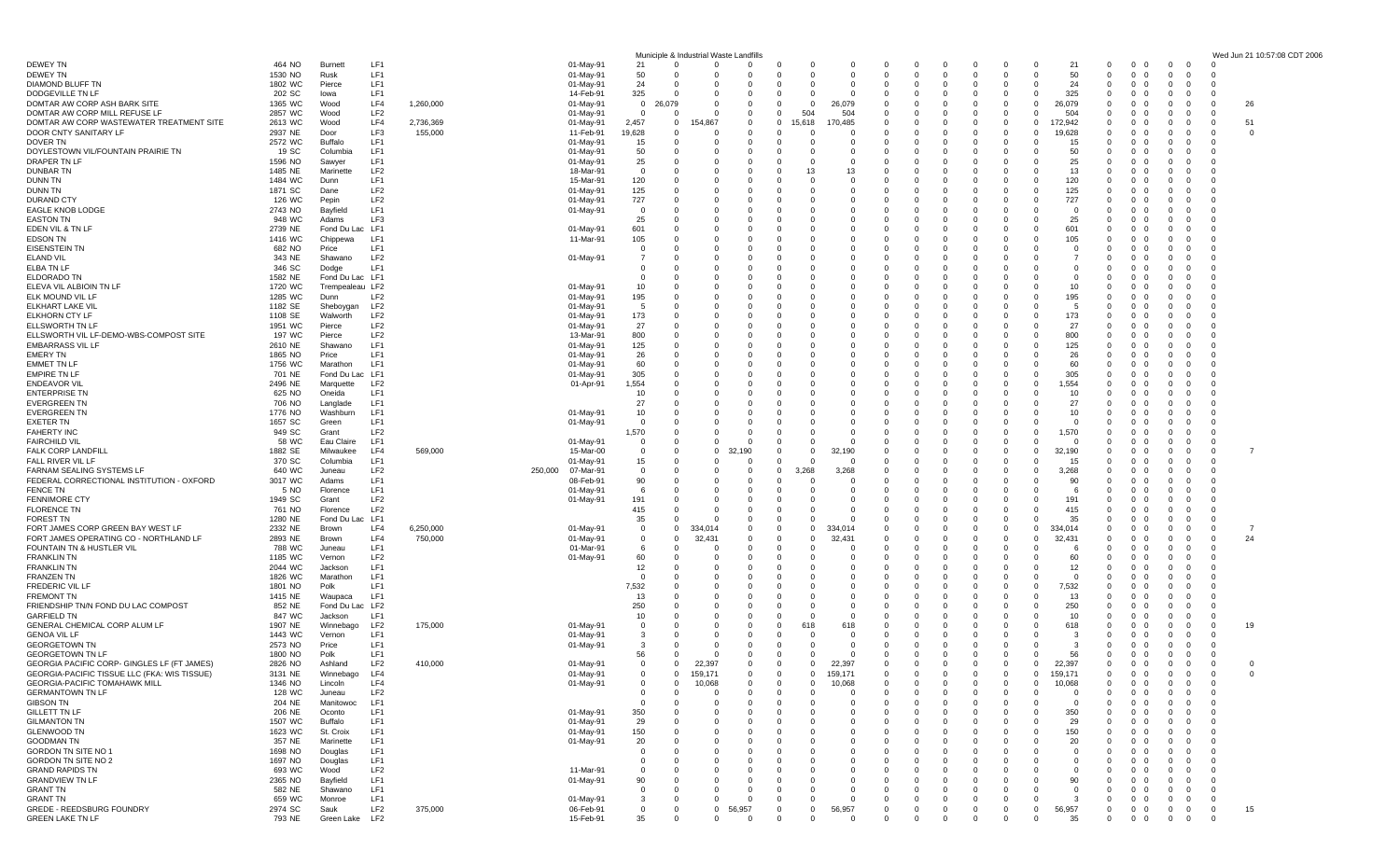|                                                    |                    |                  |                 |           |                      |                             | Municiple & Industrial Waste Landfil |                |                          |                |                            |                                             |                     |                                                        |                                         |                         | Wed Jun 21 10:57:08 CDT 2006 |
|----------------------------------------------------|--------------------|------------------|-----------------|-----------|----------------------|-----------------------------|--------------------------------------|----------------|--------------------------|----------------|----------------------------|---------------------------------------------|---------------------|--------------------------------------------------------|-----------------------------------------|-------------------------|------------------------------|
| DEWEY TN                                           | 464 NO             | <b>Burnett</b>   | LF1             |           | 01-May-91            | 21                          | $\Omega$<br>$\Omega$                 |                | $\Omega$<br>0            | -0             |                            |                                             | 21                  | $^{\circ}$<br>$\mathbf{0}$<br>$\Omega$                 | $\Omega$<br>$\Omega$                    |                         |                              |
| <b>DEWEY TN</b>                                    | 1530 NO            | Rusk             | LF1             |           | 01-May-91            | 50                          |                                      |                | 0<br>0                   | O              |                            |                                             | 50                  | $\Omega$<br>0<br>- 0                                   | $\mathbf{0}$<br>$\Omega$                |                         |                              |
| DIAMOND BLUFF TN                                   | 1802 WC            | Pierce           | LF1             |           | 01-May-91            | 24<br>- 0                   | 0                                    |                | 0<br>0                   | - 0            | $\Omega$<br>0              | - 0<br><u>n</u>                             | 24                  | $^{\circ}$<br>0<br>- 0                                 | - 0<br>- 0                              | - 0                     |                              |
| DODGEVILLE TN LF                                   | 202 SC             | lowa             | LF <sub>1</sub> |           | 14-Feb-91            | 325<br>- 0                  |                                      |                | $\Omega$<br>O            | O              |                            |                                             | 325                 | $\Omega$<br>$\Omega$<br>$\Omega$                       |                                         |                         |                              |
| DOMTAR AW CORP ASH BARK SITE                       | 1365 WC            | Wood             | LF4             | 1,260,000 | 01-May-91            | $\mathbf 0$<br>26.079       |                                      |                | 0<br>0                   | 26,079         |                            |                                             | 26,079              | $\mathbf{0}$<br>0<br>$\Omega$                          |                                         | -26<br>- 0              |                              |
| DOMTAR AW CORP MILL REFUSE LF                      | 2857 WC            | Wood             | LF <sub>2</sub> |           | 01-May-91            | $\overline{0}$<br>- 0       | 0                                    |                | 504<br>$^{\circ}$        | 504            | 0                          | - 0                                         | 504                 | $\Omega$<br>0<br>- 0                                   | - 0                                     | - 0                     |                              |
| DOMTAR AW CORP WASTEWATER TREATMENT SITE           | 2613 WC            | Wood             | LF4             | 2,736,369 | 01-May-91            | 2,457                       | $\Omega$<br>154,867                  |                | $\Omega$<br>15,618       | 170,485        | O                          | $\Omega$                                    | 172,942<br>റ        | $\Omega$<br>$\Omega$<br>$\Omega$                       | $\Omega$<br>$\Omega$                    | 51<br>$\Omega$          |                              |
| DOOR CNTY SANITARY LF                              | 2937 NE            | Door             | LF3             | 155,000   | 11-Feb-91            | 19,628<br>- 0               | 0                                    |                | 0                        | 0              |                            |                                             | 19,628              | $\Omega$<br>0<br>0                                     | 0<br>0                                  | $\Omega$<br>0           |                              |
| DOVER TN                                           | 2572 WC            | Buffalo          | LF1             |           | 01-May-91            | 15<br>- 0                   | 0                                    |                | 0<br>0                   | - 0            | 0                          | $\Omega$                                    | 15                  | $\Omega$<br>0<br>- 0                                   | - 0<br>- 0                              | - 0                     |                              |
| DOYLESTOWN VIL/FOUNTAIN PRAIRIE TN                 | 19 SC              | Columbia         | LF1             |           | 01-May-91            | 50<br>$\Omega$              | 0                                    |                | 0<br>0                   | O              | 0<br>0                     |                                             | 50                  | $\Omega$<br>0<br>$\Omega$                              | $\Omega$                                | - 0                     |                              |
| DRAPER TN LF                                       | 1596 NO            | Sawyer           | LF1             |           | 01-May-91            | 25<br>$\Omega$              |                                      |                | 0                        |                |                            |                                             | 25                  | $\Omega$                                               |                                         |                         |                              |
| <b>DUNBAR TN</b>                                   | 1485 NE            | Marinette        | LF <sub>2</sub> |           | 18-Mar-91            | $\overline{0}$<br>- 0       | 0                                    |                | 13<br>$\Omega$           | 13             |                            |                                             | 13                  | $\Omega$<br>0<br>$\Omega$                              | 0                                       |                         |                              |
| <b>DUNN TN</b>                                     | 1484 WC            | Dunn             | LF1             |           | 15-Mar-91            | 120<br>- 0                  |                                      |                | $\Omega$<br>0            | O              | $\Omega$                   |                                             | 120                 | $\Omega$<br>$\Omega$<br>$\Omega$                       |                                         |                         |                              |
| DUNN TN                                            | 1871 SC            | Dane             | LF <sub>2</sub> |           | 01-May-91            | 125<br>- 0                  |                                      |                | 0                        |                |                            |                                             | 125                 | 0                                                      |                                         |                         |                              |
| DURAND CTY                                         | 126 WC             | Pepin            | LF2             |           | 01-May-91            | 727<br>-0                   | 0                                    |                | $\Omega$                 |                |                            |                                             | 727                 | $\Omega$<br>0<br>$\overline{0}$                        |                                         |                         |                              |
| <b>EAGLE KNOB LODGE</b>                            | 2743 NO            | Bayfield         | LF1             |           | 01-May-91            | $\overline{0}$<br>$\Omega$  |                                      |                | $\Omega$<br>0            | 0              |                            |                                             | $^{\circ}$          | $\Omega$<br>0                                          |                                         |                         |                              |
| <b>EASTON TN</b>                                   | 948 WC             | Adams            | LF3             |           |                      | 25<br>- 0                   |                                      |                | $\Omega$<br>O            | -C             |                            |                                             | 25                  | $\Omega$<br>0                                          |                                         |                         |                              |
| EDEN VIL & TN LF                                   | 2739 NE            | Fond Du Lac      | LF <sub>1</sub> |           | 01-May-91            | 601<br>- 0                  | 0                                    |                | $\Omega$                 |                |                            |                                             | 601                 | $\Omega$<br>$\Omega$<br>$\Omega$                       |                                         |                         |                              |
| <b>EDSON TN</b>                                    | 1416 WC            | Chippewa         | LF1             |           | 11-Mar-91            | 105<br>- 0                  | 0                                    |                | 0<br>0                   | 0              | 0                          |                                             | 105                 | $\mathbf{0}$<br>0<br>- 0                               | - 0                                     |                         |                              |
| <b>EISENSTEIN TN</b>                               | 682 NO             | Price            | LF1             |           |                      | $\Omega$<br>- 0             | <sup>0</sup>                         |                | $\Omega$                 | n              |                            |                                             | $\Omega$            | $\Omega$<br>$\Omega$<br>$\Omega$                       |                                         |                         |                              |
| ELAND VIL                                          | 343 NE             | Shawano          | LF2             |           | 01-May-91            | - 0                         |                                      |                | 0<br>0                   |                |                            |                                             |                     | $\Omega$<br>0<br>- 0                                   |                                         |                         |                              |
| ELBA TN LF                                         | 346 SC             |                  | LF1             |           |                      | $\overline{0}$<br>$\Omega$  | 0                                    |                | 0<br>0                   | 0              |                            |                                             | $^{\circ}$          | $\mathbf{0}$<br>0                                      |                                         |                         |                              |
|                                                    | 1582 NE            | Dodge            |                 |           |                      | $\Omega$<br>- 0             |                                      |                | $\Omega$<br>O            | -C             |                            |                                             | $\Omega$            | $\Omega$<br>$\Omega$                                   |                                         |                         |                              |
| ELDORADO TN                                        |                    | Fond Du Lac LF1  |                 |           |                      |                             |                                      |                |                          |                |                            |                                             |                     | $\Omega$<br>$\Omega$                                   |                                         |                         |                              |
| ELEVA VIL ALBIOIN TN LF                            | 1720 WC            | Trempealeau LF2  |                 |           | 01-May-91            | 10                          |                                      |                | 0<br>0                   |                |                            |                                             | 10                  | 0                                                      |                                         |                         |                              |
| ELK MOUND VIL LF                                   | 1285 WC            | Dunn             | LF <sub>2</sub> |           | 01-May-91            | 195<br>- 0                  | 0                                    |                | 0<br>0                   | 0              | 0                          |                                             | 195                 | $\mathbf{0}$<br>0<br>0                                 | - 0                                     |                         |                              |
| ELKHART LAKE VIL                                   | 1182 SE            | Sheboygar        | LF2             |           | 01-May-91            | -5<br>- 0                   |                                      |                | $\Omega$                 | -C             |                            |                                             | -5                  | $\Omega$<br>$\Omega$<br>$\Omega$                       | $\Omega$<br>0                           |                         |                              |
| ELKHORN CTY LF                                     | 1108 SE            | Walworth         | LF <sub>2</sub> |           | 01-May-91            | 173                         |                                      |                | $\Omega$                 |                |                            |                                             | 173                 | $\Omega$<br>0<br>$\Omega$                              |                                         |                         |                              |
| ELLSWORTH TN LF                                    | 1951 WC            | Pierce           | LF <sub>2</sub> |           | 01-May-91            | 27<br>- 0                   | <sup>0</sup>                         |                | 0<br>0                   | -0             |                            |                                             | 27                  | $\mathbf{0}$<br>0<br>- 0                               |                                         |                         |                              |
| ELLSWORTH VIL LF-DEMO-WBS-COMPOST SITE             | 197 WC             | Pierce           | LF <sub>2</sub> |           | 13-Mar-91            | 800<br>$\Omega$             |                                      |                | $\Omega$<br>O            |                |                            |                                             | 800                 | $\Omega$<br>n                                          |                                         |                         |                              |
| <b>EMBARRASS VIL LF</b>                            | 2610 NE            | Shawano          | LF1             |           | 01-May-91            | 125<br>- 0                  |                                      |                | 0                        |                |                            |                                             | 125                 | $\Omega$                                               |                                         |                         |                              |
| <b>EMERY TN</b>                                    | 1865 NO            | Price            | LF1             |           | 01-May-91            | 26<br>- 0                   | 0                                    |                | $\Omega$                 | 0              |                            | $\Omega$                                    | 26                  | $\mathbf{0}$<br>0<br>- 0                               | $\Omega$                                |                         |                              |
| <b>EMMET TN LF</b>                                 | 1756 WC            | Marathon         | LF <sub>1</sub> |           | 01-May-91            | 60<br>$\Omega$              |                                      |                | $\Omega$                 | -C             |                            |                                             | 60                  | $\Omega$<br>$\Omega$<br>$\Omega$                       | $\Omega$                                |                         |                              |
| <b>EMPIRE TN LF</b>                                | 701 NE             | Fond Du Lac      | LF1             |           | 01-May-91            | 305<br>- 0                  |                                      |                | $\Omega$                 |                |                            |                                             | 305                 | $\Omega$<br>0<br>0                                     |                                         |                         |                              |
| <b>ENDEAVOR VIL</b>                                | 2496 NE            | Marquette        | LF <sub>2</sub> |           | 01-Apr-91            | 1,554<br>- 0                | 0                                    |                | $\Omega$<br>0            |                |                            |                                             | 1,554               | $\Omega$<br>0<br>- 0                                   |                                         |                         |                              |
| <b>ENTERPRISE TN</b>                               | 625 NO             | Oneida           | LF1             |           |                      | 10<br>$\Omega$              |                                      |                | 0<br>0                   | 0              |                            |                                             | 10                  | $\Omega$<br>0                                          |                                         |                         |                              |
| <b>EVERGREEN TN</b>                                | 706 NO             | Langlade         | LF1             |           |                      | 27<br>$\Omega$              |                                      |                | 0                        |                |                            |                                             | 27                  | $\Omega$                                               |                                         |                         |                              |
| <b>EVERGREEN TN</b>                                | 1776 NO            | Washburn         | LF <sub>1</sub> |           | 01-May-91            | 10                          | 0                                    |                | $\Omega$                 |                |                            |                                             | 10                  | $\Omega$<br>0<br>0                                     |                                         |                         |                              |
| <b>EXETER TN</b>                                   | 1657 SC            | Green            | LF1             |           | 01-May-91            | $\Omega$                    | 0                                    |                | $\Omega$<br>0            | 0              | 0                          |                                             | $^{\circ}$          | $\Omega$<br>$\Omega$<br>$\Omega$                       |                                         |                         |                              |
| <b>FAHERTY INC</b>                                 | 949 SC             | Grant            | LF <sub>2</sub> |           |                      | 1,570<br>$\Omega$           |                                      |                | 0                        |                |                            |                                             | 1,570               | $\Omega$<br>0                                          |                                         |                         |                              |
| <b>FAIRCHILD VIL</b>                               | 58 WC              | Eau Claire       | LF <sub>1</sub> |           | 01-May-91            | $\mathbf 0$<br>- 0          | 0                                    |                | 0                        | -0             |                            | - 0                                         | - 0                 | $\Omega$<br>0<br>- 0                                   | - 0                                     | - 0                     |                              |
| <b>FALK CORP LANDFILL</b>                          | 1882 SE            | Milwaukee        | LF4             | 569,000   | 15-Mar-00            | $\mathbf{0}$<br>$\mathbf 0$ | 0                                    | 32,190         | 0<br>0                   | 32,190         | 0                          |                                             | 32,190              | $\Omega$<br>$\Omega$<br>$\Omega$                       | $\Omega$                                | $\Omega$                |                              |
| FALL RIVER VIL LF                                  | 370 SC             | Columbia         | LF1             |           | 01-May-91            | 15<br>$\Omega$              |                                      |                | $\Omega$                 | -C             |                            | $\Omega$                                    | 15                  | $\Omega$<br>0                                          | $\Omega$                                | - 0                     |                              |
| FARNAM SEALING SYSTEMS LF                          | 640 WC             | Juneau           | LF <sub>2</sub> |           | 07-Mar-91<br>250,000 | $\mathbf 0$<br>- 0          | 0                                    |                | $\mathbf{0}$<br>.268     | 3,268          |                            |                                             | 3,268               | $\Omega$<br>$\Omega$<br>$\Omega$                       |                                         |                         |                              |
| FEDERAL CORRECTIONAL INSTITUTION - OXFORD          | 3017 WC            | Adams            | LF1             |           | 08-Feb-91            | 90<br>- 0                   | 0                                    |                | 0<br>0                   | - 0            | 0                          |                                             | 90                  | $\mathbf 0$<br>0<br>- 0                                | - 0                                     |                         |                              |
| FENCE TN                                           | 5 NO               | Florence         | LF <sub>1</sub> |           | 01-May-91            | -6<br>$\Omega$              |                                      |                | $\Omega$                 | -C             |                            |                                             | - 6                 | $\Omega$<br>$\Omega$<br>$\Omega$                       | $\Omega$                                |                         |                              |
| <b>FENNIMORE CTY</b>                               | 1949 SC            | Grant            | LF <sub>2</sub> |           | 01-May-91            | 191                         |                                      |                | 0<br>0                   |                |                            |                                             | 191                 | $\Omega$<br>0<br>0                                     |                                         |                         |                              |
| <b>FLORENCE TN</b>                                 | 761 NO             | Florence         | LF <sub>2</sub> |           |                      | 415<br>$\Omega$             | 0                                    |                | 0<br>0                   | C.             |                            | - 0                                         | 415                 | $\mathbf 0$<br>0<br>0                                  |                                         | - 0                     |                              |
| <b>FOREST TN</b>                                   | 1280 NE            | Fond Du La       | LF1             |           |                      | 35<br>- 0                   |                                      |                | $\Omega$                 | -C             |                            | $\Omega$                                    | 35                  | $\Omega$<br>$\Omega$<br>$\Omega$                       | $\Omega$                                | $\cap$                  |                              |
| FORT JAMES CORP GREEN BAY WEST LF                  | 2332 NE            | Brown            | LF4             | 6,250,000 | 01-May-91            | $\mathbf 0$                 | $\mathbf 0$<br>334,014               |                | 0<br>0                   | 334,014        |                            |                                             | 334,014<br>$\Omega$ | $\Omega$<br>0<br>0                                     | $\Omega$                                | $\mathbf 0$<br>-7       |                              |
| FORT JAMES OPERATING CO - NORTHLAND LF             | 2893 NE            | Brown            | LF4             | 750,000   | 01-May-91            | $\mathbf 0$<br>$\Omega$     | 32,431                               |                | 0<br>0                   | 32,431         | 0                          | - 0<br>- 0                                  | 32,431              | $\mathbf 0$<br>0<br>- 0                                | $\overline{0}$                          | 24<br>$\mathbf 0$       |                              |
| FOUNTAIN TN & HUSTLER VIL                          | 788 WC             | Juneau           | LF <sub>1</sub> |           | 01-Mar-91            | -6<br>$\Omega$              | <sup>0</sup>                         |                | $\Omega$<br>O            | O              | n                          |                                             | -6                  | $\Omega$<br>$\Omega$<br>$\Omega$                       | $\Omega$<br>0                           | - 0                     |                              |
| <b>FRANKLIN TN</b>                                 | 1185 WC            |                  | LF <sub>2</sub> |           |                      | 60                          |                                      |                | 0                        |                |                            |                                             | 60                  | $\Omega$<br>0<br>$\Omega$                              | - 0                                     | - 0                     |                              |
| <b>FRANKLIN TN</b>                                 | 2044 WC            | Vernon           | LF1             |           | 01-May-91            | 12                          | <sup>0</sup>                         |                | 0                        | C.             |                            |                                             | 12                  | $\mathbf{0}$<br>0<br>- 0                               | - ()                                    | - 0                     |                              |
|                                                    |                    | Jackson          | LF <sub>1</sub> |           |                      | $\Omega$<br>- 0             |                                      |                | $\Omega$<br>O            | -C             |                            |                                             | $\Omega$            | $\Omega$<br>$\Omega$<br>$\Omega$                       | $\Omega$                                | - 0                     |                              |
| <b>FRANZEN TN</b>                                  | 1826 WC<br>1801 NO | Marathon<br>Polk | LF1             |           |                      |                             |                                      |                | 0                        |                |                            |                                             | 7,532               | $\mathbf 0$                                            |                                         |                         |                              |
| FREDERIC VIL                                       |                    |                  | LF1             |           |                      | 7,532                       |                                      |                |                          |                |                            |                                             |                     |                                                        |                                         |                         |                              |
| <b>FREMONT TN</b>                                  | 1415 NE            | Waupaca          |                 |           |                      | 13                          | 0                                    |                | 0                        | C.             |                            |                                             | 13                  | $\mathbf 0$<br>0<br>- 0                                | - 0                                     |                         |                              |
| FRIENDSHIP TN/N FOND DU LAC COMPOST                | 852 NE             | Fond Du Lac      | LF <sub>2</sub> |           |                      | 250                         |                                      |                | $\Omega$<br>O            | O              |                            |                                             | 250                 | $\Omega$<br>$\Omega$<br>$\Omega$                       | $\Omega$<br>$\Omega$                    |                         |                              |
| <b>GARFIELD TN</b>                                 | 847 WC             | Jackson          | LF1             |           |                      | 10<br>- 0                   |                                      |                | $\Omega$                 |                |                            |                                             | 10                  | $\Omega$<br>0<br>- 0                                   | $\overline{0}$                          | - 0                     |                              |
| GENERAL CHEMICAL CORP ALUM LF                      | 1907 NE            | Winnebago        | LF <sub>2</sub> | 175,000   | 01-May-91            | $\mathbf 0$                 | 0                                    |                | 618<br>0                 | 618            |                            |                                             | 618                 | $\Omega$<br>0<br>- 0                                   | 0                                       | 19<br>0                 |                              |
| <b>GENOA VIL LF</b>                                | 1443 WC            | Vernon           | LF1             |           | 01-May-91            | - 3                         |                                      |                | 0<br>0                   | O              |                            |                                             | - 3                 | $\Omega$<br>0<br>$\Omega$                              |                                         | - 0                     |                              |
| <b>GEORGETOWN TN</b>                               | 2573 NO            | Price            | LF1             |           | 01-May-91            | -3                          |                                      |                | 0                        |                |                            | $\Omega$                                    | -3                  | $\mathbf 0$<br>0<br>$\Omega$                           | $\Omega$<br>- 0                         | - 0                     |                              |
| <b>GEORGETOWN TN LF</b>                            | 1800 NO            | Polk             | LF1             |           |                      | 56                          |                                      |                | 0<br>0                   | -0             | $\Omega$<br>0              | $\Omega$<br>$\Omega$<br>0                   | 56                  | $^{\circ}$<br>$\mathbf{0}$<br>$\overline{\mathbf{0}}$  | $\Omega$<br>$\Omega$                    | - 0                     |                              |
| <b>GEORGIA PACIFIC CORP- GINGLES LF (FT JAMES)</b> | 2826 NO            | Ashland          | LF <sub>2</sub> | 410,000   | 01-May-91            | $\mathbf 0$                 | 22,397<br>$\Omega$                   | $\Omega$       | $^{\circ}$<br>0          | 22,397         | $\mathbf 0$<br>$\mathbf 0$ | $\mathbf{0}$<br>$\Omega$<br>$\Omega$        | 22,397<br>$\Omega$  | $\mathbf 0$<br>$0\quad 0$                              | $\mathbf{0}$<br>$\mathbf 0$             | $\Omega$<br>- 0         |                              |
| GEORGIA-PACIFIC TISSUE LLC (FKA: WIS TISSUE)       | 3131 NE            | Winnebago        | IFA             |           | 01-May-91            | 0                           | 159,171                              | $^{\circ}$     | $\mathbf{0}$<br>0        | 159,171        | $\mathbf 0$<br>0           | $\mathbf 0$<br>$\mathbf{0}$<br>$\mathbf{0}$ | 159,171<br>0        | $^{\circ}$<br>$0\quad 0$                               | $\mathbf{0}$<br>$\overline{\mathbf{0}}$ | $\mathbf 0$<br>$\Omega$ |                              |
| GEORGIA-PACIFIC TOMAHAWK MILL                      | 1346 NO            | Lincoln          | LF4             |           | 01-May-91            | $\overline{0}$              | 10,068<br>$\Omega$                   | $\Omega$       | $\mathbf{0}$<br>0        | 10,068         | $\Omega$<br>0              | $\Omega$<br>$\Omega$<br>$\Omega$            | 10,068<br>$\Omega$  | $^{\circ}$<br>$^{\circ}$<br>$\overline{\mathbf{0}}$    | $\mathbf 0$<br>$\Omega$                 | $\mathbf 0$             |                              |
| <b>GERMANTOWN TN LF</b>                            | 128 WC             | Juneau           | LF <sub>2</sub> |           |                      | $\mathbf 0$                 | $\Omega$<br>$\Omega$                 | $\Omega$       | $\mathbf{0}$<br>$\Omega$ | - 0            | $\Omega$<br>$\Omega$       | $\Omega$                                    | $\overline{0}$      | $^{\circ}$<br>$\mathbf 0$<br>$\mathbf{0}$              | $\mathbf 0$<br>$\Omega$                 | $\mathbf 0$             |                              |
| <b>GIBSON TN</b>                                   | 204 NE             | Manitowoc        | LF1             |           |                      | $\overline{0}$<br>- 0       |                                      |                | $\Omega$                 |                |                            |                                             | $\Omega$            | $\Omega$<br>$\Omega$                                   | $\overline{0}$                          | $\mathbf 0$             |                              |
| <b>GILLETT TN LF</b>                               | 206 NE             | Oconto           | LF1             |           | 01-May-91            | 350<br>- 0                  |                                      |                | $\Omega$                 |                |                            |                                             | 350                 | $\Omega$<br>$\Omega$<br>$\Omega$                       | $\mathbf{0}$                            | $\Omega$                |                              |
| <b>GILMANTON TN</b>                                | 1507 WC            | <b>Buffalo</b>   | LF1             |           | 01-May-91            | 29<br>$\Omega$              | 0                                    |                | 0<br>0                   | C.             | $\Omega$<br>0              |                                             | 29                  | $^{\circ}$<br>0<br>- 0                                 | $\mathbf{0}$                            | $\mathbf{0}$            |                              |
| <b>GLENWOOD TN</b>                                 | 1623 WC            | St. Croix        | LF1             |           | 01-May-91            | 150<br>$\Omega$             |                                      |                | $\Omega$                 |                |                            |                                             | 150                 | $\Omega$<br>0<br>$\mathbf{0}$                          | $\mathbf 0$<br>$\Omega$                 | $\Omega$                |                              |
| <b>GOODMAN TN</b>                                  | 357 NE             | Marinette        | LF1             |           | 01-May-91            | 20<br>- 0                   |                                      |                | 0                        |                |                            |                                             | 20                  | $\mathbf{0}$<br>0<br>$\mathbf{0}$                      | $\mathbf{0}$<br>0                       | $\overline{0}$          |                              |
| GORDON TN SITE NO 1                                | 1698 NO            | Douglas          | LF1             |           |                      | $\overline{0}$<br>$\Omega$  | 0                                    |                | 0<br>0                   |                |                            |                                             | $^{\circ}$          | $\mathbf 0$<br>0<br>0                                  | $\mathbf{0}$                            | $\mathbf 0$             |                              |
| GORDON TN SITE NO 2                                | 1697 NO            | Douglas          | LF1             |           |                      | $\Omega$<br>$\Omega$        |                                      |                | $\Omega$                 |                |                            |                                             | $\Omega$            | $\Omega$<br>$\Omega$<br>$\Omega$                       | $\Omega$                                | $\Omega$                |                              |
| <b>GRAND RAPIDS TN</b>                             | 693 WC             | Wood             | LF <sub>2</sub> |           | 11-Mar-91            | $\mathbf 0$<br>$\Omega$     |                                      |                | 0<br>0                   |                |                            |                                             | $\mathbf 0$         | $\Omega$<br>0<br>$\Omega$                              | $\mathbf{0}$                            | $\mathbf 0$             |                              |
| <b>GRANDVIEW TN LF</b>                             | 2365 NO            | Bayfield         | LF1             |           | 01-May-91            | 90<br>- 0                   | 0                                    |                | 0<br>0                   | $\Omega$       | 0                          |                                             | 90                  | $\mathbf 0$<br>0<br>- 0                                | $\mathbf{0}$                            | 0                       |                              |
| <b>GRANT TN</b>                                    | 582 NE             | Shawano          | LF1             |           |                      | $\mathbf 0$                 | $\Omega$<br>0                        | $\Omega$       | $\Omega$<br>0            | - 0            | $\Omega$<br>$\Omega$       | $\Omega$<br>$\Omega$                        | $\Omega$            | $\Omega$<br>0<br>$\mathbf{0}$                          | $\overline{0}$<br>$\Omega$              | $\Omega$                |                              |
| <b>GRANT TN</b>                                    | 659 WC             | Monroe           | LF1             |           | 01-May-91            | $\mathbf{3}$                | $\Omega$<br>$\mathbf 0$              | $\Omega$       | $\mathbf{0}$<br>0        | $\Omega$       | 0<br>0                     | $\Omega$<br>$\Omega$                        | -3                  | $\mathbf 0$<br>$\mathbf{0}$<br>$\overline{\mathbf{0}}$ | $\mathbf 0$<br>0                        | $\mathbf{0}$            |                              |
| GREDE - REEDSBURG FOUNDRY                          | 2974 SC            | Sauk             | LF <sub>2</sub> | 375,000   | 06-Feb-91            | $\overline{0}$              | $\overline{0}$<br>$\mathbf 0$        | 56,957         | 0<br>$\mathbf{0}$        | 56,957         | 0<br>0                     | $\mathbf 0$<br>$\mathbf{0}$<br>0            | 56,957<br>0         | $\mathbf{0}$<br>$0\quad 0$                             | $\mathbf 0$<br>$\mathbf{0}$             | 15<br>$\mathbf{0}$      |                              |
| <b>GREEN LAKE TN LF</b>                            | 793 NE             | Green Lake LF2   |                 |           | 15-Feb-91            | 35                          | $\Omega$<br>$\mathbf 0$              | $\overline{0}$ | $\mathbf 0$<br>0         | $\overline{0}$ | $\mathbf 0$<br>$\mathbf 0$ | $\Omega$<br>$\Omega$<br>$\Omega$            | 35<br>$\Omega$      | $\mathbf 0$<br>$0\quad 0$                              | $\mathbf{0}$<br>$\overline{0}$          | $\mathbf 0$             |                              |
|                                                    |                    |                  |                 |           |                      |                             |                                      |                |                          |                |                            |                                             |                     |                                                        |                                         |                         |                              |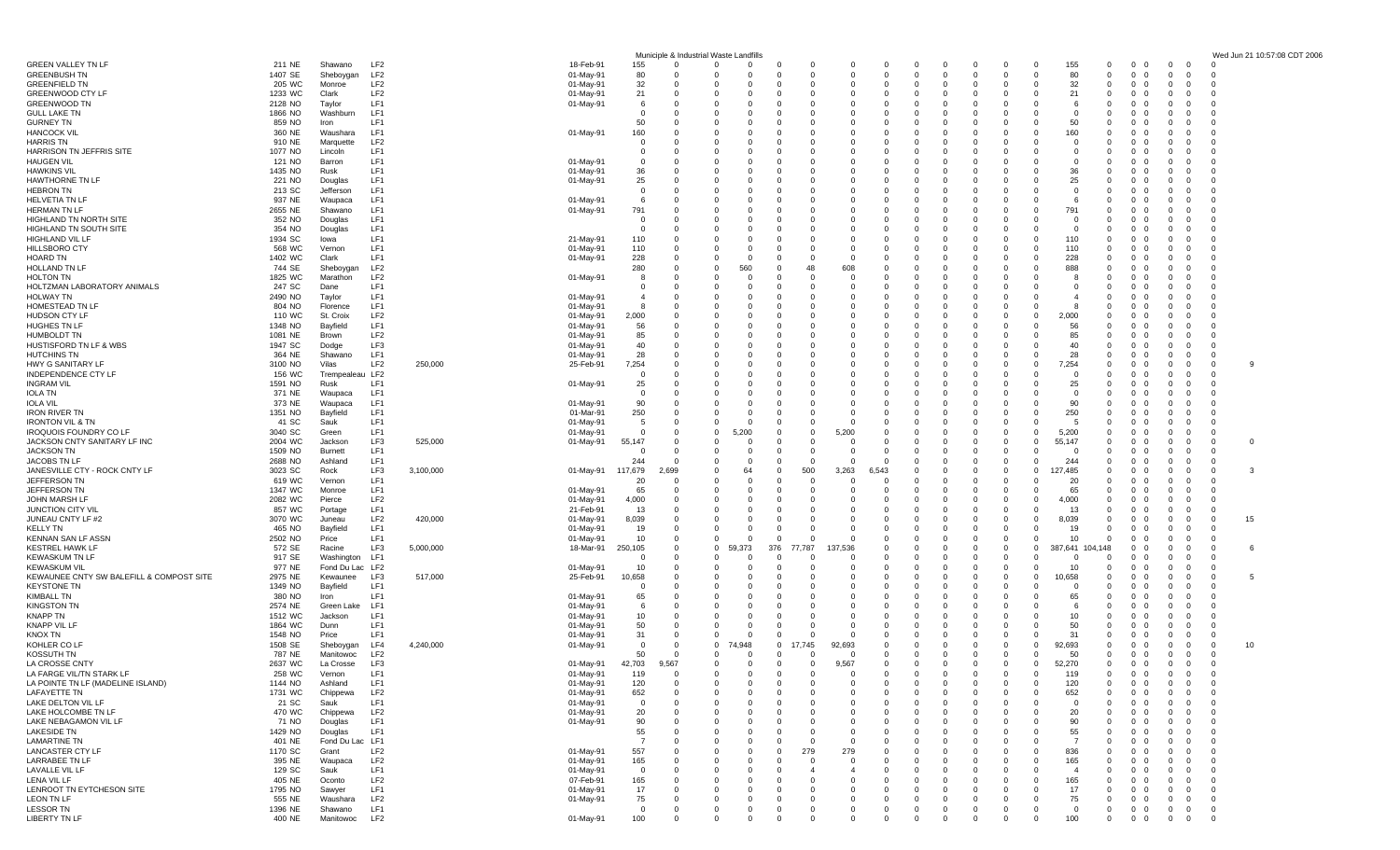|                                                     |                    |                               |                                    |           |                        |                                |            | Municiple & Industrial Waste Landfills |                 |                              |                      |                      |                      |                          |              |                        |                                           |                                       |                            |                                                              |                                                                    |                                           | Wed Jun 21 10:57:08 CDT 2006 |
|-----------------------------------------------------|--------------------|-------------------------------|------------------------------------|-----------|------------------------|--------------------------------|------------|----------------------------------------|-----------------|------------------------------|----------------------|----------------------|----------------------|--------------------------|--------------|------------------------|-------------------------------------------|---------------------------------------|----------------------------|--------------------------------------------------------------|--------------------------------------------------------------------|-------------------------------------------|------------------------------|
| GREEN VALLEY TN LF                                  | 211 NE             | Shawano                       | LF2                                |           | 18-Feb-91              | 155                            | <u>n</u>   | $\Omega$                               |                 |                              |                      | C.                   |                      | 0                        |              |                        |                                           | 155                                   | 0                          | $\mathbf{0}$<br>- 0                                          | $\mathbf{0}$<br>- 0                                                |                                           |                              |
| <b>GREENBUSH TN</b>                                 | 1407 SE            | Sheboygan                     | LF <sub>2</sub><br>LF <sub>2</sub> |           | 01-May-91              | 80                             |            | $\Omega$                               | - 0             | $\Omega$                     | $\Omega$<br>$\Omega$ | $\Omega$<br>$\Omega$ | $\Omega$<br>$\Omega$ | $\mathbf 0$              | $\Omega$     | $\Omega$               | $\Omega$                                  | 80<br>$\Omega$                        | $\mathbf 0$                | $\mathbf 0$<br>- 0                                           | $\mathbf{0}$                                                       |                                           |                              |
| <b>GREENFIELD TN</b><br>GREENWOOD CTY LF            | 205 WC<br>1233 WC  | Monroe<br>Clark               | LF <sub>2</sub>                    |           | 01-May-91<br>01-May-91 | 32<br>21                       |            | 0<br>$\Omega$                          |                 | 0                            |                      | $\Omega$             |                      | $\mathbf 0$              |              |                        |                                           | 32<br>21                              | 0<br>$\Omega$              | $\mathbf{0}$<br>$^{\circ}$<br>$\mathbf{0}$                   | -0<br>-0                                                           |                                           |                              |
| <b>GREENWOOD TN</b>                                 | 2128 NO            | Taylor                        | LF1                                |           | 01-May-91              | -6                             | - 0        | 0                                      |                 | -0                           | 0                    | $\Omega$             |                      | 0                        |              |                        | 0                                         |                                       | $\Omega$                   | $\mathbf{0}$<br>- 0                                          | $\overline{\mathbf{0}}$                                            | 0                                         |                              |
| <b>GULL LAKE TN</b>                                 | 1866 NO            | Washburn                      | LF1                                |           |                        | $\Omega$                       | - 0        | - 0                                    |                 | -C                           | $\Omega$             | $\Omega$             |                      |                          |              |                        | $\Omega$                                  | - 0                                   | $\Omega$                   | $\mathbf{0}$                                                 | -0                                                                 | $\Omega$                                  |                              |
| <b>GURNEY TN</b>                                    | 859 NO             | Iron                          | LF1                                |           |                        | 50                             |            | $\Omega$                               |                 |                              |                      | $\Omega$             |                      |                          |              |                        | - 0                                       | 50                                    | $\Omega$                   | $^{\circ}$                                                   | 0                                                                  | 0                                         |                              |
| <b>HANCOCK VIL</b><br><b>HARRIS TN</b>              | 360 NE<br>910 NE   | Waushara<br>Marquette         | LF1<br>LF <sub>2</sub>             |           | 01-May-91              | 160<br>0                       |            | 0<br>$\Omega$                          |                 |                              | 0                    | $\Omega$<br>$\Omega$ |                      | 0<br>$\Omega$            |              |                        | 0<br>$\Omega$                             | 160<br>$\Omega$                       | $\Omega$<br>$\Omega$       | $\mathbf{0}$<br>- 0<br>$\mathbf{0}$<br>$\Omega$              | $\Omega$<br>-0                                                     | $\Omega$<br>0                             |                              |
| HARRISON TN JEFFRIS SITE                            | 1077 NO            | Lincoln                       | LF1                                |           |                        | $\Omega$                       |            | $\Omega$                               |                 | $\Omega$                     |                      | $\Omega$             |                      | $\Omega$                 |              |                        | $\Omega$                                  | - 0                                   | $\Omega$                   | $\overline{0}$<br>- റ                                        | $\Omega$                                                           | $\Omega$                                  |                              |
| <b>HAUGEN VIL</b>                                   | 121 NO             | Barron                        | LF1                                |           | 01-May-91              | $\Omega$                       |            | $\Omega$                               |                 | -0                           | 0                    | $\Omega$             |                      |                          |              |                        | - 0                                       | - 0                                   | $\Omega$                   | $\mathbf{0}$<br>- 0                                          | $\Omega$                                                           | 0                                         |                              |
| <b>HAWKINS VIL</b>                                  | 1435 NO            | Rusk                          | LF1<br>LF1                         |           | 01-May-91              | 36<br>25                       | - 0        | - 0<br>$\Omega$                        | - 0             | -C                           | 0<br>$\Omega$        | 0<br>$\Omega$        |                      |                          |              |                        | 0<br>- 0                                  | 36<br>25                              | 0<br>$\Omega$              | $^{\circ}$<br>$\Omega$                                       | 0<br>- 0                                                           | 0<br>$\Omega$                             |                              |
| HAWTHORNE TN LF<br>HEBRON TN                        | 221 NO<br>213 SC   | Douglas<br>Jefferson          | LF1                                |           | 01-May-91              | $\Omega$                       |            | $\Omega$                               |                 |                              | O                    | $\Omega$             |                      | $\Omega$                 |              |                        | - 0                                       |                                       | $\Omega$                   | $\mathbf 0$<br>- 0                                           | $\Omega$                                                           | $\Omega$                                  |                              |
| <b>HELVETIA TN LF</b>                               | 937 NE             | Waupaca                       | LF1                                |           | 01-May-91              | 6                              |            | - 0                                    |                 |                              |                      | 0                    |                      |                          |              |                        | - 0                                       |                                       | 0                          | $^{\circ}$                                                   | 0                                                                  |                                           |                              |
| <b>HERMAN TN LF</b>                                 | 2655 NE            | Shawano                       | LF1                                |           | 01-May-91              | 791                            |            | $\Omega$                               |                 | ſ                            | O                    | $\Omega$             |                      | $\Omega$                 |              |                        | - 0                                       | 791                                   | $\Omega$                   | $\Omega$<br>$\Omega$                                         | -0                                                                 | $\Omega$                                  |                              |
| HIGHLAND TN NORTH SITE<br>HIGHLAND TN SOUTH SITE    | 352 NO             | Douglas                       | LF1                                |           |                        | $\Omega$                       |            | $\Omega$                               |                 |                              |                      | O                    |                      |                          |              |                        | $\Omega$                                  |                                       | $\Omega$                   | $\mathbf 0$                                                  | 0                                                                  | 0                                         |                              |
| HIGHLAND VIL LF                                     | 354 NO<br>1934 SC  | Douglas<br>lowa               | LF1<br>LF <sub>1</sub>             |           | 21-May-91              | $\overline{\mathbf{0}}$<br>110 | - 0        | - 0<br>$\Omega$                        |                 |                              | 0<br>O               | 0<br>$\Omega$        |                      |                          |              |                        | $\Omega$                                  | 110                                   | $\mathbf 0$<br>$\Omega$    | $^{\circ}$<br>$\Omega$                                       | 0<br>-0                                                            | 0<br>$\Omega$                             |                              |
| <b>HILLSBORO CTY</b>                                | 568 WC             | Vernon                        | LF1                                |           | 01-May-91              | 110                            |            | 0                                      |                 |                              |                      | O                    |                      |                          |              |                        |                                           | 110                                   | $\Omega$                   | $\mathbf 0$                                                  | $\Omega$                                                           |                                           |                              |
| HOARD TN                                            | 1402 WC            | Clark                         | LF1                                |           | 01-May-91              | 228                            |            | $\overline{0}$                         | - 0             | $\Omega$                     | 0                    | - 0                  | O                    | n                        |              |                        | 0                                         | 228                                   | $\Omega$                   | 0<br>- 0                                                     | $\Omega$                                                           | -0                                        |                              |
| <b>HOLLAND TN LF</b>                                | 744 SE             | Sheboygan                     | LF <sub>2</sub><br>LF <sub>2</sub> |           |                        | 280                            | - 0        | $\Omega$<br>$\Omega$                   | 560             | 0                            | 48<br>0              | 608<br>O             |                      | $\Omega$                 |              |                        | $\Omega$                                  | 888                                   | $\Omega$<br>$\Omega$       | $\Omega$<br>- 0                                              | -0                                                                 | $\Omega$                                  |                              |
| HOLTON TN<br>HOLTZMAN LABORATORY ANIMALS            | 1825 WC<br>247 SC  | Marathon<br>Dane              | LF1                                |           | 01-May-91              | 0                              | - 0        | - 0                                    | - 0             | -C<br>0                      | 0                    | 0                    | O                    | n                        |              |                        | 0                                         | - 0                                   | $\Omega$                   | $\mathbf 0$<br>0<br>- 0                                      | -0<br>0                                                            | - 0                                       |                              |
| <b>HOLWAY TN</b>                                    | 2490 NO            | Taylor                        | LF <sub>1</sub>                    |           | 01-May-91              | $\overline{a}$                 | - 0        | $\Omega$                               | $\Omega$        | ſ                            | $\Omega$             | $\Omega$             |                      |                          |              |                        | $\Omega$                                  |                                       | $\Omega$                   | $\Omega$                                                     | -0                                                                 | $\Omega$                                  |                              |
| HOMESTEAD TN LF                                     | 804 NO             | Florence                      | LF1                                |           | 01-May-91              |                                |            | - 0                                    |                 |                              |                      | $\Omega$             |                      |                          |              |                        |                                           |                                       | 0                          | $^{\circ}$                                                   | 0                                                                  | 0                                         |                              |
| <b>HUDSON CTY LF</b>                                | 110 WC<br>1348 NO  | St. Croix                     | LF <sub>2</sub><br>LF1             |           | 01-May-91              | 2,000<br>56                    |            | - 0<br>$\Omega$                        |                 |                              | 0                    | $\Omega$<br>$\Omega$ |                      | n<br>$\Omega$            |              |                        | 0<br>$\Omega$                             | 2,000<br>56                           | 0<br>$\Omega$              | $\mathbf{0}$<br>- 0<br>$\mathbf{0}$<br>$\Omega$              | 0<br>-0                                                            | 0<br>$\Omega$                             |                              |
| HUGHES TN LF<br>HUMBOLDT TN                         | 1081 NE            | Bayfield<br>Brown             | LF <sub>2</sub>                    |           | 01-May-91<br>01-May-91 | 85                             |            | $\Omega$                               |                 |                              |                      | O                    |                      |                          |              |                        |                                           | 85                                    | $\Omega$                   | $\Omega$                                                     | 0                                                                  | 0                                         |                              |
| HUSTISFORD TN LF & WBS                              | 1947 SC            | Dodge                         | LF3                                |           | 01-May-91              | 40                             | - 0        | - 0                                    |                 | -0                           | $\Omega$             | $\Omega$             |                      | 0                        |              |                        | 0                                         | 40                                    | $\Omega$                   | $\mathbf{0}$<br>- 0                                          | - 0<br>- ()                                                        | $\Omega$                                  |                              |
| HUTCHINS TN                                         | 364 NE             | Shawano                       | LF1                                |           | 01-May-91              | 28                             | - 0        | $\overline{0}$                         |                 | -C                           | $\Omega$             | $\Omega$             |                      |                          |              |                        | $\Omega$                                  | 28                                    | $\Omega$                   | $\Omega$                                                     | -0                                                                 | 0                                         |                              |
| HWY G SANITARY LF<br>INDEPENDENCE CTY LF            | 3100 NO            | Vilas<br>Trempealeau LF2      | LF <sub>2</sub>                    | 250,000   | 25-Feb-91              | 7,254<br>$\Omega$              | - 0        | $\Omega$<br>- 0                        |                 | -0                           | 0                    | $\Omega$<br>$\Omega$ |                      | 0                        |              |                        | $\Omega$<br>0                             | 7,254<br>- 0                          | $\Omega$<br>0              | $\mathbf{0}$<br>$\mathbf{0}$                                 | 0<br>$\Omega$                                                      | 0<br>$\Omega$                             | 9                            |
| <b>INGRAM VIL</b>                                   | 156 WC<br>1591 NO  | Rusk                          | LF1                                |           | 01-May-91              | 25                             |            | $\Omega$                               |                 |                              | 0                    | $\Omega$             |                      | $\Omega$                 |              |                        | $\Omega$                                  | 25                                    | $\Omega$                   | $\mathbf{0}$<br>$\Omega$                                     | $\Omega$                                                           | $\Omega$                                  |                              |
| <b>IOLA TN</b>                                      | 371 NE             | Waupaca                       | LF1                                |           |                        | $\Omega$                       |            | $\Omega$                               |                 |                              |                      | $\Omega$             |                      |                          |              |                        | - 0                                       | - 0                                   | $\Omega$                   | $\Omega$                                                     | -0                                                                 | - 0                                       |                              |
| <b>IOLA VIL</b>                                     | 373 NE             | Waupaca                       | LF1                                |           | 01-May-91              | 90                             |            | $\Omega$                               |                 | -0                           | 0                    | $\Omega$             |                      | 0                        |              |                        | 0                                         | 90                                    | $\Omega$                   | $\mathbf{0}$<br>- 0                                          | $\Omega$                                                           | - 0                                       |                              |
| <b>IRON RIVER TN</b><br><b>IRONTON VIL &amp; TN</b> | 1351 NO<br>41 SC   | Bayfield<br>Sauk              | LF1<br>LF1                         |           | 01-Mar-91<br>01-May-91 | 250<br>-5                      | - 0        | - 0<br>$\overline{0}$                  | - 0<br>$\Omega$ | 0<br>$\Omega$                | 0<br>$\Omega$        | 0<br>$\Omega$        |                      |                          |              |                        | $\Omega$<br>$\Omega$                      | 250                                   | $\mathbf{0}$<br>$\Omega$   | $\mathbf 0$<br>$\Omega$<br>$\Omega$                          | 0<br>-0                                                            | - 0<br>$\Omega$                           |                              |
| IROQUOIS FOUNDRY CO LF                              | 3040 SC            | Green                         | LF1                                |           | 01-May-91              | $\Omega$                       | - 0        | $\overline{0}$                         | 5,200           | -0                           | $\mathbf 0$          | 5,200                |                      | 0                        |              |                        | $\Omega$                                  | 5,200                                 | $\Omega$                   | $\mathbf{0}$                                                 | $\Omega$                                                           | $\Omega$                                  |                              |
| JACKSON CNTY SANITARY LF INC                        | 2004 WC            | Jackson                       | LF3                                | 525,000   | 01-May-91              | 55,147                         |            | - 0                                    |                 | 0                            | 0                    | $\Omega$             | 0                    | 0                        |              |                        |                                           | 55,147<br>$\Omega$                    | $\mathbf{0}$               | $\mathbf 0$<br>- 0                                           | 0                                                                  | 0                                         | 0                            |
| <b>JACKSON TN</b>                                   | 1509 NO            | Burnett                       | LF <sub>1</sub>                    |           |                        |                                | റ          | $\Omega$                               | - 0             | $\Omega$                     | $\Omega$             | $\Omega$             |                      | $\Omega$                 |              |                        | $\Omega$                                  | - 0                                   | $\Omega$                   | $\Omega$                                                     | - 0                                                                | $\Omega$                                  |                              |
| JACOBS TN LF<br>JANESVILLE CTY - ROCK CNTY LF       | 2688 NO<br>3023 SC | Ashland<br>Rock               | LF1<br>LF3                         | 3,100,000 | 01-May-91              | 244<br>117,679                 | 2,699      | 0<br>- 0                               | 64              | 0<br>0                       | $\Omega$<br>500      | 0<br>3,263           | 5.543                | 0                        |              |                        | $\Omega$                                  | 244<br>127,485<br>$\mathbf 0$         | 0<br>$\mathbf{0}$          | $\mathbf 0$<br>$\mathbf 0$                                   | 0<br>- 0<br>0                                                      | 0<br>0                                    | 3                            |
| JEFFERSON TN                                        | 619 WC             | Vernon                        | LF1                                |           |                        | 20                             | - 0        | $\Omega$                               | $\Omega$        | 0                            | $\Omega$             | $\Omega$             |                      |                          |              |                        | $\Omega$                                  | 20                                    | $\Omega$                   | $\Omega$                                                     | -0                                                                 | $\Omega$                                  |                              |
| JEFFERSON TN                                        | 1347 WC            | Monroe                        | LF1                                |           | 01-May-91              | 65                             |            | 0                                      |                 |                              |                      | $\Omega$             |                      |                          |              |                        |                                           | 65                                    | $\Omega$                   | $\mathbf 0$                                                  | 0                                                                  | $\Omega$                                  |                              |
| JOHN MARSH LF                                       | 2082 WC            | Pierce                        | LF <sub>2</sub><br>LF1             |           | 01-May-91              | 4,000<br>13                    |            | 0<br>$\Omega$                          |                 | ſ                            | 0<br>O               | $\Omega$<br>O        |                      | 0<br>$\Omega$            |              |                        | -0<br>$\Omega$                            | 4,000<br>13                           | $\Omega$<br>$\Omega$       | $\mathbf{0}$<br>- 0<br>$\Omega$                              | 0                                                                  | - 0<br>$\Omega$                           |                              |
| JUNCTION CITY VIL<br>JUNEAU CNTY LF #2              | 857 WC<br>3070 WC  | Portage<br>Juneau             | LF <sub>2</sub>                    | 420,000   | 21-Feb-91<br>01-May-91 | 8,039                          |            | 0                                      |                 | -C                           |                      | C.                   |                      |                          |              |                        | -0                                        | 8,039                                 | $\Omega$                   | $\overline{0}$<br>$\mathbf 0$                                | -0<br>0                                                            | 0                                         | 15                           |
| <b>KELLY TN</b>                                     | 465 NO             | Bayfield                      | LF1                                |           | 01-May-91              | 19                             | - 0        | $\overline{0}$                         | - 0             | 0                            | 0                    | $\Omega$             | $\Omega$             | n                        |              |                        |                                           | 19<br>$\Omega$                        | $\Omega$                   | $\Omega$<br>$\Omega$                                         | 0<br>- 0                                                           | - 0                                       |                              |
| <b>KENNAN SAN LF ASSN</b>                           | 2502 NO            | Price                         | LF <sub>1</sub>                    |           | 01-May-91              | 10                             | - 0        | $\overline{0}$                         | $\Omega$        | $\Omega$                     | $\Omega$             | $\Omega$             |                      |                          |              |                        | $\Omega$                                  | 10                                    | $\Omega$                   | $\Omega$                                                     | -0                                                                 | $\Omega$                                  |                              |
| <b>KESTREL HAWK LF</b><br><b>KEWASKUM TN LF</b>     | 572 SE<br>917 SE   | Racine                        | LF3<br>LF1                         | 5,000,000 | 18-Mar-91              | 250,105<br>$\Omega$            | - 0        | - 0<br>$\Omega$                        |                 | 376<br>$\Omega$              | 77<br>.787<br>O      | 137,536<br>$\Omega$  |                      | 0                        |              |                        | - 0                                       | 641.<br>$\mathbf 0$<br>38<br>$\Omega$ | 148<br>$\Omega$            | $\mathbf 0$<br>$\mathbf{0}$<br>- 0                           | 0<br>- ( )                                                         | 0<br>$\Omega$                             | 6                            |
| <b>KEWASKUM VIL</b>                                 | 977 NE             | Washington<br>Fond Du Lac LF2 |                                    |           | 01-May-91              | 10                             |            | $\Omega$                               |                 | -C                           | 0                    | O                    |                      | $\Omega$                 |              |                        | $\Omega$                                  | 10                                    | $\Omega$                   | $\mathbf{0}$<br>$\Omega$                                     | 0<br>0                                                             | 0                                         |                              |
| KEWAUNEE CNTY SW BALEFILL & COMPOST SITE            | 2975 NE            | Kewaunee                      | LF3                                | 517,000   | 25-Feb-91              | 10,658                         |            | $\Omega$                               |                 |                              |                      |                      |                      |                          |              |                        | $\Omega$                                  | 0,658                                 | $\Omega$                   | $^{\circ}$                                                   | 0                                                                  | 0                                         | 5                            |
| <b>KEYSTONE TN</b>                                  | 1349 NO            | Bayfield                      | LF1                                |           |                        | -0                             |            | $\Omega$                               |                 | -0                           | 0                    | $\Omega$             |                      | $\Omega$                 |              |                        | -0                                        |                                       | $\Omega$                   | $\mathbf{0}$<br>- 0                                          | - 0<br>- ()                                                        | 0                                         |                              |
| <b>KIMBALL TN</b><br><b>KINGSTON TN</b>             | 380 NO<br>2574 NE  | Iron<br>Green Lake            | LF1<br>LF1                         |           | 01-May-91<br>01-May-91 | 65                             |            | 0<br>$\overline{0}$                    |                 |                              | 0                    | $\Omega$<br>$\Omega$ |                      |                          |              |                        |                                           | 65                                    | $\Omega$<br>$\Omega$       | $\Omega$<br>$\mathbf 0$                                      | -0<br>0                                                            | 0<br>$\Omega$                             |                              |
| <b>KNAPP TN</b>                                     | 1512 WC            | Jackson                       | LF1                                |           | 01-May-91              | 10                             | - 0        | $\overline{0}$                         |                 | -0                           | 0                    | $\Omega$             |                      | $\Omega$                 |              |                        | -0                                        | 10                                    | $\Omega$                   | $\mathbf{0}$<br>- 0                                          | 0                                                                  | 0                                         |                              |
| <b>KNAPP VIL LF</b>                                 | 1864 WC            | Dunn                          | LF1                                |           | 01-May-91              | 50                             |            | $\overline{0}$                         |                 | -C                           | $\Omega$             | $\Omega$             |                      | $\Omega$                 |              |                        | $\Omega$                                  | 50                                    | $\Omega$                   | $\mathbf{0}$<br>$\Omega$                                     | $\Omega$                                                           | $\Omega$                                  |                              |
| <b>KNOX TN</b>                                      | 1548 NO            | Price                         | LF1                                |           | 01-May-91              | 31                             | - 0        | $\mathbf{0}$                           | - 0             | $\Omega$                     | $\Omega$             | $\Omega$             | $\Omega$             | $\Omega$                 |              |                        |                                           | 31<br>$\Omega$                        | $\Omega$                   | $\mathbf{0}$<br>- റ                                          | - 0<br>$\Omega$                                                    | $\Omega$                                  |                              |
| KOHLER CO LF<br>KOSSUTH TN                          | 1508 SE<br>787 NE  | Sheboygan<br>Manitowoc        | LF4<br>LF <sub>2</sub>             | 4,240,000 | 01-May-91              | $\Omega$<br>50                 | <u>n</u>   | $\overline{0}$<br>- 0                  | 74,948<br>- 0   | $\mathbf{0}$<br>$\mathbf{0}$ | 17,745<br>- 0        | 92,693<br>0          | $\Omega$<br>0        | $\Omega$<br>$\mathbf{0}$ | $\mathbf{0}$ | $\Omega$<br>$^{\circ}$ | $\Omega$<br>$\mathbf 0$<br>$\overline{0}$ | 92,693<br>$\mathbf{0}$<br>50          | $\Omega$<br>$^{\circ}$     | $\overline{0}$<br>- 0<br>$\overline{0}$<br>$\overline{0}$    | 0<br>- 0<br>$\mathbf{0}$<br>$\mathbf{0}$                           | 0<br>0                                    | 10                           |
| LA CROSSE CNTY                                      | 2637 WC            | La Crosse                     | LF3                                |           | 01-May-91              | 42,703                         | 9,567      | $\Omega$                               | $\Omega$        | $\Omega$                     | $\mathbf 0$          | 9,567                | $\Omega$             | $\Omega$                 | $\Omega$     | $\Omega$               | $\Omega$                                  | 52,270<br>$\mathbf 0$                 | $\mathbf{0}$               | $0\quad 0$                                                   | $\mathbf{0}$<br>$\Omega$                                           | $\Omega$                                  |                              |
| LA FARGE VIL/TN STARK LF                            | 258 WC             | Vernon                        | LF1                                |           | 01-May-91              | 119                            |            | 0                                      |                 | -0                           |                      | 0                    |                      | 0                        |              |                        |                                           | 119                                   | -0                         | $\mathbf 0$                                                  | 0                                                                  | - 0                                       |                              |
| LA POINTE TN LF (MADELINE ISLAND)                   | 1144 NO            | Ashland                       | LF1                                |           | 01-May-91              | 120                            |            | - 0<br>$\Omega$                        |                 | 0                            | 0                    | 0<br>$\Omega$        | $\Omega$             | 0                        |              | - 0                    |                                           | 120<br>$\mathbf 0$                    | $\mathbf 0$                | $\mathbf{0}$<br>$^{\circ}$                                   | $\mathbf{0}$<br>$\mathbf{0}$                                       | $^{\circ}$                                |                              |
| LAFAYETTE TN<br>LAKE DELTON VIL LF                  | 1731 WC<br>21 SC   | Chippewa<br>Sauk              | LF <sub>2</sub><br>LF1             |           | 01-May-91<br>01-May-91 | 652<br>$\overline{\mathbf{0}}$ |            | 0                                      |                 | $\Omega$<br>0                | $\Omega$<br>0        | $\Omega$             |                      | $\Omega$<br>0            |              |                        | $\Omega$<br>$\Omega$                      | 652                                   | $\mathbf 0$<br>$\mathbf 0$ | $\mathbf 0$<br>$\Omega$<br>$\mathbf 0$<br>$^{\circ}$         | $\Omega$<br>$\Omega$<br>$\mathbf{0}$<br>$\Omega$                   | $\mathbf{0}$<br>$^{\circ}$                |                              |
| LAKE HOLCOMBE TN LF                                 | 470 WC             | Chippewa                      | LF <sub>2</sub>                    |           | 01-May-91              | 20                             |            | - 0                                    |                 | 0                            | 0                    | $\Omega$             |                      |                          |              |                        | $\Omega$                                  | 20                                    | $^{\circ}$                 | $\mathbf{0}$<br>$\mathbf 0$                                  | $\mathbf 0$<br>- 0                                                 | $^{\circ}$                                |                              |
| LAKE NEBAGAMON VIL LF                               | 71 NO              | Douglas                       | LF1                                |           | 01-May-91              | 90                             | - 0        | $\overline{0}$                         | - 0             | - ( )                        | $\Omega$             | $\Omega$             |                      |                          |              |                        | $\Omega$                                  | 90                                    | $\Omega$                   | $\mathbf 0$<br>- 0                                           | - 0<br>$\Omega$                                                    | $\overline{0}$                            |                              |
| LAKESIDE TN<br><b>LAMARTINE TN</b>                  | 1429 NO            | Douglas                       | LF1                                |           |                        | 55                             |            | $\mathbf 0$                            |                 |                              | 0                    | $\Omega$             |                      |                          |              |                        | - 0                                       | 55                                    | 0                          | $\mathbf 0$<br>$\Omega$                                      | 0<br>$\Omega$                                                      | $\mathbf{0}$                              |                              |
| LANCASTER CTY LF                                    | 401 NE<br>1170 SC  | Fond Du Lac LF1<br>Grant      | LF <sub>2</sub>                    |           | 01-May-91              | 557                            | - 0        | - 0<br>$\Omega$                        | - 0             | - ( )<br>$\Omega$            | 0<br>279             | $\Omega$<br>279      |                      | O<br>$\Omega$            |              |                        | -0<br>$\Omega$                            | 836                                   | $^{\circ}$<br>$\Omega$     | $\mathbf{0}$<br>- 0<br>$\mathbf 0$<br>- 0                    | 0<br>- 0<br>n                                                      | $\overline{\mathbf{0}}$<br>$\overline{0}$ |                              |
| LARRABEE TN LF                                      | 395 NE             | Waupaca                       | LF <sub>2</sub>                    |           | 01-May-91              | 165                            |            | 0                                      |                 | 0                            | 0                    | 0                    |                      |                          |              |                        | -0                                        | 165                                   | $\mathbf 0$                | $\mathbf 0$<br>$\overline{\mathbf{0}}$                       | $\mathbf{0}$<br>$\Omega$                                           | $\overline{0}$                            |                              |
| LAVALLE VIL LF                                      | 129 SC             | Sauk                          | LF1                                |           | 01-May-91              | $\overline{0}$                 | - 0        | - 0                                    |                 | $\Omega$                     | 4                    | 4                    |                      |                          |              |                        | -0                                        | 4                                     | $^{\circ}$                 | $\mathbf{0}$<br>0                                            | $\mathbf 0$<br>$\mathbf{0}$                                        | $\overline{\mathbf{0}}$                   |                              |
| LENA VIL LF                                         | 405 NE             | Oconto                        | LF <sub>2</sub>                    |           | 07-Feb-91              | 165                            | - 0        | $\Omega$                               |                 |                              | $\Omega$<br>$\Omega$ | O                    |                      |                          |              |                        | - 0<br>$\Omega$                           | 165                                   | $\Omega$                   | $\mathbf 0$<br>$\Omega$                                      | $\Omega$<br>$\Omega$                                               | $\overline{0}$                            |                              |
| LENROOT TN EYTCHESON SITE<br>LEON TN LF             | 1795 NO<br>555 NE  | Sawyer<br>Waushara            | LF1<br>LF <sub>2</sub>             |           | 01-May-91<br>01-May-91 | 17<br>75                       | - 0<br>- 0 | - 0<br>$\overline{0}$                  | - 0             | $\Omega$                     | 0                    | $\Omega$<br>0        | 0                    | $\mathbf 0$              | $\Omega$     | - 0                    |                                           | 17<br>75<br>$\mathbf 0$               | $^{\circ}$<br>$^{\circ}$   | $\mathbf{0}$<br>$^{\circ}$<br>$\mathbf{0}$<br>$\overline{0}$ | $\mathbf{0}$<br>$\overline{0}$<br>$\overline{0}$<br>$\overline{0}$ | $^{\circ}$<br>$\overline{\mathbf{0}}$     |                              |
| <b>LESSOR TN</b>                                    | 1396 NE            | Shawano                       | LF1                                |           |                        | $\Omega$                       | $\Omega$   | $\overline{0}$                         | $\Omega$        | $^{\circ}$                   | $\mathbf 0$          | $\mathbf 0$          | 0                    | $\mathbf 0$              | $\mathbf{0}$ | $^{\circ}$             | $\Omega$                                  | $\mathbf 0$<br>$\Omega$               | $\mathbf{0}$               | $0\quad 0$                                                   | $\overline{0}$<br>$\mathbf 0$                                      | $\overline{0}$                            |                              |
| <b>LIBERTY TN LF</b>                                | 400 NE             | Manitowoc                     | LF <sub>2</sub>                    |           | 01-May-91              | 100                            |            | $\overline{0}$                         | $\mathbf 0$     | - 0                          | 0                    | 0                    | $\Omega$             | $\mathbf 0$              | - 0          | $\Omega$               | $\overline{0}$                            | 100                                   | $\mathbf{0}$               | $0\quad 0$                                                   | $\mathbf{0}$<br>$\overline{\mathbf{0}}$                            | $^{\circ}$                                |                              |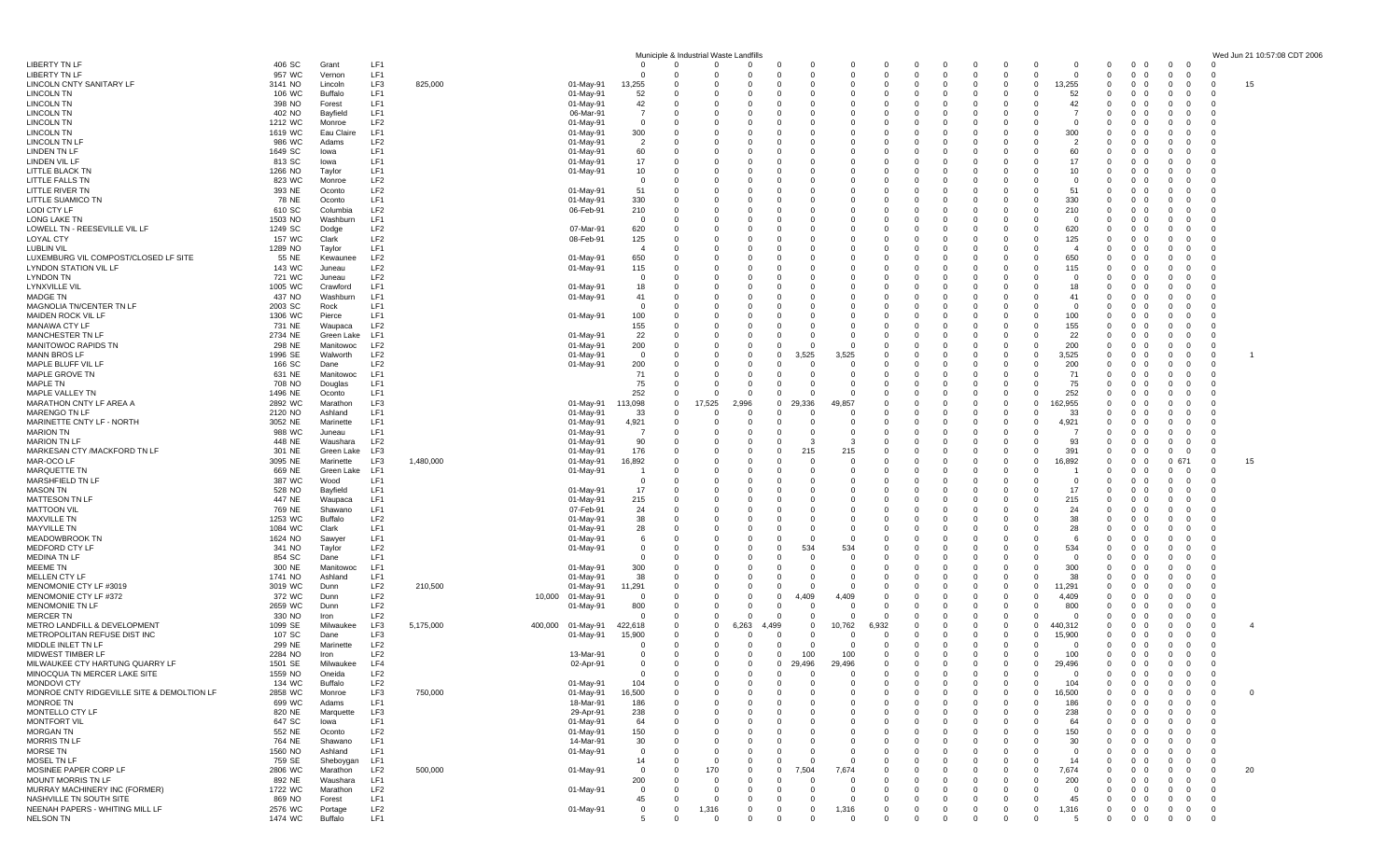|                                             |                   |                      |                                    |           |                        |                 | Municiple & Industrial Waste Landfills |                      |                      |                        |                      |                      |                               |                                                  |                            |                         |                         |                |                                                      |                    |                                              |                                | Wed Jun 21 10:57:08 CDT 2006 |  |
|---------------------------------------------|-------------------|----------------------|------------------------------------|-----------|------------------------|-----------------|----------------------------------------|----------------------|----------------------|------------------------|----------------------|----------------------|-------------------------------|--------------------------------------------------|----------------------------|-------------------------|-------------------------|----------------|------------------------------------------------------|--------------------|----------------------------------------------|--------------------------------|------------------------------|--|
| LIBERTY TN LF                               | 406 SC            | Grant                | LF1                                |           |                        | - 0             | $\Omega$                               |                      | $\mathbf 0$          | 0                      |                      |                      |                               | $\mathbf{0}$<br>- 0                              | 0                          | 0                       | 0                       |                | 0<br>$\overline{0}$                                  | - 0                | $\mathbf{0}$<br>$\overline{\mathbf{0}}$      | $\Omega$                       |                              |  |
| <b>LIBERTY TN LF</b>                        | 957 WC            | Vernon               | LF1                                |           |                        |                 | -0                                     |                      | $\Omega$             | $^{\circ}$             | $\Omega$             | $\Omega$             | $\overline{0}$<br>$\Omega$    | $\Omega$                                         | $\mathbf{0}$               | $\Omega$                | $\overline{0}$          | - 0            | $\overline{0}$<br>$\overline{0}$                     | - 0                | $^{\circ}$<br>- 0                            | -0                             |                              |  |
| LINCOLN CNTY SANITARY LI<br>LINCOLN TN      | 3141 NO<br>106 WC | Lincoln<br>Buffalo   | LF3<br>LF1                         | 825,000   | 01-May-91<br>01-May-91 | 13,255<br>-52   |                                        |                      | 0<br>$\Omega$        | 0<br>$^{\circ}$        | $\Omega$             | $\Omega$             | $\Omega$                      | $\mathbf{0}$<br>$\Omega$<br>$\Omega$             | $\mathbf{0}$<br>$\Omega$   | $^{\circ}$<br>0         | $^{\circ}$<br>$\Omega$  | 13,255<br>52   | $\Omega$<br>$\overline{0}$<br>$\Omega$<br>$\Omega$   | - 0                | 0<br>0<br>0<br>-0                            | $\Omega$<br>0                  | 15                           |  |
| LINCOLN TN                                  | 398 NO            | Forest               | LF <sub>1</sub>                    |           | 01-May-91              | 42              | $\Omega$                               | $\Omega$             | $\Omega$             | $\Omega$               | 0                    | 0                    | $^{(1)}$                      | - 0<br>-0                                        | $\Omega$                   | - 0                     | $\Omega$                | 42             | - 0<br>0                                             | - 0                | 0<br>- 0                                     | - 0                            |                              |  |
| LINCOLN TN                                  | 402 NO            | Bayfield             | LF1                                |           | 06-Mar-91              |                 | $\Omega$                               | $\Omega$             | 0                    | $\Omega$               | $\Omega$             | 0                    | 0                             | $\Omega$<br>$\Omega$                             | $^{\circ}$                 | 0                       | 0                       |                | $\Omega$<br>$\Omega$                                 |                    | $\mathbf 0$<br>- 0                           | $\Omega$                       |                              |  |
| LINCOLN TN                                  | 1212 WC           | Monroe               | LF <sub>2</sub>                    |           | 01-May-91              |                 | 0                                      | $\Omega$             | 0                    | $\Omega$               | $\Omega$             |                      |                               | $\Omega$<br>0                                    | 0                          | 0                       | 0                       | - 0            | $\Omega$<br>$\mathbf{0}$                             |                    | 0<br>-0                                      | $\Omega$                       |                              |  |
| LINCOLN TN                                  | 1619 WC           | Eau Claire           | LF <sub>1</sub>                    |           | 01-May-91              | 300             | -0                                     | $\Omega$             | $\Omega$             | 0                      | $\Omega$             | 0                    | $^{(1)}$                      | $\Omega$<br>-0                                   | 0                          | -0                      | $\Omega$                | 300            | $\Omega$<br>- 0                                      |                    | - 0<br>-0                                    | $\Omega$                       |                              |  |
| LINCOLN TN LI                               | 986 WC            | Adams                | LF2<br>LF1                         |           | 01-May-91              | $\overline{2}$  | 0<br>$\Omega$                          | $\Omega$<br>- 0      | $\Omega$<br>$\Omega$ | $\Omega$<br>$\Omega$   | $\Omega$<br>$\Omega$ | $\Omega$<br>$\Omega$ | 0                             | $\mathbf{0}$<br>$\Omega$<br>$\Omega$<br>$\Omega$ | 0<br>$\Omega$              | $^{\circ}$              | $\mathbf 0$<br>$\Omega$ | 2              | $\Omega$<br>$\Omega$<br>$\Omega$                     | - ()<br>- 0        | $\mathbf 0$<br>$\Omega$                      | $\Omega$                       |                              |  |
| LINDEN TN LF<br>LINDEN VIL LF               | 1649 SC<br>813 SC | lowa<br>lowa         | LF <sub>1</sub>                    |           | 01-May-91<br>01-May-91 | 60<br>17        | 0                                      | $\Omega$             | $\Omega$             | $\Omega$               | $\Omega$             | 0                    | $^{(1)}$                      | $\Omega$<br>-0                                   | $\Omega$                   | $\Omega$<br>$\Omega$    | $\Omega$                | 60<br>17       | 0<br>$\Omega$<br>$\overline{0}$                      | - 0                | 0<br>-0<br>$\Omega$<br>- 0                   | -0<br>$\Omega$                 |                              |  |
| LITTLE BLACK TN                             | 1266 NO           | Taylor               | LF1                                |           | 01-May-91              | 10              | $^{\circ}$                             | - 0                  | 0                    | 0                      | - 0                  | 0                    |                               | - 0<br>0                                         | $\mathbf 0$                | 0                       | 0                       | 10             | 0<br>- 0                                             |                    | 0<br>- 0                                     | 0                              |                              |  |
| LITTLE FALLS TN                             | 823 WC            | Monroe               | LF <sub>2</sub>                    |           |                        | - 0             | 0                                      | $\Omega$             | $\Omega$             |                        | $\Omega$             | $\Omega$             |                               | $\Omega$<br>$\Omega$                             | $\Omega$                   | $\Omega$                | $\Omega$                | - 0            | $\Omega$<br>- 0                                      |                    | - 0<br>- 0                                   | $\Omega$                       |                              |  |
| LITTLE RIVER TN                             | 393 NE            | Oconto               | LF <sub>2</sub>                    |           | 01-May-91              | 51              | -0                                     | - 0                  | $\Omega$             | $\Omega$               |                      | 0                    |                               | $\Omega$<br>0                                    | $\Omega$                   | -0                      | $\Omega$                | 51             | $\Omega$<br>$\Omega$                                 |                    | - 0<br>-0                                    | $\Omega$                       |                              |  |
| LITTLE SUAMICO TN                           | 78 NE             | Oconto               | LF1                                |           | 01-May-91              | 330             | 0                                      | - 0                  | 0                    | 0                      | - 0                  | 0                    | 0                             | $\mathbf{0}$<br>0                                | $\mathbf 0$                | 0                       | $^{\circ}$              | 330            | - 0<br>- 0                                           |                    | 0<br>- 0                                     | -0                             |                              |  |
| LODI CTY LF<br>LONG LAKE TN                 | 610 SC<br>1503 NO | Columbia<br>Washburn | LF <sub>2</sub><br>LF1             |           | 06-Feb-91              | 210<br>- 0      | $\Omega$<br>0                          | - 0                  | $\Omega$<br>0        | $\Omega$<br>$^{\circ}$ | $\Omega$<br>0        | $\Omega$<br>0        | 0                             | $\Omega$<br>$\Omega$<br>0<br>0                   | $\Omega$<br>0              | $\Omega$<br>$\mathbf 0$ | $\Omega$<br>0           | 210<br>- 0     | $\Omega$<br>- 0<br>0<br>0                            |                    | - 0<br>0<br>- 0                              | $\Omega$<br>-0                 |                              |  |
| LOWELL TN - REESEVILLE VIL LF               | 1249 SC           | Dodge                | LF <sub>2</sub>                    |           | 07-Mar-91              | 620             | $\mathbf 0$                            | $\Omega$             | 0                    | $^{\circ}$             | 0                    | 0                    | 0                             | - 0<br>0                                         | $\mathbf 0$                | $^{\circ}$              | $\mathbf{0}$            | 620            | - 0<br>- 0                                           |                    | 0<br>- 0                                     | 0                              |                              |  |
| LOYAL CTY                                   | 157 WC            | Clark                | LF <sub>2</sub>                    |           | 08-Feb-91              | 125             | 0                                      | $\Omega$             | $\Omega$             | $\Omega$               | $\Omega$             | $\Omega$             |                               | $\Omega$<br>0                                    | $\Omega$                   | -0                      | $\Omega$                | 125            | $\Omega$<br>- 0                                      |                    | - 0<br>- 0                                   | $\Omega$                       |                              |  |
| LUBLIN VIL                                  | 1289 NO           | Taylor               | LF1                                |           |                        |                 | 0                                      |                      | $\Omega$             | $\Omega$               |                      | 0                    |                               | 0<br>0                                           | 0                          | 0                       | 0                       |                | $\Omega$<br>- 0                                      |                    | $\Omega$<br>-0                               | $\Omega$                       |                              |  |
| LUXEMBURG VIL COMPOST/CLOSED LF SITE        | 55 NE             | Kewaunee             | LF <sub>2</sub>                    |           | 01-May-91              | 650             | 0                                      | - 0                  | $\Omega$             | 0                      | - 0                  | 0                    |                               | 0<br>0                                           | 0                          | 0                       | 0                       | 650            | $\Omega$<br>0                                        | - 0                | 0<br>0                                       | -0                             |                              |  |
| LYNDON STATION VIL LF                       | 143 WC            | Juneau               | LF <sub>2</sub>                    |           | 01-May-91              | 115             | - 0                                    |                      | $\Omega$             | $\Omega$               |                      | $\Omega$             |                               | $\Omega$<br>$\Omega$                             | $\Omega$                   | $\Omega$                | $\Omega$                | 115            | $\Omega$<br>- 0                                      | - 0                | - 0<br>- 0                                   | $\Omega$                       |                              |  |
| LYNDON TN                                   | 721 WC            | Juneau               | LF <sub>2</sub><br>LF1             |           |                        | - 0             | 0                                      | $\Omega$             | $\Omega$             | $\Omega$               | - 0                  |                      | $\Omega$                      | $\Omega$<br>- 0<br>0                             | $^{\circ}$                 | $^{\circ}$              | 0                       |                | $\Omega$<br>$\overline{0}$<br>- 0                    |                    | $\mathbf 0$<br>- 0                           | $\Omega$                       |                              |  |
| LYNXVILLE VII<br>MADGE TN                   | 1005 WC<br>437 NO | Crawford<br>Washburn | LF1                                |           | 01-May-91<br>01-May-91 | 18<br>41        | $\mathbf 0$<br>0                       | $\Omega$             | 0<br>$\Omega$        | 0<br>$\Omega$          | $\Omega$             | 0<br>$\Omega$        |                               | $\Omega$<br>$\Omega$                             | 0<br>$\Omega$              | 0<br>$\Omega$           | 0<br>$\Omega$           | 18<br>41       | - 0<br>$\Omega$<br>- 0                               |                    | 0<br>- 0<br>- 0<br>- 0                       | 0<br>$\Omega$                  |                              |  |
| MAGNOLIA TN/CENTER TN LF                    | 2003 SC           | Rock                 | LF1                                |           |                        | - 0             | 0                                      | $\Omega$             | 0                    | 0                      | $\Omega$             |                      |                               | $\Omega$<br>0                                    | 0                          | 0                       | 0                       | - 0            | 0<br>- 0                                             |                    | 0<br>-0                                      | $\Omega$                       |                              |  |
| MAIDEN ROCK VIL LF                          | 1306 WC           | Pierce               | LF1                                |           | 01-May-91              | 100             | 0                                      | $\Omega$             | $\Omega$             | 0                      | - 0                  | 0                    | 0                             | - 0<br>0                                         | $\mathbf 0$                | $\Omega$                | $\overline{0}$          | 100            | $\Omega$<br>0                                        | - 0                | 0<br>-0                                      | - 0                            |                              |  |
| MANAWA CTY LF                               | 731 NE            | Waupaca              | LF <sub>2</sub>                    |           |                        | 155             | 0                                      |                      | $\Omega$             | $\Omega$               | $\Omega$             | $\Omega$             |                               | $\Omega$<br>0                                    | 0                          | $\mathbf 0$             | 0                       | 155            | $\Omega$<br>- 0                                      |                    | 0<br>-0                                      | $\Omega$                       |                              |  |
| MANCHESTER TN LF                            | 2734 NE           | Green Lake           | LF1                                |           | 01-May-91              | 22              | 0                                      |                      | 0                    | $^{\circ}$             |                      |                      |                               | $\Omega$                                         | 0                          | 0                       | 0                       | 22             | 0<br>$\Omega$                                        |                    | 0<br>- 0                                     | 0                              |                              |  |
| MANITOWOC RAPIDS TN                         | 298 NE            | Manitowoc            | LF <sub>2</sub>                    |           | 01-May-91              | 200<br>$\Omega$ | $\Omega$                               | $\Omega$<br>$\Omega$ | $\Omega$             | 0                      |                      | 0                    |                               | $\Omega$<br>-0<br>$\Omega$                       | 0                          | - 0                     | 0                       | 200            | $\Omega$<br>0<br>$\Omega$                            |                    | 0<br>0<br>- 0                                | $^{\circ}$                     |                              |  |
| MANN BROS LF<br>MAPLE BLUFF VIL I           | 1996 SE<br>166 SC | Walworth<br>Dane     | LF <sub>2</sub><br>LF <sub>2</sub> |           | 01-May-91<br>01-May-91 | 200             | $^{\circ}$<br>0                        | $\Omega$             | 0<br>0               | 3,525<br>0             |                      | 3,525                |                               | 0<br>$\Omega$<br>0                               | 0<br>0                     | $^{\circ}$<br>0         | $\mathbf 0$<br>0        | 3,525<br>200   | - 0<br>0<br>$\Omega$                                 |                    | $\mathbf 0$<br>0<br>- 0                      | $^{\circ}$<br>0                |                              |  |
| MAPLE GROVE TN                              | 631 NE            | Manitowoc            | LF1                                |           |                        | 71              | -0                                     | $\Omega$             | $\Omega$             | 0                      |                      | 0                    |                               | $\Omega$<br>0                                    | 0                          | 0                       | $\Omega$                | 71             | $\Omega$<br>0                                        | - ()               | 0<br>- 0                                     | $\Omega$                       |                              |  |
| MAPLE TN                                    | 708 NO            | Douglas              | LF1                                |           |                        | 75              | 0                                      |                      | $\Omega$             | $\Omega$               | $\Omega$             | $\Omega$             |                               | $\Omega$<br>$\Omega$                             | 0                          | - 0                     | 0                       | 75             | $\Omega$<br>$\Omega$                                 | - 0                | $\mathbf 0$<br>$\Omega$                      | $\Omega$                       |                              |  |
| MAPLE VALLEY TN                             | 1496 NE           | Oconto               | LF1                                |           |                        | 252             | $\Omega$                               | $\Omega$             | $\Omega$             | $\Omega$               | $\Omega$             | n                    |                               | $\Omega$<br>$\Omega$                             | $\Omega$                   | - 0                     | $\Omega$                | 252            | $\Omega$<br>- 0                                      | - 0                | - 0<br>$\Omega$                              | - 0                            |                              |  |
| MARATHON CNTY LF AREA A                     | 2892 WC           | Marathon             | LF3                                |           | 01-May-91              | 113,098         | 17,525<br>$\Omega$                     |                      | 2,996                | 29,336<br>$\mathbf 0$  | 49.857               |                      |                               | $\Omega$<br>-0                                   | $\Omega$                   | - 0                     | $\Omega$                | 162,955        | $\Omega$<br>- 0                                      |                    | - 0<br>- 0                                   | $\Omega$                       |                              |  |
| MARENGO TN LF                               | 2120 NO           | Ashland              | LF1<br>LF1                         |           | 01-May-91              | -33             | $\mathbf 0$                            | 0<br>$\Omega$        | 0<br>$\Omega$        | 0<br>$\Omega$          | - 0<br>$\Omega$      | 0<br>$\Omega$        | <sup>0</sup>                  | 0<br>0<br>$\Omega$<br>$\Omega$                   | $\mathbf 0$<br>$\Omega$    | $^{\circ}$              | 0<br>$\Omega$           | -33            | - 0<br>- 0<br>$\Omega$                               |                    | 0<br>- 0                                     | 0<br>$\Omega$                  |                              |  |
| MARINETTE CNTY LF - NORTH<br>MARION TN      | 3052 NE<br>988 WC | Marinette<br>Juneau  | LF <sub>1</sub>                    |           | 01-May-91<br>01-May-91 | 4,921<br>- 7    | 0<br>0                                 | $\Omega$             | $\Omega$             | $\Omega$               |                      | $\Omega$             | <sup>0</sup>                  | $\Omega$<br>0                                    | $\Omega$                   | -0<br>$\Omega$          | $\Omega$                | 4,921          | - 0<br>$\Omega$<br>$\overline{0}$                    | - 0                | - 0<br>-0<br>$\mathbf{0}$<br>- 0             | $\Omega$                       |                              |  |
| MARION TN LF                                | 448 NE            | Waushara             | LF <sub>2</sub>                    |           | 01-May-91              | 90              | 0                                      |                      | 0                    | 0                      |                      | з                    |                               | $\mathbf{0}$<br>0                                | $\mathbf 0$                | 0                       | 0                       | 93             | 0<br>- 0                                             |                    | 0<br>- 0                                     | 0                              |                              |  |
| MARKESAN CTY /MACKFORD TN LF                | 301 NE            | Green Lake           | LF3                                |           | 01-May-91              | 176             | $\Omega$                               | - 0                  | $\Omega$             | 0                      | 215                  | 215                  |                               | $\Omega$<br>$\Omega$                             | $\Omega$                   | - 0                     | $\Omega$                | 391            | $\Omega$<br>- 0                                      |                    | - 0<br>$\Omega$                              | $\Omega$                       |                              |  |
| MAR-OCO LF                                  | 3095 NE           | Marinette            | LF3                                | 1,480,000 | 01-May-91              | 16,892          | -0                                     |                      | 0                    | $^{\circ}$             |                      | 0                    |                               | $\Omega$<br>0                                    | 0                          | 0                       | 0                       | 16,892         | $\Omega$<br>$\overline{0}$                           |                    | 0 671                                        | $^{\circ}$                     | 15                           |  |
| MARQUETTE TN                                | 669 NE            | Green Lake           | LF1                                |           | 01-May-91              |                 | $\mathbf 0$                            | - 0                  | 0                    | 0                      | 0                    | 0                    |                               | $\mathbf{0}$<br>0                                | $\mathbf 0$                | 0                       | 0                       |                | 0<br>0                                               |                    | $^{\circ}$<br>- 0                            | $^{\circ}$                     |                              |  |
| MARSHFIELD TN LI<br>MASON TN                | 387 WC<br>528 NO  | Wood<br>Bayfield     | LF1<br>LF1                         |           | 01-May-91              | $\Omega$<br>17  | 0<br>0                                 | $\Omega$             | $\Omega$<br>$\Omega$ | $\Omega$               | $\Omega$             | $\Omega$             |                               | $\Omega$<br>0<br>$\Omega$<br>0                   | $\Omega$<br>0              | $\Omega$<br>-0          | $\Omega$<br>$\Omega$    | - 0<br>17      | $\Omega$<br>- 0<br>$\Omega$<br>$\overline{0}$        |                    | - 0<br>-0<br>$\mathbf 0$<br>- 0              | $\Omega$<br>$\Omega$           |                              |  |
| MATTESON TN LF                              | 447 NE            | Waupaca              | LF1                                |           | 01-May-91              | 215             | 0                                      | $\Omega$             | $\Omega$             | 0                      | - 0                  | 0                    | 0<br>- 0                      | 0                                                | 0                          | 0                       | 0                       | 215            | $\Omega$<br>0                                        | - 0                | 0<br>-0                                      | -0                             |                              |  |
| MATTOON VIL                                 | 769 NE            | Shawano              | LF <sub>1</sub>                    |           | 07-Feb-91              | 24              | 0                                      | $\Omega$             | $\Omega$             | $\Omega$               | $\Omega$             | $\Omega$             |                               | $\Omega$<br>$\Omega$                             | $\Omega$                   | $\Omega$                | $\Omega$                | 24             | $\Omega$<br>- 0                                      | - 0                | - 0<br>-0                                    | $\Omega$                       |                              |  |
| MAXVILLE TN                                 | 1253 WC           | Buffalo              | LF <sub>2</sub>                    |           | 01-May-91              | -38             | 0                                      |                      | $\Omega$             | $\Omega$               |                      | 0                    |                               | $\Omega$<br>-0                                   | $\Omega$                   | 0                       | 0                       | 38             | $\Omega$<br>$\Omega$                                 |                    | 0<br>-0                                      | $\Omega$                       |                              |  |
| MAYVILLE TN                                 | 1084 WC           | Clark                | LF1                                |           | 01-May-91              | 28              | $\mathbf 0$                            | $\Omega$             | 0                    | 0                      | - 0                  | 0                    | $\Omega$                      | - 0<br>0                                         | 0                          | 0                       | 0                       | 28             | - 0<br>- 0                                           |                    | 0<br>- 0                                     | 0                              |                              |  |
| MEADOWBROOK TN<br>MEDFORD CTY LF            | 1624 NO           | Sawyer               | LF1<br>LF <sub>2</sub>             |           | 01-May-91              | -6              | $\Omega$<br>0                          | $\Omega$<br>$\Omega$ | $\Omega$<br>0        | $\Omega$<br>0          | $\Omega$<br>534      | $\Omega$<br>534      | <sup>0</sup>                  | $\Omega$<br>0<br>$\Omega$                        | $\Omega$<br>0              | -0                      | $\Omega$<br>0           | -6<br>534      | $\Omega$<br>- 0<br>0                                 |                    | - 0<br>- 0                                   | $\Omega$<br>-0                 |                              |  |
| MEDINA TN LF                                | 341 NO<br>854 SC  | Taylor<br>Dane       | LF1                                |           | 01-May-91              |                 | 0                                      | - 0                  | $\Omega$             | 0                      | - 0                  | 0                    | 0                             | 0<br>0<br>0                                      | 0                          | 0<br>0                  | $^{\circ}$              | - 0            | - 0<br>0<br>0                                        | - 0                | 0<br>0<br>0                                  | -0                             |                              |  |
| MEEME TN                                    | 300 NE            | Manitowoc            | LF1                                |           | 01-May-91              | 300             | 0                                      |                      | $\Omega$             | $\Omega$               | $\Omega$             | $\Omega$             |                               | $\Omega$<br>0                                    | 0                          | $^{\circ}$              | 0                       | 300            | $\Omega$<br>0                                        | - ()               | 0<br>0                                       | $\Omega$                       |                              |  |
| MELLEN CTY LF                               | 1741 NO           | Ashland              | LF1                                |           | $01$ -May-9            | -38             |                                        |                      | $\Omega$             | 0                      |                      |                      |                               |                                                  | 0                          | 0                       | 0                       | 38             | 0<br>$\Omega$                                        |                    | 0                                            | $\Omega$                       |                              |  |
| MENOMONIE CTY LF #3019                      | 3019 WC           | Dunn                 | LF2                                | 210,500   | 01-May-91              | 11,291          | 0                                      | $\Omega$             | $\Omega$             | $\Omega$               |                      | 0                    | $^{(1)}$                      | - 0<br>-0                                        | 0                          | 0                       | $^{\circ}$              | 11,291         | $\Omega$<br>- 0                                      |                    | 0<br>- 0                                     | $\Omega$                       |                              |  |
| MENOMONIE CTY LF #372                       | 372 WC            | Dunn                 | LF <sub>2</sub>                    |           | 01-May-91<br>10,000    | $\Omega$        | $\mathbf 0$                            | $\Omega$             | 0                    | 4,409<br>0             |                      | 4,409                |                               | $\Omega$<br>$\Omega$                             | 0                          | 0                       | 0                       | 4,409          | $\Omega$<br>- 0                                      |                    | - 0<br>-0                                    | $\Omega$                       |                              |  |
| MENOMONIE TN LF<br>MERCER TN                | 2659 WC<br>330 NO | Dunn<br>Iron         | LF <sub>2</sub><br>LF <sub>2</sub> |           | 01-May-91              | 800<br>- 0      | 0<br>0                                 | $\Omega$<br>$\Omega$ | 0<br>$\Omega$        | 0<br>0                 | - 0                  | $\Omega$             |                               | $\Omega$<br>0<br>- 0<br>0                        | 0<br>0                     | 0<br>- 0                | 0<br>$\Omega$           | 800<br>- 0     | $\Omega$<br>$\Omega$<br>$\Omega$<br>0                | - 0                | 0<br>-0<br>0<br>0                            | 0<br>$^{\circ}$                |                              |  |
| METRO LANDFILL & DEVELOPMENT                | 1099 SE           | Milwaukee            | LF3                                | 5,175,000 | 400,000 01-May-91      | 422,618         | 0                                      | $\Omega$             | 6,263                | 4,499                  | $\Omega$<br>10,762   | 6.932                |                               | $\Omega$<br>$\Omega$                             | 0                          | $^{\circ}$              | $\mathbf 0$             | 440,312        | $\Omega$<br>$\Omega$                                 | - 0                | $\mathbf 0$<br>$\Omega$                      | 0                              | 4                            |  |
| METROPOLITAN REFUSE DIST INC                | 107 SC            | Dane                 | LF3                                |           | 01-May-91              | 15,900          | $\Omega$                               | - 0                  | $\Omega$             | $\Omega$               | $\Omega$             | 0                    |                               | - 0<br>$\Omega$                                  | $\Omega$                   | - 0                     | $\Omega$                | 15,900         | $\Omega$<br>- 0                                      | $\left( \right)$   | - 0<br>0                                     | - 0                            |                              |  |
| MIDDLE INLET TN LF                          | 299 NE            | Marinette            | LF <sub>2</sub>                    |           |                        | - 0             | $\Omega$                               | $\Omega$             | 0                    | $\Omega$               | - 0                  | 0                    | $\Omega$                      | $\Omega$<br>0                                    | $\mathbf{0}$               | $^{\circ}$              | $\Omega$                | - 0            | $\Omega$<br>0                                        | $\cup$             | $\Omega$<br>- 0                              | - 0                            |                              |  |
| MIDWEST TIMBER LF                           | 2284 NO           | Iron                 | LF <sub>2</sub>                    |           | 13-Mar-91              |                 | 0                                      | - 0                  | $\mathbf 0$          | $^{\circ}$             | 100                  | 100                  | $\mathbf{0}$<br>0             | $\mathbf 0$                                      | $\mathbf{0}$               | $^{\circ}$              | $\mathbf{0}$            | 100            | $\mathbf{0}$<br>$\overline{0}$                       | - 0                | $^{\circ}$<br>0                              | $^{\circ}$                     |                              |  |
| MILWAUKEE CTY HARTUNG QUARRY LF             | 1501 SE           | Milwaukee            | LF4                                |           | 02-Apr-91              |                 | $\Omega$                               | $\Omega$             | $\Omega$             | 29,496<br>$^{\circ}$   | 29,496               |                      | $\Omega$                      | $\Omega$<br>- 0                                  | $\Omega$                   | $\Omega$                | $\Omega$                | 29,496         | $\Omega$                                             | $0\quad 0$         | $\mathbf{0}$<br>$\mathbf{0}$                 | $\Omega$                       |                              |  |
| MINOCQUA TN MERCER LAKE SITE<br>MONDOVI CTY | 1559 NO<br>134 WC | Oneida<br>Buffalo    | LF2<br>LF2                         |           | 01-May-91              | - 0<br>104      | - 0<br>$^{\circ}$                      | - 0                  | 0<br>$\mathbf 0$     | $\Omega$<br>0          | 0<br>$\overline{0}$  | 0                    | $\mathbf{0}$<br>$\Omega$      | 0<br>-0<br>$\mathbf 0$                           | 0<br>$\mathbf{0}$          | -0<br>$^{\circ}$        | 0<br>$\mathbf{0}$       | 104            | $\Omega$<br>- 0<br>- 0<br>$\overline{0}$             | - 0                | 0<br>- 0<br>$\overline{0}$<br>$\mathbf{0}$   | - 0<br>- 0                     |                              |  |
| MONROE CNTY RIDGEVILLE SITE & DEMOLTION LF  | 2858 WC           | Monroe               | LF3                                | 750,000   | 01-May-91              | 16,500          | $\Omega$                               |                      | $\Omega$             | $\Omega$               | $\Omega$             | $\Omega$             |                               | $\Omega$<br>$\Omega$                             | $\mathbf 0$                | $^{\circ}$              | $\mathbf 0$             | 16,500         | $^{\circ}$<br>$\mathbf 0$                            | - 0                | $^{\circ}$<br>$\mathbf{0}$                   | $\overline{0}$                 | $\mathbf 0$                  |  |
| MONROE TN                                   | 699 WC            | Adams                | LF1                                |           | 18-Mar-91              | 186             | 0                                      |                      | 0                    | 0                      | 0                    | $\Omega$             | 0                             | 0<br>0                                           | $\mathbf 0$                | $^{\circ}$              | $^{\circ}$              | 186            | $\mathbf{0}$                                         | $\mathbf 0$<br>- 0 | $\mathbf{0}$<br>$\overline{0}$               | $^{\circ}$                     |                              |  |
| MONTELLO CTY LF                             | 820 NE            | Marquette            | LF3                                |           | 29-Apr-91              | 238             | $^{\circ}$                             | $\Omega$             | $\mathbf 0$          | $^{\circ}$             | $\mathbf 0$          | 0                    | 0                             | $\mathbf{0}$<br>$^{\circ}$                       | $\mathbf{0}$               | $^{\circ}$              | $^{\circ}$              | 238            | $\mathbf{0}$<br>$\overline{0}$                       | - 0                | $^{\circ}$<br>$\mathbf{0}$                   | $\overline{\mathbf{0}}$        |                              |  |
| MONTFORT VIL                                | 647 SC            | lowa                 | LF1                                |           | 01-May-91              | 64              | $\Omega$                               | $\Omega$             | $\Omega$             | $\Omega$               | $\Omega$             | $\Omega$             | <sup>0</sup>                  | $\Omega$<br>- 0                                  | $\Omega$                   | $\Omega$                | $\Omega$                | 64             | $\Omega$<br>$\Omega$                                 | - 0                | $\Omega$<br>$\Omega$                         | $^{\circ}$                     |                              |  |
| MORGAN TN                                   | 552 NE            | Oconto               | LF <sub>2</sub>                    |           | 01-May-91              | 150             | $\Omega$                               | $\Omega$             | 0                    | $\Omega$               | $\Omega$             | $\Omega$             |                               | $\Omega$<br>$\Omega$                             | $\mathbf{0}$               | $\Omega$                | $\mathbf 0$             | 150            | $\mathbf 0$                                          | $\mathbf 0$<br>- 0 | $^{\circ}$<br>$\mathbf{0}$                   | $\overline{0}$                 |                              |  |
| <b>MORRIS TN LF</b><br>MORSE TN             | 764 NE            | Shawano<br>Ashland   | LF1<br>LF1                         |           | 14-Mar-91              | 30<br>$\Omega$  | $\Omega$<br>$\Omega$                   | - 0<br>$\Omega$      | 0<br>$\Omega$        | 0<br>$\Omega$          | 0<br>$\Omega$        | 0<br>$\Omega$        | $\mathbf{0}$<br>0<br>$\Omega$ | 0<br>$\Omega$<br>$\Omega$                        | $\overline{0}$<br>$\Omega$ | 0<br>$\Omega$           | $\mathbf 0$<br>$\Omega$ | 30<br>$\Omega$ | $\mathbf{0}$<br>$\mathbf{0}$<br>$\Omega$<br>$\Omega$ | - 0<br>- 0         | $\mathbf 0$<br>0<br>$\mathbf{0}$<br>$\Omega$ | $\overline{\mathbf{0}}$<br>- 0 |                              |  |
| <b>MOSEL TN LF</b>                          | 1560 NO<br>759 SE | Sheboygan            | LF1                                |           | 01-May-91              | 14              | $^{\circ}$                             | $\Omega$             | $\mathbf 0$          | $\mathbf 0$            | $\Omega$             | $\Omega$             | 0                             | 0<br>0                                           | $\mathbf{0}$               | $\mathbf 0$             | 0                       | 14             | $\mathbf 0$                                          | $0\quad 0$         | $\mathbf{0}$<br>$\overline{0}$               | $^{\circ}$                     |                              |  |
| MOSINEE PAPER CORP LF                       | 2806 WC           | Marathon             | LF <sub>2</sub>                    | 500,000   | 01-May-91              | 0               | $\mathbf{0}$                           | 170                  | $\mathbf{0}$         | $\mathbf 0$<br>7,504   |                      | 7,674                | 0                             | 0<br>0                                           | $\mathbf 0$                | 0                       | $^{\circ}$              | 7,674          | $\mathbf{0}$<br>$\overline{0}$                       | - 0                | $\overline{0}$<br>$\mathbf{0}$               | - 0                            | 20                           |  |
| MOUNT MORRIS TN LF                          | 892 NE            | Waushara             | LF1                                |           |                        | 200             | $\Omega$                               | $\Omega$             | $\Omega$             | $\Omega$               | $\Omega$             | $\Omega$             | <sup>0</sup>                  | $\Omega$<br>- 0                                  | $\Omega$                   | $\Omega$                | $\Omega$                | 200            | $\Omega$<br>$\Omega$                                 | - 0                | $\Omega$<br>$\Omega$                         | - 0                            |                              |  |
| MURRAY MACHINERY INC (FORMER)               | 1722 WC           | Marathon             | LF <sub>2</sub>                    |           | 01-May-91              | $\Omega$        | 0                                      | $\Omega$             | $\mathbf 0$          | $\mathbf 0$            | $\Omega$             | 0                    | 0                             | $\mathbf{0}$<br>0                                | $\mathbf 0$                | 0                       | 0                       | - 0            | $\mathbf{0}$                                         | $\mathbf 0$<br>- 0 | $\mathbf{0}$<br>$\overline{0}$               | - 0                            |                              |  |
| NASHVILLE TN SOUTH SITE                     | 869 NO            | Forest               | LF1                                |           |                        | 45              | $\mathbf 0$                            | $\Omega$             | $\mathbf 0$          | 0                      | $\overline{0}$       | 0                    | 0                             | $\mathbf{0}$<br>0                                | $\mathbf 0$                | $^{\circ}$              | $\mathbf 0$             | 45             | $\overline{0}$                                       | $0\quad 0$         | $\mathbf{0}$<br>$\overline{0}$               | $\overline{\mathbf{0}}$        |                              |  |
| NEENAH PAPERS - WHITING MILL LF             | 2576 WC           | Portage              | LF <sub>2</sub>                    |           | 01-May-91              | $\Omega$        | $\mathbf 0$                            | 1,316                | $\mathbf 0$          | $^{\circ}$             | $\mathbf 0$          | 1,316                | $^{\circ}$                    | $\mathbf 0$<br>$\mathbf 0$                       | $\mathbf 0$                | $\mathbf{0}$            | $\mathbf{0}$            | 1,316          | $\overline{0}$                                       | $0\quad 0$         | $0\quad 0$                                   | $\overline{\mathbf{0}}$        |                              |  |
| NELSON TN                                   | 1474 WC           | Buffalo              | LF1                                |           |                        |                 | $\mathbf{0}$                           | $\Omega$             | $\mathbf 0$          | 0                      | $\mathbf 0$          | $\mathbf 0$          | $\mathbf{0}$                  | $\mathbf 0$<br>$\mathbf 0$                       | $\mathbf 0$                | $\mathbf 0$             | $^{\circ}$              | - 5            | $\overline{0}$                                       | $0\quad 0$         | $0\quad 0$                                   | $\overline{\mathbf{0}}$        |                              |  |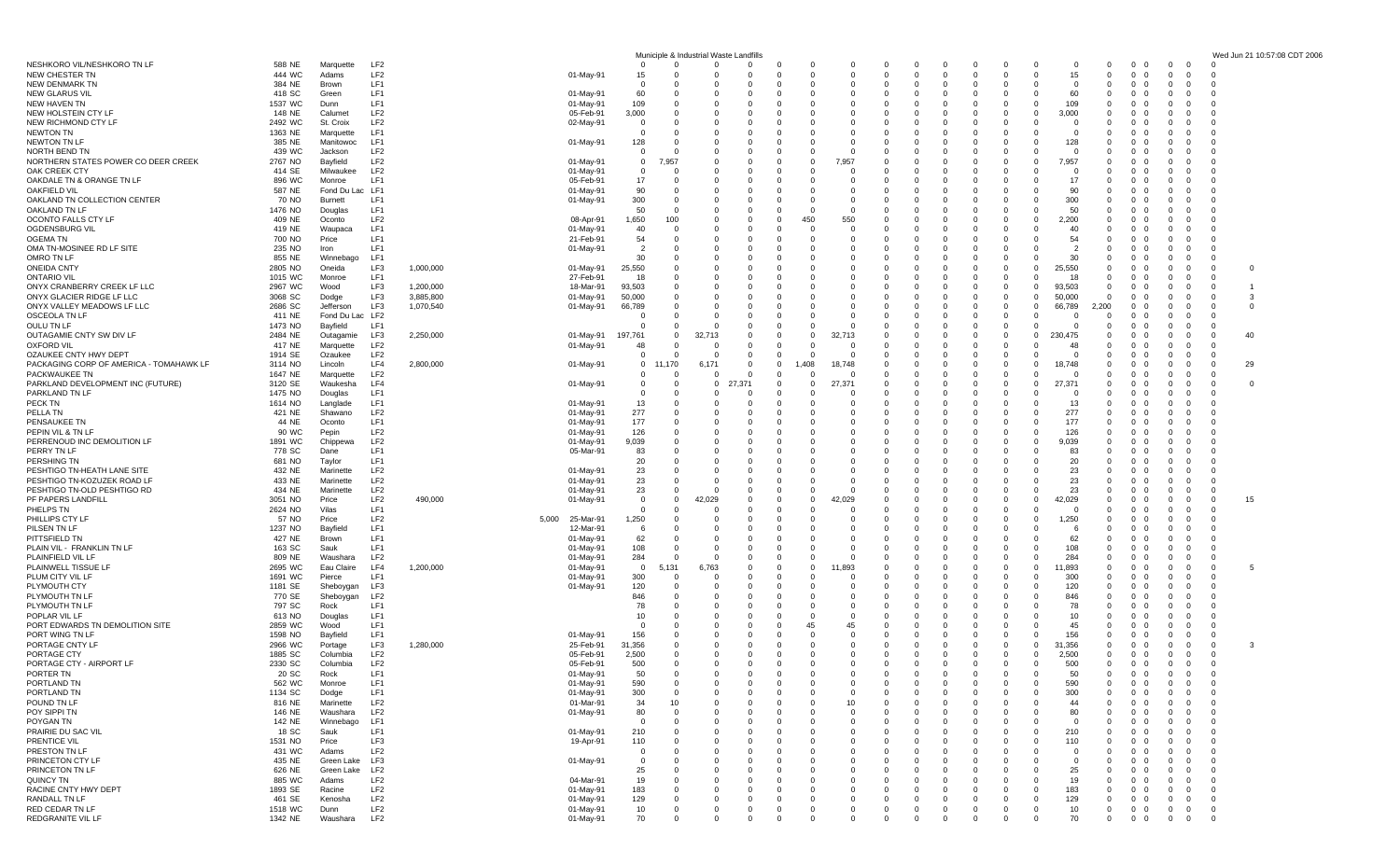|                                                                  |                    |                              |                                    |           |                                 |                    |                               | Municiple & Industrial Waste Landfills |                            |                 |                                                    |                            |                                  |                               |                                                                |                                           |                    |                              |                                                     |                                                                           | Wed Jun 21 10:57:08 CDT 2006     |
|------------------------------------------------------------------|--------------------|------------------------------|------------------------------------|-----------|---------------------------------|--------------------|-------------------------------|----------------------------------------|----------------------------|-----------------|----------------------------------------------------|----------------------------|----------------------------------|-------------------------------|----------------------------------------------------------------|-------------------------------------------|--------------------|------------------------------|-----------------------------------------------------|---------------------------------------------------------------------------|----------------------------------|
| NESHKORO VIL/NESHKORO TN LF                                      | 588 NE             | Marquette                    | LF2                                |           |                                 | $\Omega$           | $\Omega$                      | $\Omega$                               | $\Omega$                   |                 | -0<br>$\Omega$                                     | 0                          | $\mathbf 0$                      | -0                            | 0                                                              | - 0                                       | 0                  | -0                           | $\mathbf 0$<br>0                                    | - 0<br>- 0                                                                |                                  |
| <b>NEW CHESTER TN</b><br>NEW DENMARK TN                          | 444 WC<br>384 NE   | Adams<br>Brown               | LF <sub>2</sub><br>LF1             |           | 01-May-91                       | 15<br>$\Omega$     | $\Omega$                      | $\Omega$<br>$\Omega$                   | $\Omega$<br>$\Omega$       |                 | $\Omega$<br>$\Omega$<br>$\Omega$<br>$\Omega$       | $\Omega$<br>$\Omega$       | $\mathbf 0$<br>$\Omega$          | $\Omega$                      | $\Omega$<br>$\Omega$                                           | $\Omega$<br>$\Omega$                      | 15<br>$\Omega$     | $\Omega$<br>$\Omega$         | $\mathbf{0}$<br>0<br>$\mathbf{0}$<br>- 0            |                                                                           |                                  |
| <b>NEW GLARUS VIL</b>                                            | 418 SC             | Green                        | LF1                                |           | 01-May-91                       | 60                 | $\Omega$                      | $\Omega$                               | $\Omega$                   |                 | C.<br>-0                                           | 0                          | $\Omega$                         |                               |                                                                | - 0                                       | 60                 | $\Omega$                     | $^{\circ}$<br>$\Omega$                              |                                                                           |                                  |
| NEW HAVEN TN                                                     | 1537 WC            | Dunn                         | LF1<br>LF <sub>2</sub>             |           | 01-May-91                       | 109                | 0<br>$\Omega$                 | 0<br>$\Omega$                          | $\Omega$<br>$\Omega$       |                 | C<br>0<br>O<br>$\Omega$                            | 0<br>n                     | 0<br>n                           |                               |                                                                | - 0<br>- റ                                | 109                | - 0<br>$\Omega$              | 0                                                   |                                                                           |                                  |
| NEW HOLSTEIN CTY LF<br>NEW RICHMOND CTY LF                       | 148 NE<br>2492 WC  | Calumet<br>St. Croix         | LF <sub>2</sub>                    |           | 05-Feb-91<br>02-May-91          | 3,000<br>$\Omega$  | $\Omega$                      | $\Omega$                               | $\Omega$                   |                 | $\Omega$<br>C.                                     | $\Omega$                   | $\Omega$                         |                               | $^{\circ}$                                                     | - റ                                       | 3,000<br>$\Omega$  | $\Omega$                     | 0<br>$\Omega$<br>0                                  |                                                                           |                                  |
| <b>NEWTON TN</b>                                                 | 1363 NE            | Marquette                    | LF1                                |           |                                 | 0                  | $\Omega$                      | 0                                      |                            |                 | $\mathbf 0$<br>C.                                  | 0                          | -0                               |                               |                                                                | - 0                                       | 0                  | - 0                          | 0<br>0                                              |                                                                           |                                  |
| <b>NEWTON TN LF</b>                                              | 385 NE             | Manitowoc                    | LF1                                |           | 01-May-91                       | 128                |                               | $\Omega$                               |                            |                 | $\Omega$<br>C.                                     | n                          | $\Omega$                         |                               |                                                                |                                           | 128                |                              | $\Omega$                                            |                                                                           |                                  |
| NORTH BEND TN<br>NORTHERN STATES POWER CO DEER CREEK             | 439 WC<br>2767 NO  | Jackson<br>Bayfield          | LF <sub>2</sub><br>LF <sub>2</sub> |           | 01-May-91                       | 0<br>0             | ,957                          | 0                                      |                            |                 | $\Omega$<br>C.<br>7,957<br>0                       | $\Omega$<br>0              | $\Omega$<br>0                    |                               |                                                                |                                           | 7,957              |                              | 0<br>0                                              |                                                                           |                                  |
| OAK CREEK CTY                                                    | 414 SE             | Milwaukee                    | LF <sub>2</sub>                    |           | 01-May-91                       | $\Omega$           | $\Omega$                      | $\Omega$                               | $\Omega$                   |                 | $\Omega$<br>$\Omega$                               | n                          | n                                |                               |                                                                |                                           | - 0                | $\Omega$                     | $\Omega$                                            |                                                                           | - 0                              |
| OAKDALE TN & ORANGE TN LF                                        | 896 WC             | Monroe                       | LF1                                |           | 05-Feb-91                       | 17                 | $\Omega$                      | $\Omega$                               |                            |                 | $\Omega$                                           |                            |                                  |                               |                                                                |                                           | 17                 |                              | 0                                                   |                                                                           |                                  |
| <b>OAKFIELD VIL</b><br>OAKLAND TN COLLECTION CENTER              | 587 NE<br>70 NO    | Fond Du Lac<br>Burnett       | LF1<br>LF1                         |           | 01-May-91<br>01-May-91          | 90<br>300          | $\Omega$<br>$\Omega$          | 0<br>$\Omega$                          | $\Omega$<br>$\Omega$       |                 | $\mathbf 0$<br>C.<br>O<br>$\Omega$                 | 0<br>n                     | $\Omega$<br>$\Omega$             |                               | $\Omega$                                                       | - 0<br>- റ                                | 90<br>300          | $\Omega$                     | 0<br>0<br>$\Omega$<br>$\Omega$                      |                                                                           |                                  |
| OAKLAND TN LF                                                    | 1476 NO            | Douglas                      | LF1                                |           |                                 | 50                 | $\Omega$                      |                                        |                            |                 | O<br>$\Omega$                                      |                            |                                  |                               |                                                                |                                           | 50                 |                              | 0                                                   |                                                                           |                                  |
| OCONTO FALLS CTY LF                                              | 409 NE             | Oconto                       | LF <sub>2</sub>                    |           | 08-Apr-91                       | 1,650              | 100                           | 0                                      | - 0                        |                 | 450<br>550                                         | 0                          | - 0                              |                               |                                                                | - റ                                       | 2,200              | $\Omega$                     | 0<br>0                                              |                                                                           |                                  |
| OGDENSBURG VIL<br>OGEMA TN                                       | 419 NE<br>700 NO   | Waupaca<br>Price             | LF1<br>LF1                         |           | 01-May-91<br>21-Feb-91          | 40<br>54           | $\Omega$<br>$\Omega$          | $\Omega$<br>$\Omega$                   | $\Omega$                   |                 | $\Omega$<br>$\Omega$<br>-0<br>C.                   | $\Omega$<br>0              | $\Omega$                         |                               |                                                                | - റ                                       | 40<br>54           | $\Omega$                     | $\Omega$<br>0                                       |                                                                           | - 0                              |
| OMA TN-MOSINEE RD LF SITE                                        | 235 NO             | Iron                         | LF1                                |           | 01-May-91                       | $\overline{2}$     | $\Omega$                      | 0                                      | $\Omega$                   |                 | C.<br>0                                            | n                          | - 0                              |                               |                                                                |                                           |                    | $\Omega$                     | 0<br>0                                              |                                                                           |                                  |
| OMRO TN LF                                                       | 855 NE             | Winnebago                    | LF1                                |           |                                 | 30                 |                               | $\Omega$                               |                            |                 | O<br>$\Omega$                                      |                            | $\Omega$                         |                               |                                                                | $\Omega$                                  | 30                 | $\Omega$                     | 0<br>$\Omega$                                       | 0                                                                         | - 0                              |
| <b>ONEIDA CNTY</b><br><b>ONTARIO VIL</b>                         | 2805 NO<br>1015 WC | Oneida<br>Monroe             | LF3<br>LF1                         | 1,000,000 | 01-May-91<br>27-Feb-91          | 25,550<br>18       | $\mathbf 0$                   | 0                                      |                            |                 | C.<br>0                                            | 0                          | - 0                              |                               |                                                                | - 0                                       | 25,550<br>18       | $\Omega$                     | 0<br>0<br>0                                         | - 0                                                                       | 0<br>- 0<br>- 0                  |
| ONYX CRANBERRY CREEK LF LLC                                      | 2967 WC            | Wood                         | LF3                                | 1,200,000 | 18-Mar-91                       | 93,503             | $\Omega$                      | $\Omega$                               |                            |                 | O<br>$\Omega$                                      |                            |                                  |                               |                                                                |                                           | 93,503             | $\Omega$                     | 0                                                   |                                                                           | $\Omega$                         |
| ONYX GLACIER RIDGE LF LLC                                        | 3068 SC            | Dodge                        | LF3                                | 3,885,800 | 01-May-91                       | 50,000             | $\Omega$                      | $\Omega$                               |                            |                 | O<br>$\Omega$                                      |                            |                                  |                               |                                                                | $\Omega$                                  | 50,000             | $\Omega$                     | $\mathbf{0}$                                        |                                                                           | -3<br>$\Omega$                   |
| ONYX VALLEY MEADOWS LF LLC<br>OSCEOLA TN LF                      | 2686 SC<br>411 NE  | Jefferson<br>Fond Du Lac LF2 | LF3                                | 1,070,540 | 01-May-91                       | 66,789<br>$\Omega$ | $\Omega$<br>$\Omega$          | $\Omega$<br>$\Omega$                   | 0                          |                 | C.<br>0<br>O<br>$\Omega$                           | 0<br>$\Omega$              | - 0<br>$\Omega$                  |                               | 0                                                              | - 0<br>$\Omega$                           | 66,789<br>$\Omega$ | 2,200<br>$\Omega$            | $\mathbf{0}$<br>0<br>0<br>$\Omega$                  |                                                                           | $\mathbf{0}$<br>- 0              |
| OULU TN LF                                                       | 1473 NO            | Bayfield                     | LF1                                |           |                                 | 0                  | $\Omega$                      | $\Omega$                               |                            |                 | $\Omega$<br>C.                                     | n                          | n                                |                               |                                                                | $\Omega$                                  |                    | $\Omega$                     | 0                                                   | $\Omega$                                                                  | - 0                              |
| OUTAGAMIE CNTY SW DIV LF                                         | 2484 NE            | Outagamie                    | LF3                                | 2,250,000 | 01-May-91                       | 197,761            | $^{\circ}$                    | 32,713                                 | $\Omega$                   |                 | 32,713<br>0                                        | 0                          | - 0                              |                               |                                                                | $\Omega$                                  | 230.475            | -0                           | $\mathbf{0}$<br>0                                   | - ()                                                                      | 40<br>- 0                        |
| <b>OXFORD VIL</b>                                                | 417 NE             | Marquette                    | LF <sub>2</sub>                    |           | 01-May-91                       | 48                 | 0                             | - 0                                    | $\mathbf{0}$               |                 | O<br>-0                                            | 0                          | 0                                |                               |                                                                |                                           | 48                 | - 0                          | 0                                                   |                                                                           |                                  |
| OZAUKEE CNTY HWY DEPT<br>PACKAGING CORP OF AMERICA - TOMAHAWK LF | 1914 SE<br>3114 NO | Ozaukee<br>Lincoln           | LF <sub>2</sub><br>LF4             | 2,800,000 | 01-May-91                       | $\mathbf 0$<br>0   | 170                           | $\Omega$<br>6.171                      | $\Omega$<br>0              |                 | $\Omega$<br>O<br>,408<br>18,748                    | n<br>n                     | $\Omega$                         |                               | 0                                                              | $\Omega$                                  | 18,748             |                              | $\Omega$<br>0<br>0                                  |                                                                           | 29<br>- 0                        |
| PACKWAUKEE TN                                                    | 1647 NE            | Marquette                    | LF <sub>2</sub>                    |           |                                 | 0                  | $\mathbf 0$                   | $\mathbf 0$                            | $\mathbf{0}$               |                 | 0<br>- 0                                           | 0                          | 0                                |                               | - 0                                                            | - റ                                       | 0                  |                              | 0<br>0                                              | $\Omega$                                                                  | - 0                              |
| PARKLAND DEVELOPMENT INC (FUTURE)                                | 3120 SE            | Waukesha                     | LF4                                |           | 01-May-91                       | 0                  | $\Omega$                      | $\mathbf 0$                            | .37°                       |                 | 27,371<br>$\Omega$                                 |                            | $\Omega$                         |                               |                                                                | - റ                                       | 27,371             |                              | $\Omega$                                            |                                                                           | $\mathbf{0}$                     |
| PARKLAND TN LF<br>PECK TN                                        | 1475 NO<br>1614 NO | Douglas<br>Langlade          | LF1<br>LF1                         |           | 01-May-91                       | 0<br>13            | $\Omega$<br>0                 | $\Omega$<br>0                          | - 0                        |                 | O<br>- 0<br>$\mathbf 0$<br>C                       | $\Omega$                   | $\Omega$<br>$\Omega$             |                               |                                                                |                                           | 0<br>13            | $\Omega$                     | 0<br>0                                              | - 0                                                                       | - 0<br>- 0                       |
| PELLA TN                                                         | 421 NE             | Shawano                      | LF <sub>2</sub>                    |           | 01-May-91                       | 277                | $\Omega$                      | $\Omega$                               | $\Omega$                   |                 | $\Omega$<br>$\Omega$                               | $\Omega$                   | $\Omega$                         |                               | - 0                                                            | - റ                                       | 277                | $\Omega$                     | $\Omega$                                            |                                                                           | - 0                              |
| PENSAUKEE TN                                                     | 44 NE              | Oconto                       | LF1                                |           | 01-May-91                       | 177                | $\Omega$                      | $\Omega$                               |                            |                 | O<br>$\Omega$                                      | $\Omega$                   | $\Omega$                         |                               |                                                                |                                           | 177                |                              | 0                                                   |                                                                           |                                  |
| PEPIN VIL & TN LF<br>PERRENOUD INC DEMOLITION LF                 | 90 WC<br>1891 WC   | Pepin<br>Chippewa            | LF <sub>2</sub><br>LF <sub>2</sub> |           | 01-May-91<br>01-May-91          | 126<br>9,039       | 0<br>$\Omega$                 | 0<br>$\Omega$                          | $\Omega$                   |                 | $\Omega$<br>0<br>O<br>$\Omega$                     | 0<br>n                     | $\Omega$<br>$\Omega$             |                               | - 0                                                            | - റ<br>- റ                                | 126<br>9,039       | $\Omega$<br>$\Omega$         | $\mathbf{0}$<br>0<br>$\Omega$<br>$\Omega$           |                                                                           |                                  |
| PERRY TN LF                                                      | 778 SC             | Dane                         | LF1                                |           | 05-Mar-91                       | 83                 | $\Omega$                      |                                        |                            |                 | 0<br>-0                                            | 0                          | 0                                |                               |                                                                |                                           | 83                 | $\Omega$                     | 0                                                   |                                                                           |                                  |
| PERSHING TN                                                      | 681 NO             | Taylor                       | LF1                                |           |                                 | 20                 | $\Omega$                      | 0                                      |                            |                 | -0<br>0                                            | 0                          | - 0                              |                               |                                                                |                                           | 20                 | $\Omega$                     | 0                                                   |                                                                           |                                  |
| PESHTIGO TN-HEATH LANE SITE<br>PESHTIGO TN-KOZUZEK ROAD LF       | 432 NE<br>433 NE   | Marinette<br>Marinette       | LF <sub>2</sub><br>LF <sub>2</sub> |           | 01-May-91<br>01-May-91          | 23<br>23           | $\Omega$<br>$\Omega$          | $\Omega$<br>0                          | $\Omega$<br>$\Omega$       |                 | O<br>$\Omega$<br>$\Omega$<br>0                     | $\Omega$<br>0              | n                                |                               |                                                                |                                           | 23<br>23           | $\Omega$                     | $\Omega$<br>0                                       |                                                                           |                                  |
| PESHTIGO TN-OLD PESHTIGO RD                                      | 434 NE             | Marinette                    | LF <sub>2</sub>                    |           | 01-May-91                       | 23                 | $^{\circ}$                    | 0                                      | $\Omega$                   |                 | $\Omega$<br>-0                                     | 0                          | $\Omega$                         |                               |                                                                | - റ                                       | 23                 | $\Omega$                     | $\mathbf{0}$<br>0                                   | - 0                                                                       | - 0                              |
| PF PAPERS LANDFILL                                               | 3051 NO            | Price                        | LF <sub>2</sub>                    | 490,000   | 01-May-91                       | 0                  | $\Omega$                      | ,029                                   | $\Omega$                   |                 | 029<br>$\Omega$                                    | $\Omega$                   | $\Omega$                         |                               |                                                                |                                           | 42,029             | $\Omega$                     | 0<br>$\Omega$                                       | 0                                                                         | 15<br>$\Omega$                   |
| PHELPS TN                                                        | 2624 NO            | Vilas                        | LF1                                |           |                                 | 0                  |                               | $\Omega$                               |                            |                 | 0<br>- 0                                           | $\Omega$                   | $\Omega$                         |                               |                                                                |                                           |                    | $\Omega$                     | 0                                                   |                                                                           | - 0                              |
| PHILLIPS CTY LF<br>PILSEN TN LF                                  | 57 NO<br>1237 NO   | Price<br>Bayfield            | LF <sub>2</sub><br>LF1             |           | 5,000<br>25-Mar-91<br>12-Mar-91 | 1,250<br>- 6       | $\Omega$<br>$\Omega$          | $\Omega$<br>$\Omega$                   | $\Omega$<br>$\Omega$       |                 | 0<br>-0<br>-0<br>$\mathbf 0$                       | 0<br>$\Omega$              | - 0<br>$\Omega$                  |                               |                                                                | - റ                                       | 1,250<br>-6        | $\Omega$<br>$\Omega$         | 0<br>$\Omega$<br>$\Omega$                           | $\Omega$                                                                  | - 0<br>- 0                       |
| PITTSFIELD TN                                                    | 427 NE             | Brown                        | LF1                                |           | 01-May-91                       | 62                 | $\Omega$                      | $\Omega$                               | $\Omega$                   |                 | O<br>$\Omega$                                      | $\Omega$                   | $\Omega$                         |                               |                                                                |                                           | 62                 | $\Omega$                     | 0                                                   |                                                                           |                                  |
| PLAIN VIL - FRANKLIN TN LF                                       | 163 SC             | Sauk                         | LF1                                |           | 01-May-91                       | 108                | $\Omega$                      | $\Omega$                               | 0                          |                 | 0<br>0                                             | 0                          | $\Omega$                         |                               | 0                                                              | - 0                                       | 108                | 0                            | $\mathbf{0}$<br>0                                   |                                                                           |                                  |
| PLAINFIELD VIL LF<br>PLAINWELL TISSUE LF                         | 809 NE<br>2695 WC  | Waushara<br>Eau Claire       | LF <sub>2</sub><br>LF4             | 1,200,000 | 01-May-91<br>01-May-91          | 284<br>$^{\circ}$  | $\Omega$<br>5,131             | 0<br>6,763                             | $\Omega$<br>$\Omega$       |                 | 0<br>$\Omega$<br>.893<br>$\Omega$                  | $\Omega$                   | $\Omega$<br>$\Omega$             |                               |                                                                | - റ                                       | 284<br>11,893      | $\Omega$<br>$\Omega$         | 0<br>$\Omega$<br>0                                  | $\Omega$<br>- 0                                                           | $\Omega$<br>5<br>- 0             |
| PLUM CITY VIL LF                                                 | 1691 WC            | Pierce                       | LF1                                |           | 01-May-91                       | 300                | $\Omega$                      | $\Omega$                               |                            |                 | 0<br>0                                             | n                          | $\Omega$                         |                               |                                                                | - 0                                       | 300                | $\Omega$                     | 0<br>$\Omega$                                       | - 0<br>- 0                                                                | - 0                              |
| PLYMOUTH CTY                                                     | 1181 SE            | Sheboygan                    | LF3                                |           | 01-May-91                       | 120                | $\mathbf 0$                   | - 0                                    | - 0                        |                 | $\mathbf 0$<br>C                                   | 0                          | - 0                              |                               |                                                                | - 0                                       | 120                | $\Omega$                     | 0                                                   |                                                                           | - 0                              |
| PLYMOUTH TN LF<br>PLYMOUTH TN LF                                 | 770 SE<br>797 SC   | Sheboygan<br>Rock            | LF <sub>2</sub><br>LF1             |           |                                 | 846<br>78          | $\Omega$<br>$\Omega$          | $\Omega$<br>$\Omega$                   | $\Omega$                   |                 | O<br>$\Omega$<br>C.<br>0                           | n                          | n<br>$\Omega$                    |                               |                                                                |                                           | 846<br>78          | $\Omega$<br>$\Omega$         | $\Omega$<br>0<br>$\Omega$                           |                                                                           | - 0                              |
| POPLAR VIL LF                                                    | 613 NO             | Douglas                      | LF1                                |           |                                 | 10                 | $\Omega$                      | 0                                      |                            |                 | $\mathbf 0$<br>O                                   | 0                          | - 0                              |                               |                                                                | - 0                                       | 10                 | $\Omega$                     | 0<br>0                                              |                                                                           |                                  |
| PORT EDWARDS TN DEMOLITION SITE                                  | 2859 WC            | Wood                         | LF1                                |           |                                 | - 0                |                               | $\Omega$                               |                            |                 | 45<br>45                                           | n                          | $\Omega$                         |                               |                                                                | $\Omega$                                  | 45                 | $\Omega$                     | $\Omega$<br>$\Omega$                                | $\Omega$                                                                  |                                  |
| PORT WING TN LF<br>PORTAGE CNTY LF                               | 1598 NO<br>2966 WC | Bayfield<br>Portage          | LF1<br>LF3                         | 1,280,000 | 01-May-91<br>25-Feb-91          | 156<br>31,356      | $\Omega$<br>0                 | 0                                      | $\Omega$                   |                 | -0<br>0<br>$\mathbf 0$<br>0                        | 0<br>0                     | - 0<br>- 0                       |                               | 0                                                              | - 0<br>$\overline{0}$                     | 156<br>31,356      | $\Omega$<br>$\mathbf{0}$     | $^{\circ}$<br>$\Omega$<br>$\mathbf{0}$<br>0         | 0<br>0                                                                    | - 0<br>3<br>0                    |
| PORTAGE CTY                                                      | 1885 SC            | Columbia                     | LF <sub>2</sub>                    |           | 05-Feb-91                       | 2,500              | $\Omega$                      | $\Omega$                               | $\Omega$                   |                 | $\Omega$<br>$\Omega$                               | $\Omega$                   | $\Omega$                         | - 0                           | $\Omega$<br>- 0                                                | $\Omega$                                  | 2,500              | $\Omega$                     | $0\quad 0$                                          | $\Omega$<br>$\Omega$                                                      | $\Omega$                         |
| PORTAGE CTY - AIRPORT L                                          | 2330 SC            | Columbia                     | LF <sub>2</sub>                    |           | 05-Feb-91                       | 500                | $\Omega$                      | $\Omega$                               | $\Omega$                   |                 | $\Omega$<br>$\Omega$                               | $\Omega$                   | $\Omega$                         |                               | $\Omega$                                                       | $\Omega$                                  | 500                | $\Omega$                     | $0\quad 0$                                          | $\Omega$<br>$\Omega$                                                      | $\Omega$                         |
| PORTER TN                                                        | 20 SC              | Rock                         | LF1                                |           | 01-May-91                       | 50                 | $^{\circ}$<br>$\Omega$        | $^{\circ}$<br>$\Omega$                 | 0<br>$\Omega$              |                 | 0<br>0<br>$\Omega$<br>$\Omega$                     | 0                          | 0<br>$\Omega$                    | $\mathbf{0}$                  | $\mathbf{0}$<br>$\Omega$                                       | - 0                                       | 50                 |                              | 0<br>0                                              | 0                                                                         | 0<br>$\Omega$                    |
| PORTLAND TN<br>PORTLAND TN                                       | 562 WC<br>1134 SC  | Monroe<br>Dodge              | LF1<br>LF1                         |           | 01-May-91<br>01-May-91          | 590<br>300         | 0                             | $\Omega$                               | $\Omega$                   |                 | O<br>$\Omega$                                      | $\Omega$<br>$\Omega$       | 0                                | $\Omega$                      | $\Omega$                                                       | $\Omega$<br>$\Omega$                      | 590<br>300         | $\Omega$<br>$^{\circ}$       | $\mathbf{0}$<br>$\Omega$<br>$\mathbf 0$<br>$\Omega$ | $\Omega$<br>$\Omega$<br>$\mathbf{0}$                                      | $^{\circ}$                       |
| POUND TN LF                                                      | 816 NE             | Marinette                    | LF <sub>2</sub>                    |           | 01-Mar-91                       | 34                 | 10                            | 0                                      | 0                          |                 | 10<br>0                                            | -0                         | $\Omega$                         |                               | - 0                                                            | - റ                                       | 44                 | $^{\circ}$                   | 0<br>0                                              | $\overline{0}$<br>$\Omega$                                                | $\mathbf 0$                      |
| POY SIPPI TN                                                     | 146 NE             | Waushara                     | LF <sub>2</sub>                    |           | 01-May-91                       | 80                 | $\overline{0}$                | $\Omega$                               | $\Omega$                   |                 | O<br>$\Omega$                                      | $\Omega$                   |                                  |                               |                                                                |                                           | 80                 | $\Omega$                     | $\mathbf 0$<br>$\Omega$                             | $\Omega$                                                                  | $\Omega$                         |
| POYGAN TN<br>PRAIRIE DU SAC VIL                                  | 142 NE<br>18 SC    | Winnebago<br>Sauk            | LF1<br>LF1                         |           | 01-May-91                       | 0<br>210           | $^{\circ}$<br>$^{\circ}$      | 0<br>0                                 | $\Omega$<br>$\mathbf{0}$   |                 | $\mathbf 0$<br>O<br>$\Omega$<br>-0                 | 0<br>0                     | 0<br>$\Omega$                    | $\Omega$                      | $\Omega$                                                       | - റ                                       | - 0<br>210         | $\Omega$<br>$\Omega$         | 0<br>$\mathbf 0$<br>0                               | $\mathbf{0}$<br>$\overline{0}$                                            | $\overline{0}$<br>$\overline{0}$ |
| PRENTICE VIL                                                     | 1531 NO            | Price                        | LF3                                |           | 19-Apr-91                       | 110                | 0                             | 0                                      | $\Omega$                   |                 | O<br>$\Omega$                                      | $\Omega$                   | $\mathbf 0$                      |                               | $\Omega$                                                       |                                           | 110                | $\Omega$                     | $\mathbf{0}$<br>0                                   | $\Omega$                                                                  | 0                                |
| PRESTON TN LF                                                    | 431 WC             | Adams                        | LF <sub>2</sub>                    |           |                                 | 0                  | 0                             | 0                                      | $\Omega$                   |                 | $\mathbf 0$<br>O                                   | 0                          | 0                                |                               |                                                                |                                           | - 0                | $\mathbf{0}$                 | 0<br>0                                              | $\mathbf{0}$                                                              | $^{\circ}$                       |
| PRINCETON CTY LF                                                 | 435 NE             | Green Lake                   | LF3                                |           | 01-May-91                       | 0                  | $\mathbf 0$                   | 0                                      | $\Omega$                   |                 | - 0<br>$\Omega$                                    | 0                          | $\Omega$                         |                               | - 0                                                            |                                           | - 0                | $\Omega$                     | $\mathbf 0$<br>0                                    | $\Omega$<br>- 0                                                           | $\overline{0}$                   |
| PRINCETON TN LF<br><b>QUINCY TN</b>                              | 626 NE<br>885 WC   | Green Lake<br>Adams          | LF2<br>LF <sub>2</sub>             |           | 04-Mar-91                       | 25<br>19           | $^{\circ}$<br>0               | $\Omega$<br>0                          | $\Omega$                   |                 | $\Omega$<br>$\Omega$<br>O<br>-0                    | 0                          |                                  |                               |                                                                |                                           | 25<br>19           | $\Omega$<br>$\Omega$         | 0<br>$\Omega$<br>0                                  | $\Omega$<br>$\mathbf{0}$                                                  | $\overline{0}$<br>$\overline{0}$ |
| RACINE CNTY HWY DEPT                                             | 1893 SE            | Racine                       | LF <sub>2</sub>                    |           | 01-May-91                       | 183                | 0                             | 0                                      | $\Omega$                   |                 | $\Omega$<br>$\Omega$                               | $\Omega$                   | $\mathbf 0$                      | $\Omega$                      | $\mathbf{0}$                                                   | - 0                                       | 183                | $\Omega$                     | $\mathbf 0$<br>$\mathbf{0}$                         | $\overline{0}$<br>$\Omega$                                                | $\overline{0}$                   |
| RANDALL TN LF                                                    | 461 SE             | Kenosha                      | LF <sub>2</sub>                    |           | 01-May-91                       | 129                | $\mathbf{0}$                  | $\mathbf 0$                            | $\mathbf{0}$               |                 | $^{\circ}$<br>0                                    | 0                          | $^{\circ}$                       | $\mathbf{0}$                  | $\mathbf 0$<br>$\Omega$                                        | $\Omega$                                  | 129                | $^{\circ}$                   | $\mathbf{0}$<br>$\mathbf{0}$                        | $^{\circ}$<br>$\Omega$                                                    | $\overline{0}$                   |
| RED CEDAR TN LF<br>REDGRANITE VIL LF                             | 1518 WC<br>1342 NE | Dunn<br>Waushara             | LF <sub>2</sub><br>LF <sub>2</sub> |           | 01-May-91<br>01-May-91          | 10<br>70           | $\overline{0}$<br>$\mathbf 0$ | $\mathbf 0$<br>$\mathbf 0$             | $\mathbf 0$<br>$\mathbf 0$ | $\Omega$<br>- 0 | $\mathbf 0$<br>$\mathbf 0$<br>$\Omega$<br>$\Omega$ | $\mathbf 0$<br>$\mathbf 0$ | $\overline{0}$<br>$\overline{0}$ | $\mathbf 0$<br>$\overline{0}$ | $\mathbf 0$<br>$\overline{0}$<br>$\mathbf 0$<br>$\overline{0}$ | $\overline{0}$<br>$\overline{\mathbf{0}}$ | 10<br>70           | $\mathbf{0}$<br>$\mathbf{0}$ | $0\quad 0$<br>$0\quad 0$                            | $\overline{0}$<br>$\mathbf{0}$<br>$\mathbf{0}$<br>$\overline{\mathbf{0}}$ | $\overline{0}$<br>$\overline{0}$ |
|                                                                  |                    |                              |                                    |           |                                 |                    |                               |                                        |                            |                 |                                                    |                            |                                  |                               |                                                                |                                           |                    |                              |                                                     |                                                                           |                                  |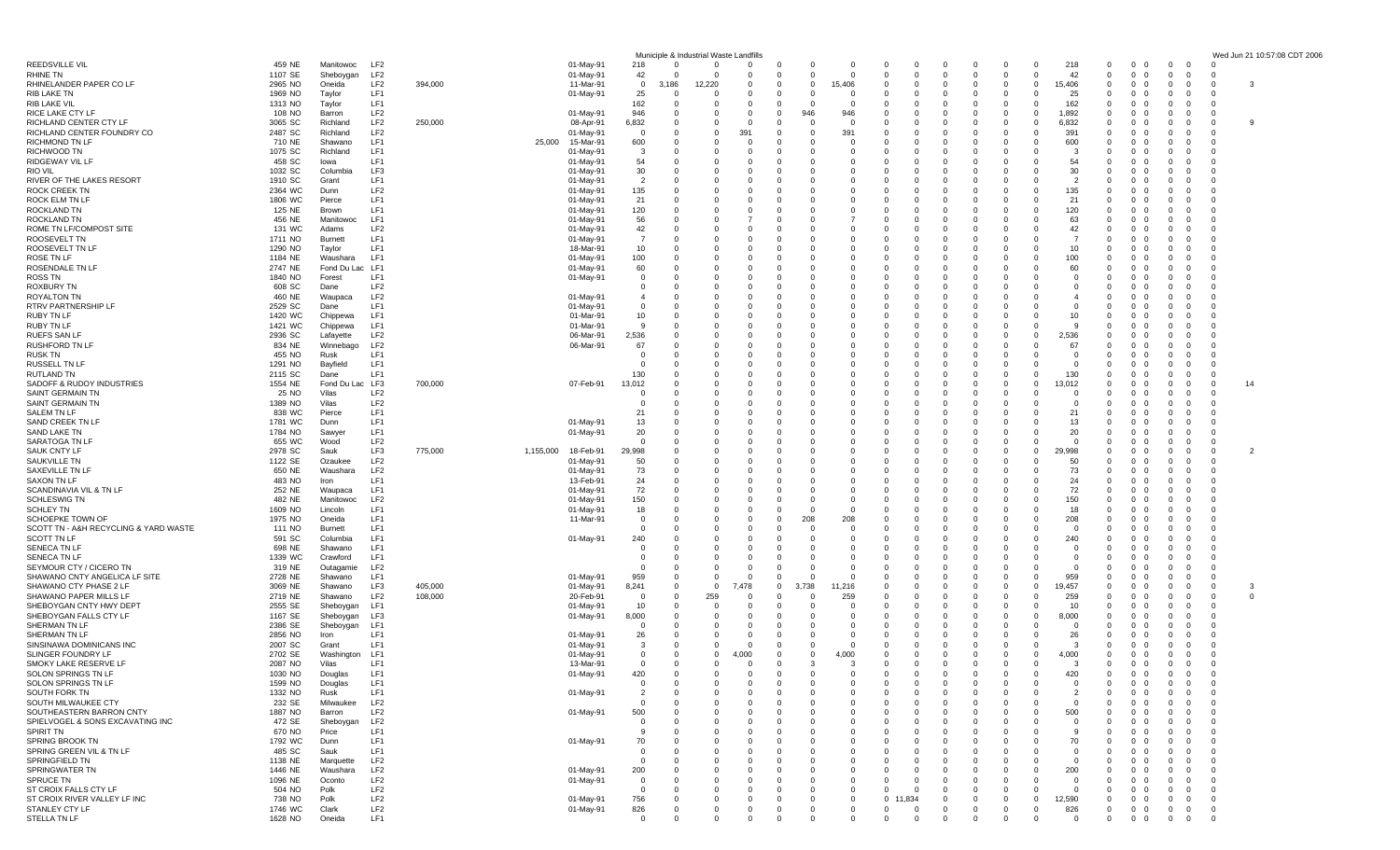|                                                         |                    |                         |                                    |         |                        |               |                               | Municiple & Industrial Waste Landfills |              |                      |                            |                          |                   |                          |                              |              |                         |               |                          |                                                                 |                                                           |                                     | Wed Jun 21 10:57:08 CDT 2006 |
|---------------------------------------------------------|--------------------|-------------------------|------------------------------------|---------|------------------------|---------------|-------------------------------|----------------------------------------|--------------|----------------------|----------------------------|--------------------------|-------------------|--------------------------|------------------------------|--------------|-------------------------|---------------|--------------------------|-----------------------------------------------------------------|-----------------------------------------------------------|-------------------------------------|------------------------------|
| <b>REEDSVILLE VIL</b>                                   | 459 NE             | Manitowoc               | LF2                                |         | 01-May-91              | 218           |                               | $\Omega$                               | $\Omega$     | - ( )                | 0                          | 0                        | 0                 | 0                        | -0<br>0                      |              | 0                       | 218           | $\mathbf 0$              | $\overline{0}$<br>$\mathbf{0}$                                  | $\mathbf{0}$<br>- 0                                       | C                                   |                              |
| RHINE TN<br>RHINELANDER PAPER CO LF                     | 1107 SE<br>2965 NO | Sheboygan<br>Oneida     | LF <sub>2</sub><br>LF <sub>2</sub> | 394,000 | 01-May-91<br>11-Mar-91 | 42            | $\overline{0}$<br>186         | $\Omega$<br>12,220                     |              | $\Omega$<br>- 0      | $\mathbf 0$<br>$\mathbf 0$ | $\overline{0}$<br>15,406 | $\Omega$          | $\mathbf{0}$<br>$\Omega$ | $\Omega$                     | $\Omega$     | $\mathbf 0$<br>$\Omega$ | 42<br>15,406  | $^{\circ}$<br>$\Omega$   | $\mathbf 0$<br>$\mathbf 0$<br>$\overline{0}$<br>- 0             | $\overline{\mathbf{0}}$<br>0                              | C<br>0                              | 3                            |
| RIB LAKE TN                                             | 1969 NO            | Taylor                  | LF1                                |         | 01-May-91              | 25            | 0                             | $\Omega$                               | - 0          | - 0                  | $\Omega$                   | 0                        | 0                 | 0                        |                              |              | $\Omega$                | 25            | $\Omega$                 | $\mathbf 0$<br>- 0                                              | 0<br>- ()                                                 | $\Omega$                            |                              |
| RIB LAKE VIL                                            | 1313 NO            | Taylor                  | LF1                                |         |                        | 162           |                               | 0                                      | - 0          | -0                   | 0                          | - 0                      |                   |                          |                              |              | 0                       | 162           | 0                        | $\mathbf 0$                                                     | 0                                                         | 0                                   |                              |
| RICE LAKE CTY LF<br>RICHLAND CENTER CTY LF              | 108 NO             | Barron                  | LF <sub>2</sub><br>LF <sub>2</sub> |         | 01-May-91              | 946           | - 0                           | $\Omega$<br>$\Omega$                   | $\Omega$     | $\Omega$             | 946<br>$\Omega$            | 946                      |                   |                          |                              |              | $\Omega$                | 1,892         | $\Omega$<br>$\Omega$     | $\mathbf 0$                                                     | $\Omega$                                                  | 0<br>$\Omega$                       | 9                            |
| RICHLAND CENTER FOUNDRY CO                              | 3065 SC<br>2487 SC | Richland<br>Richland    | LF <sub>2</sub>                    | 250,000 | 08-Apr-91<br>01-May-91 | 6,832         | - 0<br>- 0                    | 0                                      | - 0<br>39۰   | - 0<br>- 0           | 0                          | - 0<br>391               |                   | 0<br>$\Omega$            |                              |              | $\Omega$<br>$\Omega$    | 6,832<br>391  | 0                        | $\mathbf 0$<br>- 0<br>$\mathbf 0$<br>0                          | $\Omega$<br>0                                             | 0                                   |                              |
| <b>RICHMOND TN LF</b>                                   | 710 NE             | Shawano                 | LF1                                |         | 25,000<br>15-Mar-91    | 600           |                               | $\Omega$                               |              | - 0                  |                            | $\Omega$                 |                   | O                        |                              |              |                         | 600           | $\Omega$                 | $\Omega$<br>$\Omega$                                            | -0                                                        | $\Omega$                            |                              |
| RICHWOOD TN                                             | 1075 SC            | Richland                | LF1                                |         | 01-May-91              |               | -3                            |                                        |              | - 0                  | $\Omega$                   | 0                        |                   |                          |                              |              | - 0                     |               | $^{\circ}$               | $\mathbf 0$<br>- 0                                              | $\overline{0}$                                            | 0                                   |                              |
| RIDGEWAY VIL LF<br>RIO VIL                              | 458 SC<br>1032 SC  | lowa<br>Columbia        | LF1<br>LF3                         |         | 01-May-91<br>01-May-91 | 54<br>30      | - 0                           | $\Omega$<br>$\Omega$                   | - 0          | - 0                  | 0<br>$\Omega$              | 0<br>$\Omega$            |                   |                          |                              |              | - 0<br>- 0              | 54<br>30      | $\Omega$<br>0            | $\mathbf 0$<br>$\Omega$<br>$\Omega$                             | 0<br>$\Omega$                                             | 0<br>- 0                            |                              |
| RIVER OF THE LAKES RESORT                               | 1910 SC            | Grant                   | LF1                                |         | 01-May-91              |               | $\overline{2}$                | $\Omega$                               |              |                      | $\Omega$                   | 0                        |                   |                          |                              |              |                         |               | $\Omega$                 | $\mathbf 0$                                                     | 0                                                         |                                     |                              |
| ROCK CREEK TN                                           | 2364 WC            | Dunn                    | LF <sub>2</sub>                    |         | 01-May-91              | 135           |                               | $\Omega$                               |              |                      | $\Omega$                   | 0                        | 0                 | $\Omega$                 |                              |              | - 0                     | 135           | $\Omega$                 | $\mathbf 0$<br>- 0                                              | 0                                                         | -C                                  |                              |
| ROCK ELM TN LF<br>ROCKLAND TN                           | 1806 WC<br>125 NE  | Pierce<br>Brown         | LF1<br>LF1                         |         | 01-May-91<br>01-May-91 | 21<br>120     |                               | $\Omega$<br>$\Omega$                   |              | - ( )<br>-0          | $\Omega$<br>$\Omega$       | $\Omega$<br>$\Omega$     |                   | $\Omega$                 |                              |              |                         | 21<br>120     | $\Omega$<br>$\Omega$     | $\Omega$<br>- 0<br>$\mathbf 0$                                  | $\Omega$<br>0                                             | C<br>-C                             |                              |
| ROCKLAND TN                                             | 456 NE             | Manitowoc               | LF1                                |         | 01-May-91              | 56            |                               | 0                                      |              | - ( )                | 0                          |                          |                   |                          |                              |              | - 0                     | 63            | - 0                      | 0<br>- 0                                                        | 0                                                         | -C                                  |                              |
| ROME TN LF/COMPOST SITE                                 | 131 WC             | Adams                   | LF <sub>2</sub>                    |         | 01-May-91              | 42            | $\Omega$                      | $\Omega$                               |              |                      | $\Omega$                   | $\Omega$                 |                   |                          |                              |              |                         | 42            | $\Omega$                 | $\Omega$                                                        | -0                                                        | C                                   |                              |
| ROOSEVELT TN                                            | 1711 NO            | Burnett                 | LF1                                |         | 01-May-91              |               |                               | $\Omega$<br>$\Omega$                   |              |                      | $\Omega$                   | $\Omega$                 |                   | n                        |                              |              | - 0                     |               | 0                        | $\mathbf 0$                                                     | 0                                                         | -C<br>C                             |                              |
| ROOSEVELT TN LF<br>ROSE TN LF                           | 1290 NO<br>1184 NE | Taylor<br>Waushara      | LF1<br>LF1                         |         | 18-Mar-91<br>01-May-91 | 10<br>100     |                               | $\Omega$                               |              | - 0                  | 0<br>$\Omega$              | 0<br>$\Omega$            | 0                 | $\Omega$                 |                              |              |                         | 10<br>100     | $\Omega$<br>$\Omega$     | $\mathbf 0$<br>- 0<br>$\mathbf 0$<br>$\Omega$                   | 0<br>-0                                                   | -C                                  |                              |
| ROSENDALE TN LF                                         | 2747 NE            | Fond Du Lac LF1         |                                    |         | 01-May-91              | 60            |                               |                                        |              |                      | $\Omega$                   | $\Omega$                 |                   |                          |                              |              |                         | 60            | $\Omega$                 | $\mathbf 0$                                                     | 0                                                         |                                     |                              |
| ROSS TN                                                 | 1840 NO            | Forest                  | LF1                                |         | 01-May-91              |               | 0<br>$\Omega$                 | $\Omega$                               |              | - ( )                | $\Omega$                   | 0                        | O                 | n                        |                              |              |                         | - 0           | $\Omega$                 | $\mathbf 0$<br>- 0                                              | 0                                                         | -C                                  |                              |
| <b>ROXBURY TN</b><br><b>ROYALTON TN</b>                 | 608 SC<br>460 NE   | Dane<br>Waupaca         | LF <sub>2</sub><br>LF <sub>2</sub> |         | 01-May-91              |               | 0                             | $\Omega$<br>$\Omega$                   |              | -0                   | $\Omega$<br>$\Omega$       | 0<br>0                   |                   |                          |                              |              |                         |               | 0<br>0                   | $\mathbf 0$<br>$\mathbf 0$                                      | - 0<br>0                                                  | $\Omega$                            |                              |
| RTRV PARTNERSHIP LF                                     | 2529 SC            | Dane                    | LF1                                |         | 01-May-91              |               | 0                             | $\Omega$                               |              |                      | $\Omega$                   | $\Omega$                 |                   |                          |                              |              |                         |               | 0                        | $\mathbf{0}$<br>- 0                                             | 0                                                         | -0                                  |                              |
| <b>RUBY TN LF</b>                                       | 1420 WC            | Chippewa                | LF1                                |         | 01-Mar-91              | 10            |                               | $\Omega$                               |              |                      | $\Omega$                   | $\Omega$                 |                   | $\Omega$                 |                              |              |                         | 10            | $\Omega$                 | $\mathbf{0}$<br>$\Omega$                                        | 0                                                         | -C                                  |                              |
| <b>RUBY TN LF</b><br><b>RUEFS SAN LF</b>                | 1421 WC            | Chippewa                | LF1<br>LF <sub>2</sub>             |         | 01-Mar-91              |               | <sub>9</sub>                  | $\Omega$<br>$\Omega$                   |              | - 0<br>- 0           | $\Omega$<br>$\Omega$       | $\Omega$<br>0            |                   | n                        |                              |              |                         |               | $\Omega$<br>$\Omega$     | $\Omega$<br>- റ<br>$\mathbf{0}$<br>- 0                          | $\Omega$<br>- 0                                           | C<br>-C                             |                              |
| <b>RUSHFORD TN LF</b>                                   | 2936 SC<br>834 NE  | Lafayette<br>Winnebago  | LF <sub>2</sub>                    |         | 06-Mar-91<br>06-Mar-91 | 2,536<br>67   |                               | 0                                      |              | -0                   | 0                          | 0                        | 0                 |                          |                              |              | 0<br>- 0                | 2,536<br>67   | 0                        | $\mathbf 0$                                                     | 0                                                         | C                                   |                              |
| <b>RUSK TN</b>                                          | 455 NO             | Rusk                    | LF1                                |         |                        |               | $\Omega$                      | $\Omega$                               | - 0          |                      | $\Omega$                   | $\Omega$                 |                   |                          |                              |              |                         | - 0           | $\Omega$                 | $\Omega$                                                        | $\Omega$                                                  | C                                   |                              |
| RUSSELL TN LF                                           | 1291 NO            | Bayfield                | LF1                                |         |                        |               | $\Omega$                      | $\Omega$                               |              | - 0                  | $\Omega$                   | $\Omega$                 |                   | $\Omega$                 |                              |              | - 0                     |               | $\Omega$                 | $\mathbf 0$<br>- 0                                              | 0                                                         | C                                   |                              |
| RUTLAND TN<br>SADOFF & RUDOY INDUSTRIES                 | 2115 SC<br>1554 NE | Dane<br>Fond Du Lac LF3 | LF1                                | 700,000 | 07-Feb-91              | 130<br>13,012 |                               | 0<br>$\Omega$                          |              |                      | 0<br>$\Omega$              | 0<br>$\Omega$            |                   | $\Omega$                 |                              |              | - 0                     | 130<br>13,012 | 0<br>$\Omega$            | $\mathbf 0$<br>0<br>$\Omega$<br>- റ                             | 0<br>$\Omega$<br>$\Omega$                                 | C<br>$\Omega$                       | 14                           |
| SAINT GERMAIN TN                                        | 25 NO              | Vilas                   | LF <sub>2</sub>                    |         |                        |               | 0                             |                                        |              |                      |                            | 0                        |                   |                          |                              |              |                         |               | 0                        | $\mathbf 0$<br>- 0                                              | - 0                                                       | 0                                   |                              |
| <b>SAINT GERMAIN TN</b>                                 | 1389 NO            | Vilas                   | LF <sub>2</sub>                    |         |                        |               | 0                             | 0                                      |              |                      | 0                          | 0                        |                   |                          |                              |              |                         |               | 0                        | 0<br>$\Omega$                                                   | 0                                                         | 0                                   |                              |
| SALEM TN LF<br>SAND CREEK TN LF                         | 838 WC<br>1781 WC  | Pierce<br>Dunn          | LF1<br>LF1                         |         | 01-May-91              | 21<br>13      |                               | $\Omega$                               |              | - 0                  | $\Omega$                   | $\Omega$<br>$\Omega$     |                   |                          |                              |              |                         | 21<br>13      | 0<br>$\Omega$            | $\Omega$<br>$\Omega$<br>$\mathbf{0}$<br>- 0                     | - 0<br>0                                                  | $\Omega$<br>C                       |                              |
| SAND LAKE TN                                            | 1784 NO            | Sawyer                  | LF1                                |         | 01-May-91              | 20            |                               | 0                                      |              |                      | 0                          | 0                        |                   | 0                        |                              |              | - 0                     | 20            | $\Omega$                 | $\mathbf{0}$<br>- 0                                             | 0                                                         | -C                                  |                              |
| SARATOGA TN LF                                          | 655 WC             | Wood                    | LF <sub>2</sub>                    |         |                        |               | $\Omega$                      | $\Omega$                               |              | - 0                  | $\Omega$                   | $\Omega$                 | O                 | $\Omega$                 |                              |              | $\Omega$                | $\Omega$      | $\Omega$                 | $\Omega$<br>- 0                                                 | - 0<br>$\Omega$                                           | $\Omega$                            |                              |
| <b>SAUK CNTY LF</b>                                     | 2978 SC            | Sauk                    | LF3                                | 775,000 | 1,155,000<br>18-Feb-91 | 29,998        |                               |                                        |              |                      |                            | $\Omega$                 |                   |                          |                              |              | $\Omega$                | 29,998        | $\Omega$                 | $\mathbf 0$<br>- 0                                              | 0                                                         | 0                                   | 2                            |
| SAUKVILLE TN<br>SAXEVILLE TN LF                         | 1122 SE<br>650 NE  | Ozaukee<br>Waushara     | LF <sub>2</sub><br>LF <sub>2</sub> |         | 01-May-91<br>01-May-91 | 50<br>73      | -0<br>- 0                     | 0<br>$\Omega$                          | - 0          | - ( )<br>- 0         | 0<br>$\Omega$              | $\Omega$<br>$\Omega$     | $\Omega$<br>O     |                          |                              |              | - 0                     | 50<br>-73     | - 0<br>$\Omega$          | 0<br>- 0<br>$\Omega$<br>$\Omega$                                | 0<br>- 0<br>- 0                                           | 0<br>$\Omega$                       |                              |
| <b>SAXON TN LF</b>                                      | 483 NO             | Iron                    | LF1                                |         | 13-Feb-91              | 24            |                               | $\Omega$                               |              |                      |                            | 0                        |                   |                          |                              |              |                         | 24            | 0                        | $\mathbf 0$                                                     | 0                                                         | C                                   |                              |
| SCANDINAVIA VIL & TN LF                                 | 252 NE             | Waupaca                 | LF1                                |         | 01-May-91              | 72            |                               | 0                                      |              |                      | 0                          | 0                        |                   | 0                        |                              |              | - 0                     | 72            | $\Omega$                 | $\mathbf 0$<br>- 0                                              | 0                                                         | -C                                  |                              |
| <b>SCHLESWIG TN</b><br><b>SCHLEY TN</b>                 | 482 NE<br>1609 NO  | Manitowoc<br>Lincoln    | LF <sub>2</sub><br>LF1             |         | 01-May-91<br>01-May-91 | 150<br>18     |                               | $\Omega$                               |              | - 0                  | $\Omega$<br>$\Omega$       | $\Omega$<br>$\Omega$     |                   | $\Omega$                 |                              |              |                         | 150<br>18     | $\Omega$<br>$\Omega$     | $\mathbf 0$<br>$\Omega$<br>$\mathbf 0$<br>- 0                   | 0<br>0                                                    | -C                                  |                              |
| SCHOEPKE TOWN OF                                        | 1975 NO            | Oneida                  | LF1                                |         | 11-Mar-91              |               | 0<br>$\Omega$                 | $\Omega$                               |              | - 0                  | 208                        | 208                      |                   |                          |                              |              | - 0                     | 208           | $\Omega$                 | $\mathbf 0$<br>- 0                                              | - 0                                                       | -C                                  |                              |
| SCOTT TN - A&H RECYCLING & YARD WASTE                   | 111 NO             | Burnett                 | LF1                                |         |                        |               | $\Omega$                      | $\Omega$                               |              | - 0                  | $\Omega$                   | 0                        | 0                 |                          |                              |              |                         |               | $\Omega$                 | 0                                                               | $\Omega$                                                  | C                                   |                              |
| SCOTT TN LF<br><b>SENECA TN LF</b>                      | 591 SC<br>698 NE   | Columbia<br>Shawano     | LF1<br>LF1                         |         | 01-May-91              | 240           | $\Omega$<br>-0                | $\Omega$<br>$\Omega$                   |              | - 0                  | $\Omega$<br>0              | $\Omega$<br>$\Omega$     |                   | 0                        |                              |              |                         | 240           | $\Omega$<br>0            | $\mathbf 0$<br>$\mathbf 0$<br>- 0                               | 0<br>0                                                    | -C<br>-C                            |                              |
| <b>SENECA TN LF</b>                                     | 1339 WC            | Crawford                | LF1                                |         |                        |               | $\Omega$                      | $\Omega$                               |              | - 0                  | $\Omega$                   | $\Omega$                 | 0                 | $\Omega$                 |                              |              | $\Omega$                | $\Omega$      | $\Omega$                 | $\mathbf 0$<br>$\Omega$                                         | 0                                                         | C                                   |                              |
| SEYMOUR CTY / CICERO TN                                 | 319 NE             | Outagamie               | LF <sub>2</sub>                    |         |                        |               | $\Omega$                      | $\Omega$                               |              | - 0                  | $\Omega$                   | $\Omega$                 |                   |                          |                              |              |                         |               | $\Omega$                 | $\mathbf 0$<br>- റ                                              | 0                                                         | -C                                  |                              |
| SHAWANO CNTY ANGELICA LF SITE<br>SHAWANO CTY PHASE 2 LF | 2728 NE<br>3069 NE | Shawano<br>Shawano      | LF1<br>LF3                         | 405,000 | 01-May-91<br>01-May-91 | 959<br>8,241  | 0                             | $\overline{0}$<br>$\overline{0}$       | - 0<br>7,478 | - ( )<br>$\mathbf 0$ | $\Omega$<br>3,738          | 0<br>11,216              |                   |                          |                              |              | $\Omega$<br>$\Omega$    | 959<br>19,457 | $\Omega$<br>$\mathbf 0$  | $\mathbf 0$<br>- 0<br>$\mathbf 0$<br>$\Omega$                   | 0<br>- ()<br>0                                            | $\Omega$<br>0                       | 3                            |
| SHAWANO PAPER MILLS LF                                  | 2719 NE            | Shawano                 | LF <sub>2</sub>                    | 108,000 | 20-Feb-91              |               | 0<br>- റ                      | 259                                    |              | C                    | $\Omega$                   | 259                      |                   |                          |                              |              |                         | 259           | $\Omega$                 | $\Omega$                                                        | $\Omega$                                                  | 0                                   | $\mathbf 0$                  |
| SHEBOYGAN CNTY HWY DEPT                                 | 2555 SE            | Sheboygan               | LF1                                |         | 01-May-91              | 10            |                               | $\Omega$                               |              |                      | $\Omega$                   | 0                        |                   |                          |                              |              |                         | 10            | $\Omega$                 | $\mathbf 0$                                                     | 0                                                         | $\Omega$                            |                              |
| SHEBOYGAN FALLS CTY LF                                  | 1167 SE            | Sheboygan               | LF3                                |         | 01-May-91              | 8,000         |                               | 0<br>$\Omega$                          |              |                      | 0<br>$\Omega$              | 0<br>$\Omega$            |                   | $\Omega$<br>O            |                              |              | - 0                     | 8,000<br>- 0  | 0<br>$\Omega$            | $\mathbf 0$<br>$\Omega$<br>$\Omega$<br>$\Omega$                 | 0                                                         | C<br>C                              |                              |
| SHERMAN TN LF<br>SHERMAN TN LF                          | 2386 SE<br>2856 NO | Sheboygan<br>Iron       | LF1<br>LF1                         |         | 01-May-91              |               | 26<br>-0                      | 0                                      |              | - ( )                | $\Omega$                   | 0                        | 0                 | 0                        |                              |              | 0                       | 26            | $\mathbf 0$              | $\mathbf 0$<br>- 0                                              | -0<br>0                                                   | - 0                                 |                              |
| SINSINAWA DOMINICANS INC                                | 2007 SC            | Grant                   | LF1                                |         | 01-May-91              |               | 3                             | 0                                      | - 0          | 0                    | 0                          | $\mathbf 0$              | 0                 | 0                        | - 0                          |              | $\mathbf 0$             |               | $^{\circ}$               | $\mathbf 0$<br>- 0                                              | $\overline{0}$                                            | 0                                   |                              |
| SLINGER FOUNDRY LF                                      | 2702 SE            | Washington              | LF1                                |         | 01-May-91              |               | 0<br>$\Omega$                 | $\overline{0}$                         | 4,000        | - 0                  | $\mathbf 0$                | 4,000                    | $\Omega$          | $\Omega$                 | $\Omega$<br>$\Omega$         |              | $\Omega$                | 4,000         | $\Omega$                 | $\overline{0}$<br>$\Omega$                                      | $\mathbf{0}$<br>$\Omega$                                  | $\Omega$                            |                              |
| SMOKY LAKE RESERVE LF<br>SOLON SPRINGS TN LF            | 2087 NO<br>1030 NO | Vilas<br>Douglas        | LF1<br>LF1                         |         | 13-Mar-91<br>01-May-91 | 420           | 0                             | $\Omega$<br>0                          |              | $\Omega$<br>-0       | 3<br>0                     | -3<br>0                  | $\Omega$<br>0     | $\Omega$<br>0            | $\Omega$                     |              | $\Omega$                | -3<br>420     | $^{\circ}$<br>0          | $0\quad 0$<br>$\mathbf 0$<br>- 0                                | $\mathbf 0$<br>$\Omega$<br>$\overline{0}$<br>$\mathbf{0}$ | -C<br>0                             |                              |
| SOLON SPRINGS TN LF                                     | 1599 NO            | Douglas                 | LF1                                |         |                        |               | $\Omega$<br>$\Omega$          | $\Omega$                               | $\Omega$     | $\Omega$             | $\Omega$                   | $\Omega$                 | $\Omega$          | $\Omega$                 |                              |              | $\Omega$                | $\Omega$      | $\Omega$                 | $\overline{0}$<br>$\Omega$                                      | $\overline{0}$<br>$\Omega$                                | $\mathbf{0}$                        |                              |
| SOUTH FORK TN                                           | 1332 NO            | Rusk                    | LF1                                |         | 01-May-91              |               | 2                             |                                        |              | - 0                  | $\Omega$                   | $\Omega$                 |                   | $\Omega$                 |                              |              |                         |               | $\mathbf 0$              | $\mathbf 0$<br>$\overline{\mathbf{0}}$                          | $\overline{0}$<br>$\Omega$                                | 0                                   |                              |
| SOUTH MILWAUKEE CTY<br>SOUTHEASTERN BARRON CNTY         | 232 SE<br>1887 NO  | Milwaukee<br>Barron     | LF <sub>2</sub><br>LF <sub>2</sub> |         |                        | 500           | 0<br>0                        | $\Omega$<br>$\Omega$                   | - 0          | - 0                  | 0<br>$\Omega$              | $\Omega$<br>$\Omega$     | 0                 | $\Omega$                 |                              |              | - 0                     | - 0<br>500    | $^{\circ}$<br>$\Omega$   | $\overline{0}$<br>- 0<br>$\overline{0}$<br>$\overline{0}$       | $\mathbf{0}$<br>- 0<br>$\Omega$<br>$\Omega$               | $\overline{\mathbf{0}}$<br>$\Omega$ |                              |
| SPIELVOGEL & SONS EXCAVATING INC                        | 472 SE             | Sheboygan               | LF <sub>2</sub>                    |         | 01-May-91              |               | 0                             |                                        |              |                      | 0                          | 0                        |                   |                          |                              |              |                         |               | 0                        | $\mathbf 0$                                                     | 0<br>- 0                                                  | 0                                   |                              |
| SPIRIT TN                                               | 670 NO             | Price                   | LF1                                |         |                        |               | 9                             | $\Omega$                               |              | - ( )                | 0                          | 0                        |                   | n                        |                              |              | - 0                     | -9            | - 0                      | $\overline{0}$<br>- 0                                           | 0<br>$\Omega$                                             | 0                                   |                              |
| SPRING BROOK TN                                         | 1792 WC            | Dunn                    | LF1                                |         | 01-May-91              | 70            |                               | $\Omega$                               |              | -0                   | $\Omega$                   | -0                       |                   | $\Omega$                 |                              |              |                         | 70            | 0                        | $\mathbf 0$<br>- 0                                              | - 0                                                       | 0                                   |                              |
| SPRING GREEN VIL & TN LF<br>SPRINGFIELD TN              | 485 SC<br>1138 NE  | Sauk<br>Marquette       | LF1<br>LF <sub>2</sub>             |         |                        |               | 0<br>$\mathbf 0$<br>$\Omega$  | $\Omega$                               |              | - 0                  | 0                          | 0<br>0                   | 0                 | 0                        |                              |              |                         | - 0           | 0<br>$^{\circ}$          | $\mathbf 0$<br>$^{\circ}$<br>$\overline{0}$<br>- 0              | 0<br>- 0<br>$\mathbf 0$<br>0                              | 0<br>$\overline{\mathbf{0}}$        |                              |
| SPRINGWATER TN                                          | 1446 NE            | Waushara                | LF <sub>2</sub>                    |         | 01-May-91              | 200           |                               | $\Omega$                               |              |                      | $\Omega$                   | $\Omega$                 |                   |                          |                              |              |                         | 200           | 0                        | $\mathbf{0}$<br>$\Omega$                                        | $\overline{\mathbf{0}}$                                   | 0                                   |                              |
| SPRUCE TN                                               | 1096 NE            | Oconto                  | LF <sub>2</sub>                    |         | 01-May-91              |               | 0                             |                                        |              |                      |                            | 0                        |                   |                          |                              |              |                         |               | 0                        | $\mathbf{0}$                                                    | $\overline{\mathbf{0}}$                                   | $\mathbf{0}$                        |                              |
| ST CROIX FALLS CTY LF<br>ST CROIX RIVER VALLEY LF INC   | 504 NO             | Polk<br>Polk            | LF <sub>2</sub><br>LF <sub>2</sub> |         |                        |               | $\Omega$<br>0                 | $\Omega$<br>0                          |              | - ( )<br>- 0         | $\Omega$<br>$\Omega$       | $\Omega$<br>0            | 0<br>$\mathbf{0}$ | $\Omega$<br>834          | $\Omega$<br>$\Omega$         |              | - 0<br>$\mathbf 0$      | -0<br>12,590  | $^{\circ}$<br>$^{\circ}$ | $\mathbf 0$<br>- 0<br>$\overline{0}$<br>$\overline{\mathbf{0}}$ | 0<br>- 0<br>$\overline{0}$<br>$\Omega$                    | $\mathbf{0}$<br>$\overline{0}$      |                              |
| STANLEY CTY LF                                          | 738 NO<br>1746 WC  | Clark                   | LF <sub>2</sub>                    |         | 01-May-91<br>01-May-91 | 756<br>826    | - 0                           | $\mathbf{0}$                           | $\mathbf 0$  | - 0                  | $\mathbf 0$                | $^{\circ}$               | 0                 | $\overline{0}$           | $\overline{0}$<br>$^{\circ}$ | $\Omega$     | $^{\circ}$              | 826           | $\mathbf{0}$             | $\overline{0}$<br>$\overline{\mathbf{0}}$                       | $\mathbf 0$<br>$\overline{0}$                             | $\overline{0}$                      |                              |
| STELLA TN LF                                            | 1628 NO            | Oneida                  | LF1                                |         |                        |               | $\mathbf 0$<br>$\overline{0}$ | $\mathbf 0$                            | $\mathbf 0$  | $^{\circ}$           | $\mathbf 0$                | $^{\circ}$               | 0                 | $\overline{0}$           | $^{\circ}$<br>$^{\circ}$     | $\mathbf{0}$ | $^{\circ}$              | - 0           | $\overline{0}$           | $0\quad 0$                                                      | $\overline{0}$<br>$\overline{\mathbf{0}}$                 | $\overline{\mathbf{0}}$             |                              |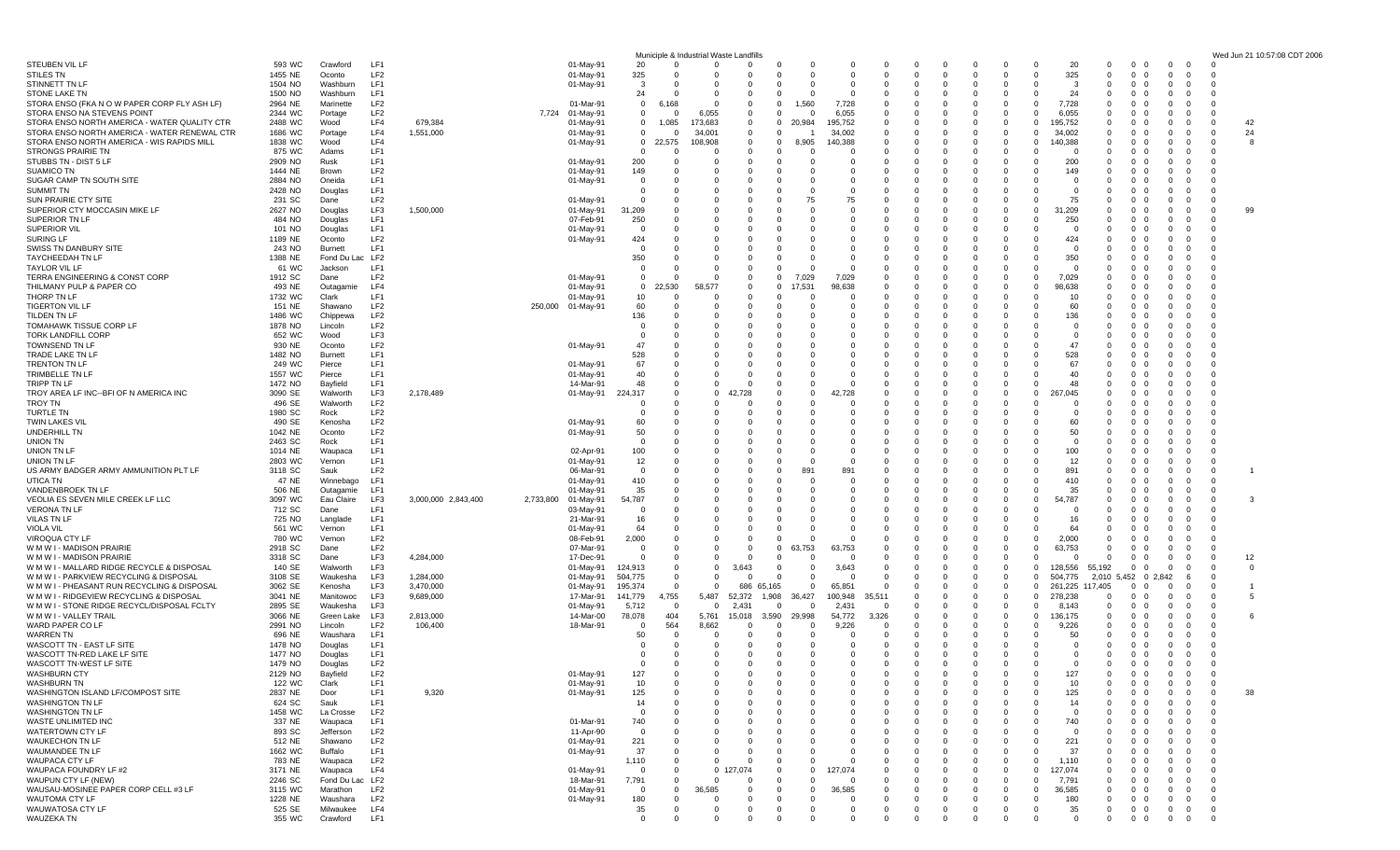|                                                                                              |                    |                            |                                    |                      |           |                        | Municiple & Industrial Waste Landfills         |                                   |                         |                                                      |                         |                                                   |                         |                                             |                         |                                                           |                                |                                                                                     |                                         | Wed Jun 21 10:57:08 CDT 2006 |
|----------------------------------------------------------------------------------------------|--------------------|----------------------------|------------------------------------|----------------------|-----------|------------------------|------------------------------------------------|-----------------------------------|-------------------------|------------------------------------------------------|-------------------------|---------------------------------------------------|-------------------------|---------------------------------------------|-------------------------|-----------------------------------------------------------|--------------------------------|-------------------------------------------------------------------------------------|-----------------------------------------|------------------------------|
| STEUBEN VIL LF                                                                               | 593 WC             | Crawford                   | LF1                                |                      |           | 01-May-91              | 20                                             | $\Omega$                          |                         | -C<br>$\Omega$                                       | $\Omega$                | $\Omega$<br>0                                     | 0                       | 0<br>0                                      | $\mathbf 0$             | 20<br>$\mathbf 0$                                         | $^{\circ}$                     | $\overline{0}$<br>$\overline{\mathbf{0}}$                                           | $\Omega$                                |                              |
| STILES TN<br>STINNETT TN LF                                                                  | 1455 NE<br>1504 NO | Oconto<br>Washburn         | LF <sub>2</sub><br>LF1             |                      |           | 01-May-91<br>01-May-91 | 325<br>$\Omega$<br>3                           | - 0<br>- 0                        | - 0                     | $\Omega$<br>$\Omega$<br>$\Omega$<br>-C               | $\Omega$<br>0           | $\Omega$<br>$\Omega$                              | $\Omega$<br>-0          | $\Omega$<br>- 0<br>$\Omega$<br>-0           | $\Omega$<br>O           | 325<br>$\overline{0}$<br>-3<br>$\Omega$                   | $\mathbf{0}$<br>- 0<br>- 0     | $\overline{0}$<br>$\overline{\mathbf{0}}$<br>0<br>$\Omega$                          | $\Omega$                                |                              |
| <b>STONE LAKE TN</b>                                                                         | 1500 NO            | Washburn                   | LF1                                |                      |           |                        | 24                                             |                                   |                         |                                                      |                         |                                                   |                         | $^{\circ}$                                  | O                       | 24                                                        |                                | $\Omega$                                                                            |                                         |                              |
| STORA ENSO (FKA N O W PAPER CORP FLY ASH LF)                                                 | 2964 NE            | Marinette                  | LF <sub>2</sub>                    |                      |           | 01-Mar-91              | $\mathbf 0$<br>6.<br>168                       | - 0                               | - 0                     | 1,560<br>$\Omega$                                    | 7,728                   | $\Omega$                                          | -0                      | 0<br>-0                                     | $\Omega$                | 7,728<br>$\Omega$                                         | $\Omega$                       | $\Omega$<br>$\Omega$                                                                |                                         |                              |
| STORA ENSO NA STEVENS POINT                                                                  | 2344 WC            | Portage                    | LF <sub>2</sub>                    |                      |           | 7,724 01-May-91        | $\mathbf 0$                                    | 6,055                             |                         | $\Omega$<br>$\Omega$                                 | 6,055                   | $\Omega$                                          | -0                      | $\Omega$<br>$\Omega$                        | O                       | 6,055<br>$\Omega$                                         |                                | $\Omega$<br>$\Omega$                                                                |                                         |                              |
| STORA ENSO NORTH AMERICA - WATER QUALITY CTR<br>STORA ENSO NORTH AMERICA - WATER RENEWAL CTR | 2488 WC<br>1686 WC | Wood<br>Portage            | LF4<br>LF4                         | 679,384<br>1,551,000 |           | 01-May-91<br>01-May-91 | 1,085<br>0<br>$\mathbf{0}$                     | 173,683<br>34,001                 | - 0                     | 0<br>20,984<br>$\Omega$                              | 95,752<br>34,002        | $\Omega$<br>$\Omega$<br>$\Omega$                  | -0                      | 0<br>-0<br>$\Omega$<br>- 0                  | 0<br>$\mathbf 0$        | 195,752<br>$\Omega$<br>34,002<br>$\mathbf 0$              | $\Omega$                       | 0<br>0<br>- 0                                                                       | $\Omega$<br>$\mathbf 0$                 | 42<br>24                     |
| STORA ENSO NORTH AMERICA - WIS RAPIDS MILL                                                   | 1838 WC            | Wood                       | LF4                                |                      |           | 01-May-91              | $\mathbf 0$<br>22,575                          | 108,908                           | $\Omega$                | 8,905<br>$\Omega$                                    | 40,388                  | $\Omega$                                          | -0                      | $\Omega$<br>$\Omega$                        | $\Omega$                | 140,388<br>$\Omega$                                       |                                | $\Omega$<br>$\Omega$                                                                | $\Omega$                                | -8                           |
| <b>STRONGS PRAIRIE TN</b>                                                                    | 875 WC             | Adams                      | LF1                                |                      |           |                        | 0                                              | - 0                               | - 0                     | ſ                                                    | $\Omega$                |                                                   |                         | $\Omega$<br>n                               | 0                       | - 0                                                       |                                | - 0                                                                                 |                                         |                              |
| STUBBS TN - DIST 5 LF                                                                        | 2909 NO            | Rusk                       | LF <sub>1</sub>                    |                      |           | 01-May-91              | 200                                            | $\Omega$                          |                         |                                                      | $\Omega$                | 0                                                 | - 0                     | 0<br>-0                                     | O                       | 200<br>$\Omega$                                           | 0                              | 0<br>- 0                                                                            |                                         |                              |
| <b>SUAMICO TN</b><br>SUGAR CAMP TN SOUTH SITE                                                | 1444 NE<br>2884 NO | Brown<br>Oneida            | LF <sub>2</sub><br>LF1             |                      |           | 01-May-91<br>01-May-91 | 149                                            | $\Omega$                          |                         |                                                      |                         | $\Omega$                                          | 0                       | 0<br>-0<br>$\Omega$<br>-C                   | 0<br>O                  | 149<br>$\Omega$<br>$\Omega$<br>$\cap$                     |                                | - 0<br>0<br>n                                                                       |                                         |                              |
| <b>SUMMIT TN</b>                                                                             | 2428 NO            | Douglas                    | LF1                                |                      |           |                        | 0                                              |                                   |                         | -0                                                   | $\Omega$                | 0                                                 |                         | -0<br>-0                                    | 0                       | $\Omega$<br>- 0                                           |                                | $\Omega$<br>$\Omega$                                                                |                                         |                              |
| SUN PRAIRIE CTY SITE                                                                         | 231 SC             | Dane                       | LF <sub>2</sub>                    |                      |           | 01-May-91              | 0                                              | $\Omega$                          |                         | 75<br>-C                                             | 75                      | 0<br>$\Omega$                                     | 0                       | 0<br>0                                      | 0                       | 75<br>$\Omega$                                            |                                | $\mathbf 0$<br>0                                                                    | - 0                                     |                              |
| SUPERIOR CTY MOCCASIN MIKE LF<br>SUPERIOR TN LF                                              | 2627 NO<br>484 NO  | Douglas<br>Douglas         | LF3<br>LF1                         | 1,500,000            |           | 01-May-91<br>07-Feb-91 | 31,209<br>250                                  | $\Omega$<br>0                     |                         |                                                      | $\Omega$<br>0           |                                                   | -C<br>-0                | $\Omega$<br>-C<br>0<br>-0                   | $\Omega$<br>0           | 31,209<br>$\Omega$<br>250<br>$\Omega$                     | $\Omega$                       | $\Omega$<br>$\Omega$<br>$\Omega$<br>$\Omega$                                        | $\Omega$<br>$\Omega$                    | 99                           |
| SUPERIOR VIL                                                                                 | 101 NO             | Douglas                    | LF1                                |                      |           | 01-May-91              | - 0                                            | $\Omega$                          |                         |                                                      | 0                       | $\Omega$                                          |                         | 0<br>C                                      | 0                       | - 0<br>$\Omega$                                           |                                | $\Omega$<br>0                                                                       |                                         |                              |
| SURING LF                                                                                    | 1189 NE            | Oconto                     | LF <sub>2</sub>                    |                      |           | 01-May-91              | 424                                            |                                   |                         |                                                      |                         | <sup>0</sup>                                      |                         | $\Omega$<br>0                               | O                       | 424<br>$\Omega$                                           |                                | $\Omega$<br>n                                                                       |                                         |                              |
| SWISS TN DANBURY SITE                                                                        | 243 NO             | <b>Burnett</b>             | LF1                                |                      |           |                        |                                                |                                   |                         |                                                      |                         |                                                   |                         | 0<br>-0                                     |                         | $\Omega$                                                  | $\Omega$                       | $\Omega$<br>- 0                                                                     |                                         |                              |
| TAYCHEEDAH TN LF<br>TAYLOR VIL LF                                                            | 1388 NE<br>61 WC   | Fond Du Lac LF2<br>Jackson | LF <sub>1</sub>                    |                      |           |                        | 350<br>$\Omega$                                | - 0<br>$\Omega$                   | - 0                     | - 0<br>ſ                                             | 0<br>$\Omega$           | <sup>0</sup><br>$\Omega$                          | - 0                     | $\Omega$<br>$\Omega$<br>$\Omega$            | -0<br>$\sqrt{ }$        | 350<br>- 0<br>$\cap$<br>$\Omega$                          |                                | 0<br>$\Omega$<br>$\Omega$<br>O                                                      | $\Omega$                                |                              |
| TERRA ENGINEERING & CONST CORP                                                               | 1912 SC            | Dane                       | LF <sub>2</sub>                    |                      |           | 01-May-91              | 0                                              | $\Omega$                          |                         | 7,029<br>$\Omega$                                    | 7,029                   |                                                   |                         | $\Omega$                                    | O                       | 7,029                                                     |                                |                                                                                     |                                         |                              |
| THILMANY PULP & PAPER CO                                                                     | 493 NE             | Outagamie                  | LF4                                |                      |           | 01-May-91              | ,530<br>$\overline{0}$                         | 58,577                            |                         | .531<br>$\Omega$                                     | 98,638                  | $\Omega$                                          | $\Omega$                | $\Omega$<br>0                               | -0                      | 98,638<br>$\Omega$                                        |                                | - 0<br>$\Omega$                                                                     |                                         |                              |
| THORP TN LF                                                                                  | 1732 WC            | Clark                      | LF <sub>1</sub><br>LF <sub>2</sub> |                      |           | 01-May-91              | 10                                             | $\Omega$<br>$\Omega$              | $\Omega$                | $\Omega$<br>$\Omega$                                 | $\Omega$                | $\Omega$                                          | - 0                     | $\Omega$<br>$\Omega$                        | O                       | 10<br>$\Omega$<br>60                                      | $\Omega$                       | $\Omega$<br>$\Omega$                                                                |                                         |                              |
| <b>TIGERTON VIL LF</b><br>TILDEN TN LF                                                       | 151 NE<br>1486 WC  | Shawano<br>Chippewa        | LF <sub>2</sub>                    |                      | 250,000   | 01-May-91              | 60<br>136                                      | $\Omega$                          |                         | $\Omega$                                             | 0                       | $\Omega$                                          | - 0                     | 0<br>0<br>-0                                | 0                       | 136<br>$\Omega$                                           |                                | 0<br>- 0                                                                            | $\Omega$                                |                              |
| <b>TOMAHAWK TISSUE CORP LF</b>                                                               | 1878 NO            | Lincoln                    | LF <sub>2</sub>                    |                      |           |                        | 0                                              | $\Omega$                          |                         |                                                      |                         |                                                   |                         | $\Omega$                                    | O                       | $\Omega$                                                  |                                | $\Omega$<br>0                                                                       |                                         |                              |
| <b>TORK LANDFILL CORP</b>                                                                    | 652 WC             | Wood                       | LF3                                |                      |           |                        |                                                |                                   |                         |                                                      |                         |                                                   |                         | 0                                           |                         |                                                           |                                | n                                                                                   |                                         |                              |
| TOWNSEND TN LF<br>TRADE LAKE TN LF                                                           | 930 NE<br>1482 NO  | Oconto<br>Burnett          | LF <sub>2</sub><br>LF1             |                      |           | 01-May-91              | 47<br>528                                      | $\Omega$<br>$\Omega$              |                         |                                                      | -0<br>$\Omega$          | 0<br>$\Omega$                                     | -0<br>-0                | 0<br>$\Omega$<br>-0                         | 0<br>O                  | 47<br>$\Omega$<br>528<br>$\Omega$                         | $\Omega$                       | $\Omega$<br>- 0<br>$\Omega$<br>$\Omega$                                             |                                         |                              |
| TRENTON TN LF                                                                                | 249 WC             | Pierce                     | LF1                                |                      |           | 01-May-91              | 67                                             |                                   |                         |                                                      |                         |                                                   |                         | 0                                           | O                       | 67<br>$\Omega$                                            |                                | 0                                                                                   |                                         |                              |
| TRIMBELLE TN LF                                                                              | 1557 WC            | Pierce                     | LF <sub>1</sub>                    |                      |           | 01-May-91              | 40                                             | $\Omega$                          |                         | -0                                                   | 0                       |                                                   |                         | -0<br>-0                                    | 0                       | 40<br>$\Omega$                                            | 0                              | $\Omega$<br>- 0                                                                     |                                         |                              |
| TRIPP TN LF                                                                                  | 1472 NO            | Bayfield                   | LF1                                |                      |           | 14-Mar-91              | 48<br>$\Omega$                                 | 0                                 |                         | $\Omega$<br>$\Omega$                                 | $\Omega$                |                                                   | -0                      | $\Omega$<br>0                               | $\Omega$                | 48<br>$\Omega$                                            |                                | $\Omega$<br>$\Omega$                                                                |                                         |                              |
| TROY AREA LF INC--BFI OF N AMERICA INC<br>TROY TN                                            | 3090 SE<br>496 SE  | Walworth<br>Walworth       | LF3<br>LF <sub>2</sub>             | 2,178,489            |           | 01-May-91              | 224,317<br>$\Omega$<br>n                       | $\overline{0}$<br>$\Omega$        |                         | $\Omega$<br>ſ                                        |                         | $\Omega$                                          | -C<br>- 0               | $\Omega$<br>-0<br>0<br>-0                   | $\mathbf 0$<br>O        | 267,045<br>$\Omega$<br>$\Omega$<br>- 0                    | $\Omega$                       | O<br>n<br>$\Omega$<br>- 0                                                           |                                         |                              |
| TURTLE TN                                                                                    | 1980 SC            | Rock                       | LF <sub>2</sub>                    |                      |           |                        | 0                                              | $\Omega$                          |                         |                                                      | 0                       | $\Omega$                                          | 0                       | 0<br>-0                                     | O                       | - 0<br>$\Omega$                                           |                                | 0<br>- 0                                                                            |                                         |                              |
| TWIN LAKES VIL                                                                               | 490 SE             | Kenosha                    | LF <sub>2</sub>                    |                      |           | 01-May-91              | 60                                             | $\Omega$                          |                         |                                                      | $\Omega$                | $\Omega$                                          |                         | $\Omega$<br>$\Omega$                        | C.                      | 60<br>$\Omega$                                            | n                              | $\Omega$<br>- 0                                                                     |                                         |                              |
| <b>UNDERHILL TN</b>                                                                          | 1042 NE            | Oconto                     | LF <sub>2</sub><br>LF1             |                      |           | 01-May-91              | 50                                             | $\Omega$                          |                         |                                                      | $\Omega$                | <sup>0</sup>                                      |                         | 0<br>-0                                     | C.                      | 50<br>$\Omega$                                            | 0                              | $\Omega$<br>- 0                                                                     |                                         |                              |
| UNION TN<br>UNION TN LF                                                                      | 2463 SC<br>1014 NE | Rock<br>Waupaca            | LF1                                |                      |           | 02-Apr-91              | 0<br>100                                       | $\Omega$                          |                         |                                                      | $\Omega$                |                                                   |                         | 0<br>$\Omega$                               | 0<br>C.                 | - 0<br>$\Omega$<br>100<br>$\Omega$                        |                                | 0<br>-0<br>$\Omega$<br>$\Omega$                                                     | $\Omega$                                |                              |
| UNION TN LF                                                                                  | 2803 WC            | Vernon                     | LF1                                |                      |           | 01-May-91              | 12                                             | $\Omega$                          |                         |                                                      | 0                       |                                                   |                         | 0                                           | O                       | 12<br>$\Omega$                                            | $\Omega$                       | 0<br>$\mathbf 0$                                                                    | $\Omega$                                |                              |
| US ARMY BADGER ARMY AMMUNITION PLT LF                                                        | 3118 SC            | Sauk                       | LF <sub>2</sub>                    |                      |           | 06-Mar-91              | 0                                              | 0                                 |                         | 89                                                   | 89'                     | $\Omega$                                          | -0                      | 0<br>-0                                     | O                       | 891<br>0                                                  | - 0                            | 0<br>$\mathbf 0$                                                                    | $\mathbf{0}$                            |                              |
| UTICA TN<br>VANDENBROEK TN LF                                                                | 47 NE<br>506 NE    | Winnebago<br>Outagamie     | LF1<br>LF1                         |                      |           | 01-May-91<br>01-May-91 | 410<br>35                                      | $\Omega$                          |                         | $\Omega$<br>$\Omega$                                 | $\Omega$                | $\Omega$                                          | - 0                     | $\Omega$<br>0<br>0<br>-0                    | O<br>O                  | 410<br>$\Omega$<br>35<br>$\Omega$                         | $\Omega$                       | $\Omega$<br>$\Omega$<br>$\Omega$<br>$\Omega$                                        | $\Omega$<br>$\Omega$                    |                              |
| VEOLIA ES SEVEN MILE CREEK LF LLC                                                            | 3097 WC            | Eau Claire                 | LF3                                | 3,000,000 2,843,400  | 2,733,800 | 01-May-91              | 54,787                                         | 0                                 |                         | -0                                                   | 0                       |                                                   | - 0                     | 0<br>0                                      | 0                       | 54,787<br>$\Omega$                                        |                                | 0<br>$\mathbf 0$                                                                    | - 0                                     | -3                           |
| <b>VERONA TN LF</b>                                                                          | 712 SC             | Dane                       | LF1                                |                      |           | 03-May-91              | 0                                              | - 0                               |                         | O                                                    | $\Omega$                |                                                   | - 0                     | 0                                           | C.                      | $\Omega$<br>- 0                                           |                                | O<br>- 0                                                                            | - 0                                     |                              |
| <b>VILAS TN LF</b>                                                                           | 725 NO<br>561 WC   | Langlade                   | LF1<br>LF1                         |                      |           | 21-Mar-91<br>01-May-91 | 16<br>64                                       | $\Omega$<br>0                     |                         |                                                      | 0<br>0                  | $\Omega$                                          | - 0                     | 0<br>0<br>-0                                | 0                       | 16<br>64<br>$\Omega$                                      | $\Omega$                       | $\Omega$<br>0<br>0<br>- 0                                                           |                                         |                              |
| VIOLA VIL<br><b>VIROQUA CTY LI</b>                                                           | 780 WC             | Vernon<br>Vernon           | LF <sub>2</sub>                    |                      |           | 08-Feb-91              | 2,000                                          | $\Omega$                          |                         | $\Omega$<br>ſ                                        |                         | <sup>0</sup>                                      |                         | $\Omega$<br>$\Omega$                        | $\sqrt{ }$              | 2,000<br>$\Omega$                                         | n                              | $\Omega$<br>$\Omega$                                                                | $\Omega$                                |                              |
| W M W I - MADISON PRAIRIE                                                                    | 2918 SC            | Dane                       | LF <sub>2</sub>                    |                      |           | 07-Mar-91              | 0                                              | $\Omega$                          |                         | 63,753<br>0                                          | 63.753                  |                                                   |                         | 0<br>0                                      | $\Omega$                | 63,753<br>$\Omega$                                        | $^{\circ}$                     | 0<br>-0                                                                             | $\Omega$                                |                              |
| W M W I - MADISON PRAIRIE                                                                    | 3318 SC            | Dane                       | LF3                                | 4,284,000            |           | 17-Dec-91              | $\Omega$<br>$\Omega$                           | $\Omega$                          | - 0                     | $\Omega$<br>$\Omega$                                 | $\Omega$                | <sup>0</sup><br>$\Omega$                          | - 0                     | $\Omega$<br>0                               | $\Omega$                | $\Omega$<br>- 0                                           | $\Omega$                       | 0<br>$\Omega$                                                                       | $\mathbf 0$                             | 12                           |
| W M W I - MALLARD RIDGE RECYCLE & DISPOSAL<br>W M W I - PARKVIEW RECYCLING & DISPOSAL        | 140 SE<br>3108 SE  | Walworth<br>Waukesha       | LF3<br>LF3                         | 1,284,000            |           | 01-May-91<br>01-May-91 | 124,913<br>$\mathbf{0}$<br>504,775<br>$\Omega$ | $\overline{0}$<br>$^{\circ}$      | 3,643<br>- 0            | 0<br>0<br><sup>c</sup><br>$\Omega$                   | 3,643<br>0              |                                                   | 0                       | $\Omega$<br>$\Omega$<br>$\mathbf 0$         | $\Omega$<br>0           | 128,556<br>55,192<br>504,775<br>2,010                     | $\Omega$<br>5,452<br>0 2.842   | 0<br>$\Omega$<br>-6                                                                 | $\Omega$                                | $\Omega$                     |
| W M W I - PHEASANT RUN RECYCLING & DISPOSAL                                                  | 3062 SE            | Kenosha                    | LF3                                | 3,470,000            |           | 01-May-91              | 195,374<br>- 0                                 | $\Omega$                          | 686 65,165              | $\Omega$                                             | 65,851                  | 0                                                 |                         | 0<br>0                                      | $\Omega$                | 261,225 117,405                                           | $\Omega$                       | $\mathbf 0$<br>0                                                                    | $\mathbf 0$                             |                              |
| W M W I - RIDGEVIEW RECYCLING & DISPOSAL                                                     | 3041 NE            | Manitowoc                  | LF3                                | 9,689,000            |           | 17-Mar-91              | 141,779<br>4,755                               | 5,487                             | 52,372<br>1,908         | 36,427                                               | 100,948                 |                                                   |                         | $\Omega$<br>0                               | $\Omega$                | 278,238<br>$\overline{0}$                                 | $\Omega$                       | 0<br>$\Omega$                                                                       | $\Omega$                                |                              |
| W M W I - STONE RIDGE RECYCL/DISPOSAL FCLTY                                                  | 2895 SE            | Waukesha                   | LF3                                |                      |           | 01-May-91              | 5,712<br>- 0                                   | $\mathbf 0$                       | 2,431                   | $\Omega$<br><sup>c</sup>                             | 2,43'                   |                                                   |                         | $\Omega$<br>0                               | $\Omega$                | $\mathbf{0}$<br>8,143                                     | $^{\circ}$                     | 0<br>-0                                                                             | $\Omega$                                |                              |
| W M W I - VALLEY TRAIL<br>WARD PAPER CO LF                                                   | 3066 NE<br>2991 NO | Green Lake<br>Lincoln      | LF3<br>LF <sub>2</sub>             | 2,813,000<br>106,400 |           | 14-Mar-00<br>18-Mar-91 | 78,078<br>404<br>564<br>$\Omega$               | 5,761<br>8,662                    | 15,018<br>3,590         | 29,998<br>$\Omega$<br>$\Omega$                       | 54,772<br>9,226         | 3,326<br>0                                        | -0                      | $\Omega$<br>- 0<br>$\Omega$<br>-0           | $\mathbf 0$<br>O        | 136,175<br>$\mathbf 0$<br>9,226<br>$\Omega$               | $\Omega$                       | 0<br>- 0<br>$\Omega$<br>0                                                           | 0                                       | -6                           |
| WARREN TN                                                                                    | 696 NE             | Waushara                   | LF1                                |                      |           |                        | 50<br>- 0                                      | - 0                               | - 0                     | $\Omega$<br>$\Omega$                                 | $\Omega$                | $\Omega$<br>$\Omega$                              | - 0                     | $\Omega$<br>$\Omega$                        | -0                      | 50<br>$\Omega$                                            | $\Omega$                       | $\Omega$<br>$\Omega$                                                                | - 0                                     |                              |
| WASCOTT TN - EAST LF SITE                                                                    | 1478 NO            | Douglas                    | LF1                                |                      |           |                        | 0                                              | - 0                               | - 0                     | $\Omega$<br>$\Omega$                                 | $\Omega$                | $\Omega$<br>$\Omega$                              | 0                       | $\Omega$<br>$\Omega$                        | $\Omega$                | $\Omega$<br>- 0                                           | $\Omega$<br>- 0                | $\Omega$<br>$\Omega$                                                                | $\Omega$                                |                              |
| WASCOTT TN-RED LAKE LF SITE<br>WASCOTT TN-WEST LF SITE                                       | 1477 NO<br>1479 NO | Douglas<br>Douglas         | LF1<br>LF <sub>2</sub>             |                      |           |                        | 0<br>$\Omega$                                  | - 0<br>$\Omega$                   | $\mathbf 0$<br>$\Omega$ | $\mathbf{0}$<br>$\mathbf{0}$<br>$\Omega$<br>$\Omega$ | $\mathbf 0$<br>$\Omega$ | $\mathbf 0$<br>$^{\circ}$<br>$\Omega$<br>$\Omega$ | $\mathbf 0$<br>$\Omega$ | $\mathbf{0}$<br>- 0<br>$\Omega$<br>$\Omega$ | $\mathbf 0$<br>$\Omega$ | $\overline{0}$<br>$\overline{0}$<br>$\overline{0}$<br>- 0 | $0\quad 0$<br>$0\quad 0$       | $\overline{0}$<br>$\overline{\mathbf{0}}$<br>$\overline{\mathbf{0}}$<br>$\mathbf 0$ | $\Omega$                                |                              |
| <b>WASHBURN CTY</b>                                                                          | 2129 NO            | Bayfield                   | LF <sub>2</sub>                    |                      |           | 01-May-91              | 127<br>- റ                                     | $\mathbf 0$                       | - 0                     | $\Omega$<br>$\Omega$                                 | $\Omega$                | $^{\circ}$<br>$\Omega$                            | $\Omega$                | $\Omega$<br>- 0                             | $\Omega$                | 127<br>$\mathbf 0$                                        | $\mathbf{0}$                   | $\mathbf 0$<br>$\overline{0}$                                                       | $\overline{0}$                          |                              |
| WASHBURN TN                                                                                  | 122 WC             | Clark                      | LF1                                |                      |           | 01-May-91              | 10<br>- 0                                      | $^{\circ}$                        | $\Omega$                | - 0<br>0                                             | $\mathbf 0$             | 0<br>$^{\circ}$                                   | $\mathbf 0$             | $^{\circ}$<br>$\mathbf 0$                   | $\mathbf 0$             | 10<br>$\overline{0}$                                      | $^{\circ}$                     | $\mathbf 0$<br>$\overline{\mathbf{0}}$                                              | $^{\circ}$                              |                              |
| WASHINGTON ISLAND LF/COMPOST SITE                                                            | 2837 NE            | Door                       | LF1<br>LF1                         | 9,320                |           | 01-May-91              | 125                                            | $\Omega$                          |                         |                                                      |                         | <sup>0</sup>                                      | -C                      | $\Omega$                                    | C.                      | 125<br>O                                                  |                                | 0<br>$\overline{0}$                                                                 | $\overline{0}$                          | 38                           |
| <b>WASHINGTON TN LF</b><br>WASHINGTON TN LF                                                  | 624 SC<br>1458 WC  | Sauk<br>La Crosse          | LF <sub>2</sub>                    |                      |           |                        | 14<br>$\Omega$<br>0                            | $\Omega$<br>0                     |                         |                                                      |                         | $\Omega$<br>$\mathbf 0$                           | 0<br>0                  | 0<br>$^{\circ}$                             | 0<br>O                  | 14<br>$\Omega$<br>0<br>$\Omega$                           |                                | 0<br>$\mathbf 0$<br>$\mathbf 0$<br>0                                                | $^{\circ}$<br>$^{\circ}$                |                              |
| WASTE UNLIMITED INC                                                                          | 337 NE             | Waupaca                    | LF1                                |                      |           | 01-Mar-91              | 740                                            | $\Omega$                          |                         | -0                                                   |                         | $\Omega$                                          | 0                       | $\Omega$<br>0                               | O                       | 740<br>$\Omega$                                           | 0                              | 0<br>$\Omega$                                                                       | $\Omega$                                |                              |
| WATERTOWN CTY LF                                                                             | 893 SC             | Jefferson                  | LF <sub>2</sub>                    |                      |           | 11-Apr-90              | - 0                                            | 0                                 |                         | -0                                                   |                         | 0                                                 | -0                      | $^{\circ}$<br>0                             | O                       | 0<br>- 0                                                  | $\Omega$                       | 0<br>$^{\circ}$                                                                     | $\mathbf{0}$                            |                              |
| WAUKECHON TN LF<br>WAUMANDEE TN LF                                                           | 512 NE<br>1662 WC  | Shawano<br>Buffalo         | LF <sub>2</sub><br>LF1             |                      |           | 01-May-91<br>01-May-91 | 221<br>37                                      | 0<br>$\Omega$                     |                         | $\Omega$<br>-0<br>$\Omega$                           | 0<br>$\Omega$           | $\Omega$<br>0                                     | 0<br>-C                 | 0<br>0<br>$\Omega$<br>-C                    | $\Omega$<br>$\Omega$    | 221<br>$\mathbf{0}$<br>37<br>$\Omega$                     | $\Omega$                       | 0<br>$\overline{\mathbf{0}}$<br>$\Omega$<br>$\Omega$                                | $^{\circ}$<br>$\Omega$                  |                              |
| WAUPACA CTY LF                                                                               | 783 NE             | Waupaca                    | LF <sub>2</sub>                    |                      |           |                        | 1,110<br>$\Omega$                              | 0                                 |                         |                                                      |                         |                                                   |                         | $^{\circ}$<br>-0                            | O                       | 1,110<br>$\Omega$                                         | $\Omega$                       | 0<br>$\Omega$                                                                       | $\mathbf{0}$                            |                              |
| WAUPACA FOUNDRY LF #2                                                                        | 3171 NE            | Waupaca                    | LF4                                |                      |           | 01-May-91              | $\mathbf 0$<br>$\Omega$                        | $\overline{0}$                    | 074                     | 0<br>$\Omega$                                        | 127,074                 | 0<br>- 0                                          | 0                       | 0<br>0                                      | $\mathbf 0$             | 127,074<br>0                                              | 0                              | 0<br>$\mathbf 0$                                                                    | $^{\circ}$                              |                              |
| WAUPUN CTY LF (NEW)                                                                          | 2246 SC            | Fond Du Lac LF2            |                                    |                      |           | 18-Mar-91              | 7,791<br>$\Omega$                              | $\Omega$                          | - 0                     | $\Omega$<br>$\Omega$                                 | $\Omega$                | $\Omega$<br>0                                     | $\Omega$                | $\Omega$<br>$\Omega$                        | $\Omega$                | 7,791<br>$\Omega$                                         | $\Omega$                       | $\Omega$<br>$\Omega$                                                                | $\Omega$                                |                              |
| WAUSAU-MOSINEE PAPER CORP CELL #3 LF<br>WAUTOMA CTY LF                                       | 3115 WC<br>1228 NE | Marathon<br>Waushara       | LF <sub>2</sub><br>LF <sub>2</sub> |                      |           | 01-May-91<br>01-May-91 | $\mathbf 0$<br>$\overline{0}$<br>180<br>- 0    | 36,585<br>$\overline{\mathbf{0}}$ | 0                       | 0<br>0<br>$\mathbf 0$<br>0                           | 36,585<br>-0            | 0<br>$\overline{0}$<br>$\mathbf 0$                | 0                       | 0<br>0<br>$\mathbf 0$<br>$\mathbf 0$        | $\mathbf 0$<br>0        | 36,585<br>$\mathbf{0}$<br>180<br>$\overline{0}$           | $\mathbf{0}$<br>$\mathbf{0}$   | $\mathbf 0$<br>0<br>$\mathbf 0$<br>$\overline{\mathbf{0}}$                          | $\mathbf{0}$<br>$\overline{\mathbf{0}}$ |                              |
| WAUWATOSA CTY LF                                                                             | 525 SE             | Milwaukee                  | LF4                                |                      |           |                        | 35<br>$\mathbf{0}$                             | $\overline{0}$                    | $\mathbf 0$             | - 0<br>0                                             | $\mathbf 0$             | $\mathbf 0$<br>0                                  | $\mathbf{0}$            | $^{\circ}$<br>- 0                           | $\mathbf 0$             | 35<br>$\overline{0}$                                      | $\mathbf{0}$<br>- 0            | $\overline{0}$<br>$\mathbf 0$                                                       | $\overline{0}$                          |                              |
| <b>WAUZEKA TN</b>                                                                            | 355 WC             | Crawford                   | LF1                                |                      |           |                        | $\mathbf 0$                                    | $\mathbf 0$                       | $\Omega$                | $\Omega$<br>0                                        | 0                       | $\mathbf 0$<br>0                                  | $\mathbf 0$             | $\mathbf 0$<br>- 0                          | $\mathbf 0$             | $\mathbf 0$<br>0                                          | $\mathbf{0}$<br>$\overline{0}$ | $\mathbf 0$<br>$\overline{0}$                                                       | $\overline{0}$                          |                              |